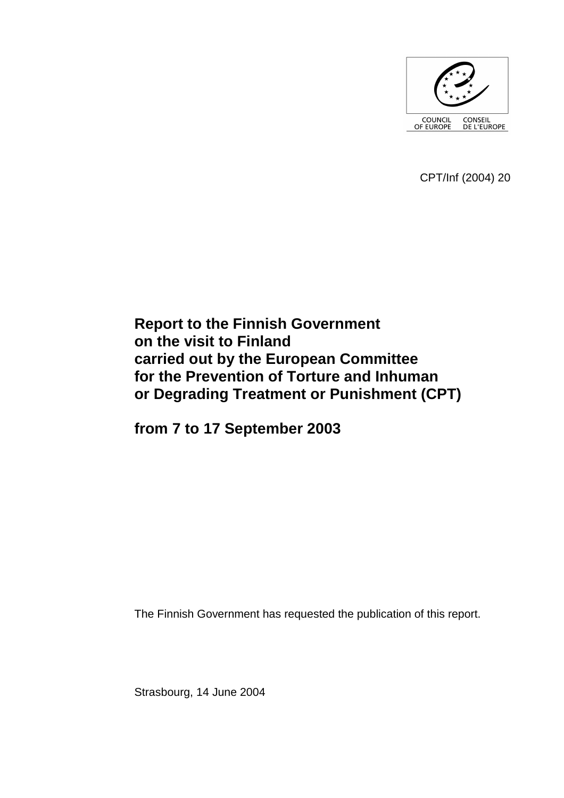

CPT/Inf (2004) 20

# **Report to the Finnish Government on the visit to Finland carried out by the European Committee for the Prevention of Torture and Inhuman or Degrading Treatment or Punishment (CPT)**

**from 7 to 17 September 2003** 

The Finnish Government has requested the publication of this report.

Strasbourg, 14 June 2004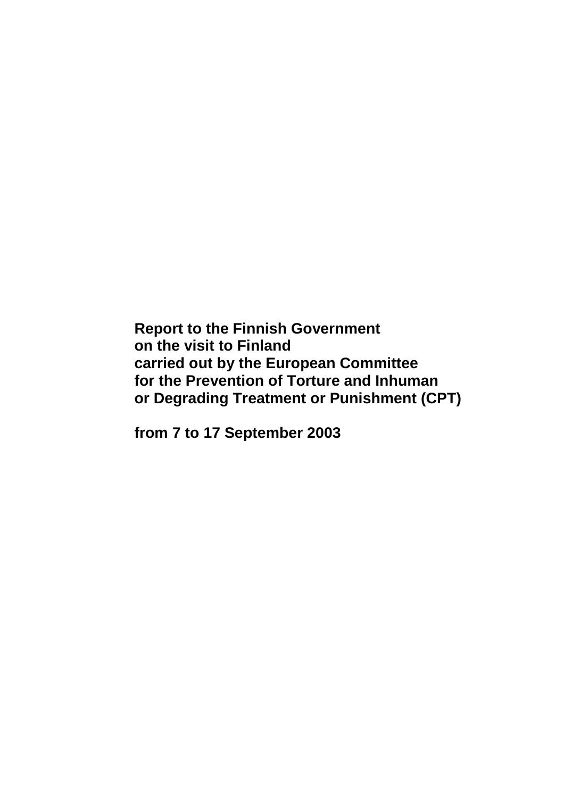**Report to the Finnish Government on the visit to Finland carried out by the European Committee for the Prevention of Torture and Inhuman or Degrading Treatment or Punishment (CPT)** 

**from 7 to 17 September 2003**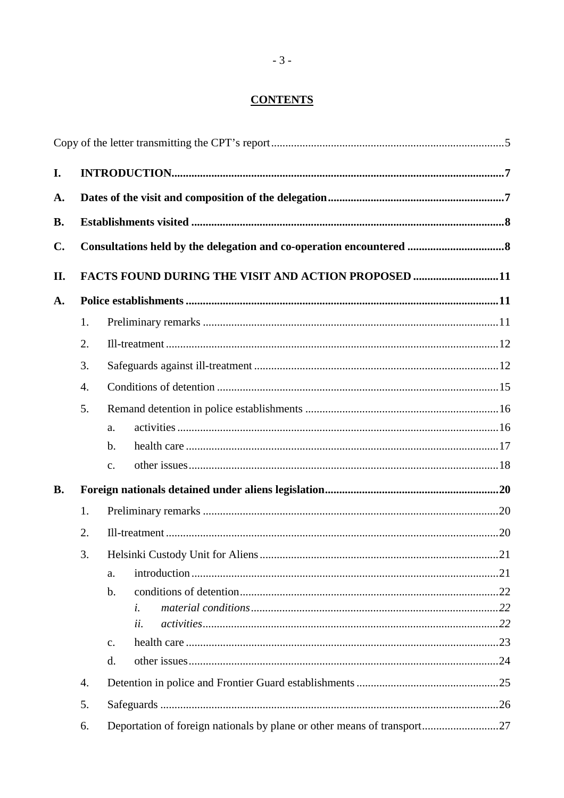# **CONTENTS**

| I.             |    |                                                                         |  |
|----------------|----|-------------------------------------------------------------------------|--|
| A.             |    |                                                                         |  |
| <b>B.</b>      |    |                                                                         |  |
| $\mathbf{C}$ . |    |                                                                         |  |
| II.            |    | FACTS FOUND DURING THE VISIT AND ACTION PROPOSED 11                     |  |
| A.             |    |                                                                         |  |
|                | 1. |                                                                         |  |
|                | 2. |                                                                         |  |
|                | 3. |                                                                         |  |
|                | 4. |                                                                         |  |
|                | 5. |                                                                         |  |
|                |    | a.                                                                      |  |
|                |    | $\mathbf{b}$ .                                                          |  |
|                |    | c.                                                                      |  |
| <b>B.</b>      |    |                                                                         |  |
|                | 1. |                                                                         |  |
|                | 2. |                                                                         |  |
|                | 3. |                                                                         |  |
|                |    | a.                                                                      |  |
|                |    | $\mathbf b$ .                                                           |  |
|                |    | i.                                                                      |  |
|                |    | ii.                                                                     |  |
|                |    | $\mathbf{c}$ .                                                          |  |
|                |    | d.                                                                      |  |
|                | 4. |                                                                         |  |
|                | 5. |                                                                         |  |
|                | 6. | Deportation of foreign nationals by plane or other means of transport27 |  |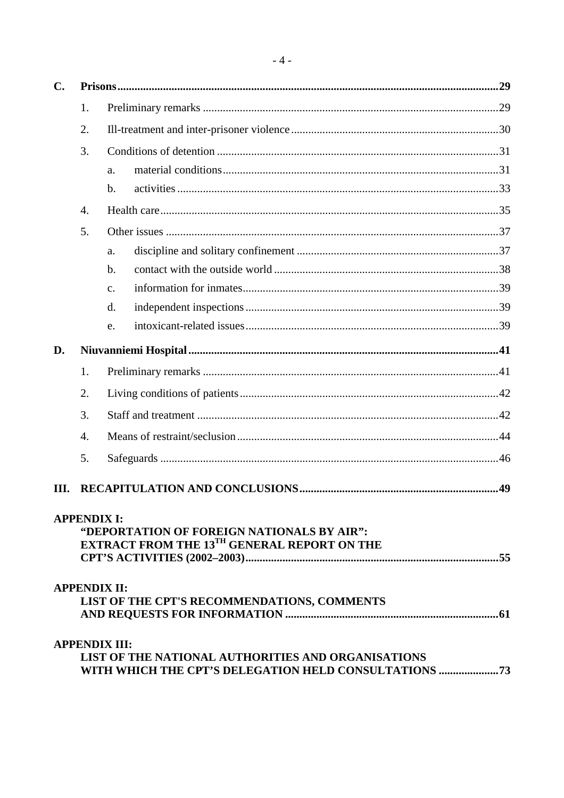| $\mathbf{C}$ . |                    |                                                                                                                                         |  |
|----------------|--------------------|-----------------------------------------------------------------------------------------------------------------------------------------|--|
|                | 1.                 |                                                                                                                                         |  |
|                | 2.                 |                                                                                                                                         |  |
|                | 3.                 |                                                                                                                                         |  |
|                |                    | a.                                                                                                                                      |  |
|                |                    | $b$                                                                                                                                     |  |
|                | $\overline{4}$ .   |                                                                                                                                         |  |
|                | 5.                 |                                                                                                                                         |  |
|                |                    | a.                                                                                                                                      |  |
|                |                    | b.                                                                                                                                      |  |
|                |                    | $\mathbf{C}$ .                                                                                                                          |  |
|                |                    | d.                                                                                                                                      |  |
|                |                    | e.                                                                                                                                      |  |
| D.             |                    |                                                                                                                                         |  |
|                | 1.                 |                                                                                                                                         |  |
|                | 2.                 |                                                                                                                                         |  |
|                | 3.                 |                                                                                                                                         |  |
|                | $\overline{4}$ .   |                                                                                                                                         |  |
|                | 5.                 |                                                                                                                                         |  |
| III.           |                    |                                                                                                                                         |  |
|                | <b>APPENDIX I:</b> | "DEPORTATION OF FOREIGN NATIONALS BY AIR":<br><b>EXTRACT FROM THE 13TH GENERAL REPORT ON THE</b>                                        |  |
|                |                    | <b>APPENDIX II:</b><br>LIST OF THE CPT'S RECOMMENDATIONS, COMMENTS                                                                      |  |
|                |                    | <b>APPENDIX III:</b><br><b>LIST OF THE NATIONAL AUTHORITIES AND ORGANISATIONS</b><br>WITH WHICH THE CPT'S DELEGATION HELD CONSULTATIONS |  |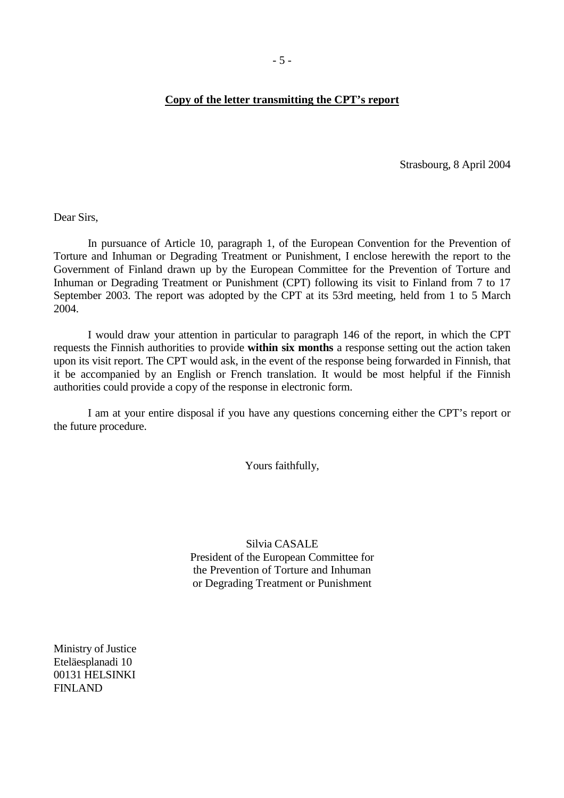#### <span id="page-6-0"></span>**Copy of the letter transmitting the CPT's report**

Strasbourg, 8 April 2004

Dear Sirs,

 In pursuance of Article 10, paragraph 1, of the European Convention for the Prevention of Torture and Inhuman or Degrading Treatment or Punishment, I enclose herewith the report to the Government of Finland drawn up by the European Committee for the Prevention of Torture and Inhuman or Degrading Treatment or Punishment (CPT) following its visit to Finland from 7 to 17 September 2003. The report was adopted by the CPT at its 53rd meeting, held from 1 to 5 March 2004.

 I would draw your attention in particular to paragraph 146 of the report, in which the CPT requests the Finnish authorities to provide **within six months** a response setting out the action taken upon its visit report. The CPT would ask, in the event of the response being forwarded in Finnish, that it be accompanied by an English or French translation. It would be most helpful if the Finnish authorities could provide a copy of the response in electronic form.

 I am at your entire disposal if you have any questions concerning either the CPT's report or the future procedure.

Yours faithfully,

Silvia CASALE President of the European Committee for the Prevention of Torture and Inhuman or Degrading Treatment or Punishment

Ministry of Justice Eteläesplanadi 10 00131 HELSINKI FINLAND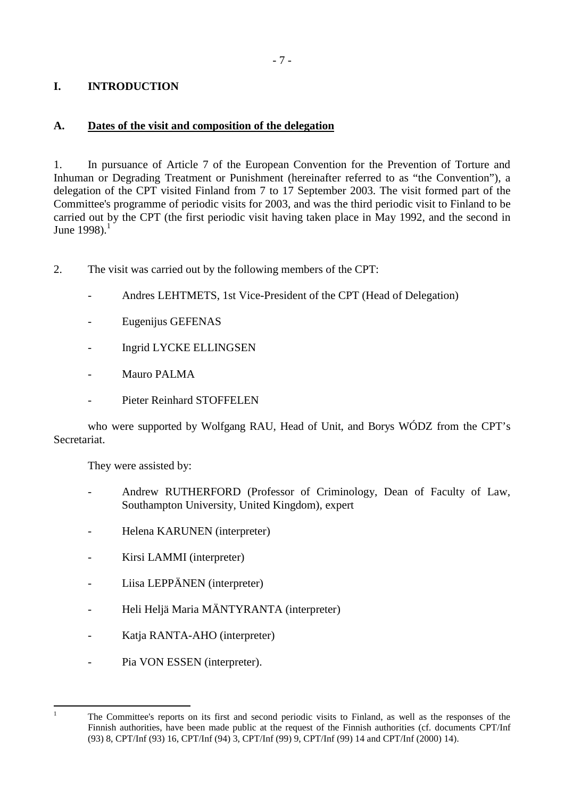# <span id="page-8-0"></span>**I. INTRODUCTION**

### **A. Dates of the visit and composition of the delegation**

1. In pursuance of Article 7 of the European Convention for the Prevention of Torture and Inhuman or Degrading Treatment or Punishment (hereinafter referred to as "the Convention"), a delegation of the CPT visited Finland from 7 to 17 September 2003. The visit formed part of the Committee's programme of periodic visits for 2003, and was the third periodic visit to Finland to be carried out by the CPT (the first periodic visit having taken place in May 1992, and the second in June  $1998$ ).<sup>1</sup>

- 2. The visit was carried out by the following members of the CPT:
	- Andres LEHTMETS, 1st Vice-President of the CPT (Head of Delegation)
	- Eugenijus GEFENAS
	- Ingrid LYCKE ELLINGSEN
	- Mauro PALMA
	- Pieter Reinhard STOFFELEN

 who were supported by Wolfgang RAU, Head of Unit, and Borys WÓDZ from the CPT's Secretariat.

They were assisted by:

- Andrew RUTHERFORD (Professor of Criminology, Dean of Faculty of Law, Southampton University, United Kingdom), expert
- Helena KARUNEN (interpreter)
- Kirsi LAMMI (interpreter)
- Liisa LEPPÄNEN (interpreter)
- Heli Heljä Maria MÄNTYRANTA (interpreter)
- Katja RANTA-AHO (interpreter)
- Pia VON ESSEN (interpreter).

 $\frac{1}{1}$ 

The Committee's reports on its first and second periodic visits to Finland, as well as the responses of the Finnish authorities, have been made public at the request of the Finnish authorities (cf. documents CPT/Inf (93) 8, CPT/Inf (93) 16, CPT/Inf (94) 3, CPT/Inf (99) 9, CPT/Inf (99) 14 and CPT/Inf (2000) 14).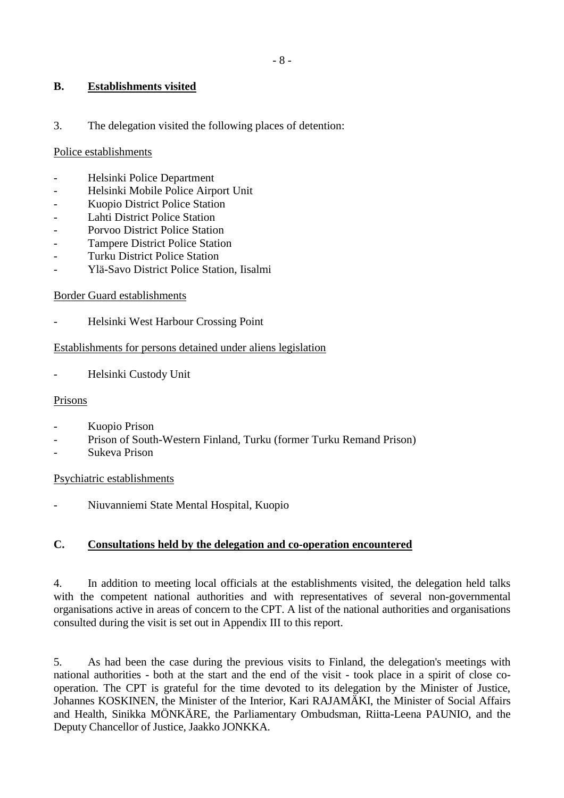### <span id="page-9-0"></span>**B. Establishments visited**

3. The delegation visited the following places of detention:

#### Police establishments

- Helsinki Police Department
- Helsinki Mobile Police Airport Unit
- Kuopio District Police Station
- Lahti District Police Station
- Porvoo District Police Station
- Tampere District Police Station
- Turku District Police Station
- Ylä-Savo District Police Station, Iisalmi

#### Border Guard establishments

- Helsinki West Harbour Crossing Point

#### Establishments for persons detained under aliens legislation

Helsinki Custody Unit

#### Prisons

- Kuopio Prison
- Prison of South-Western Finland, Turku (former Turku Remand Prison)
- Sukeva Prison

#### Psychiatric establishments

- Niuvanniemi State Mental Hospital, Kuopio

### **C. Consultations held by the delegation and co-operation encountered**

4. In addition to meeting local officials at the establishments visited, the delegation held talks with the competent national authorities and with representatives of several non-governmental organisations active in areas of concern to the CPT. A list of the national authorities and organisations consulted during the visit is set out in Appendix III to this report.

5. As had been the case during the previous visits to Finland, the delegation's meetings with national authorities - both at the start and the end of the visit - took place in a spirit of close cooperation. The CPT is grateful for the time devoted to its delegation by the Minister of Justice, Johannes KOSKINEN, the Minister of the Interior, Kari RAJAMÄKI, the Minister of Social Affairs and Health, Sinikka MÖNKÄRE, the Parliamentary Ombudsman, Riitta-Leena PAUNIO, and the Deputy Chancellor of Justice, Jaakko JONKKA.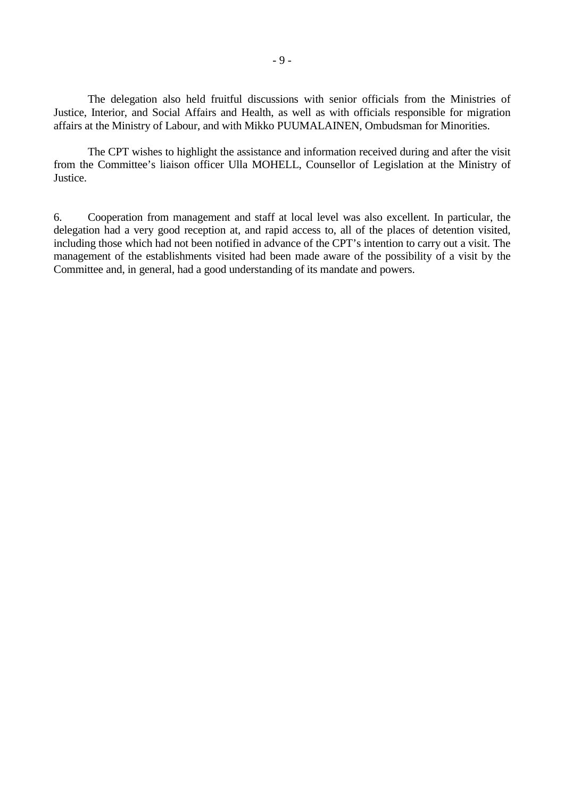The delegation also held fruitful discussions with senior officials from the Ministries of Justice, Interior, and Social Affairs and Health, as well as with officials responsible for migration affairs at the Ministry of Labour, and with Mikko PUUMALAINEN, Ombudsman for Minorities.

 The CPT wishes to highlight the assistance and information received during and after the visit from the Committee's liaison officer Ulla MOHELL, Counsellor of Legislation at the Ministry of Justice.

6. Cooperation from management and staff at local level was also excellent. In particular, the delegation had a very good reception at, and rapid access to, all of the places of detention visited, including those which had not been notified in advance of the CPT's intention to carry out a visit. The management of the establishments visited had been made aware of the possibility of a visit by the Committee and, in general, had a good understanding of its mandate and powers.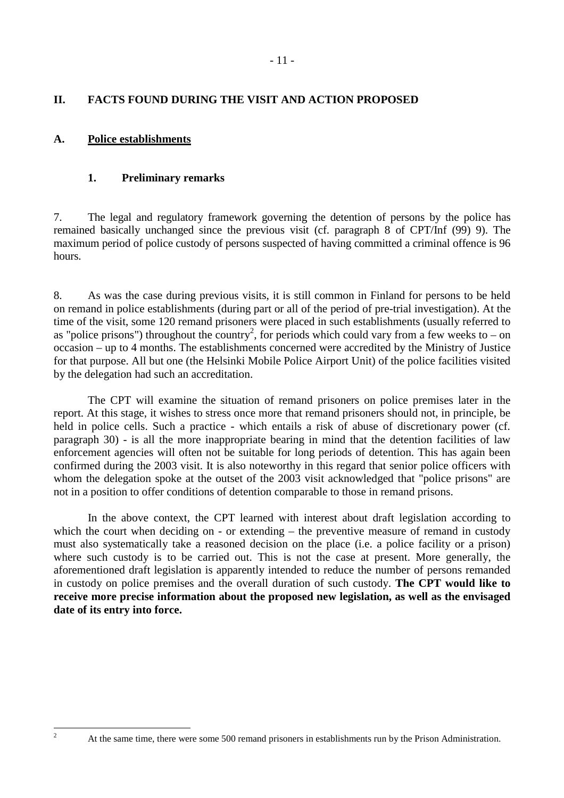## <span id="page-12-0"></span>**II. FACTS FOUND DURING THE VISIT AND ACTION PROPOSED**

### **A. Police establishments**

### **1. Preliminary remarks**

7. The legal and regulatory framework governing the detention of persons by the police has remained basically unchanged since the previous visit (cf. paragraph 8 of CPT/Inf (99) 9). The maximum period of police custody of persons suspected of having committed a criminal offence is 96 hours.

8. As was the case during previous visits, it is still common in Finland for persons to be held on remand in police establishments (during part or all of the period of pre-trial investigation). At the time of the visit, some 120 remand prisoners were placed in such establishments (usually referred to as "police prisons") throughout the country<sup>2</sup>, for periods which could vary from a few weeks to – on occasion – up to 4 months. The establishments concerned were accredited by the Ministry of Justice for that purpose. All but one (the Helsinki Mobile Police Airport Unit) of the police facilities visited by the delegation had such an accreditation.

 The CPT will examine the situation of remand prisoners on police premises later in the report. At this stage, it wishes to stress once more that remand prisoners should not, in principle, be held in police cells. Such a practice - which entails a risk of abuse of discretionary power (cf. paragraph 30) - is all the more inappropriate bearing in mind that the detention facilities of law enforcement agencies will often not be suitable for long periods of detention. This has again been confirmed during the 2003 visit. It is also noteworthy in this regard that senior police officers with whom the delegation spoke at the outset of the 2003 visit acknowledged that "police prisons" are not in a position to offer conditions of detention comparable to those in remand prisons.

 In the above context, the CPT learned with interest about draft legislation according to which the court when deciding on - or extending – the preventive measure of remand in custody must also systematically take a reasoned decision on the place (i.e. a police facility or a prison) where such custody is to be carried out. This is not the case at present. More generally, the aforementioned draft legislation is apparently intended to reduce the number of persons remanded in custody on police premises and the overall duration of such custody. **The CPT would like to receive more precise information about the proposed new legislation, as well as the envisaged date of its entry into force.** 

 $\frac{1}{2}$ 

At the same time, there were some 500 remand prisoners in establishments run by the Prison Administration.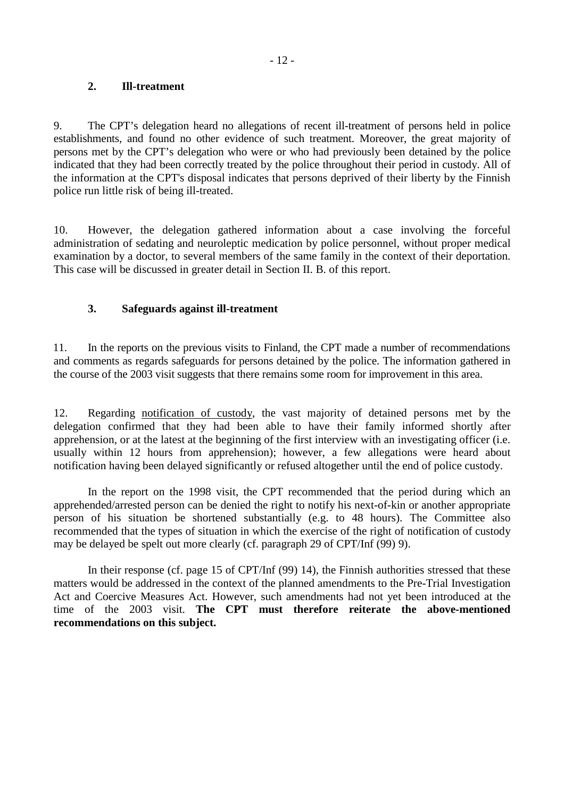#### <span id="page-13-0"></span>**2. Ill-treatment**

9. The CPT's delegation heard no allegations of recent ill-treatment of persons held in police establishments, and found no other evidence of such treatment. Moreover, the great majority of persons met by the CPT's delegation who were or who had previously been detained by the police indicated that they had been correctly treated by the police throughout their period in custody. All of the information at the CPT's disposal indicates that persons deprived of their liberty by the Finnish police run little risk of being ill-treated.

10. However, the delegation gathered information about a case involving the forceful administration of sedating and neuroleptic medication by police personnel, without proper medical examination by a doctor, to several members of the same family in the context of their deportation. This case will be discussed in greater detail in Section II. B. of this report.

### **3. Safeguards against ill-treatment**

11. In the reports on the previous visits to Finland, the CPT made a number of recommendations and comments as regards safeguards for persons detained by the police. The information gathered in the course of the 2003 visit suggests that there remains some room for improvement in this area.

12. Regarding notification of custody, the vast majority of detained persons met by the delegation confirmed that they had been able to have their family informed shortly after apprehension, or at the latest at the beginning of the first interview with an investigating officer (i.e. usually within 12 hours from apprehension); however, a few allegations were heard about notification having been delayed significantly or refused altogether until the end of police custody.

 In the report on the 1998 visit, the CPT recommended that the period during which an apprehended/arrested person can be denied the right to notify his next-of-kin or another appropriate person of his situation be shortened substantially (e.g. to 48 hours). The Committee also recommended that the types of situation in which the exercise of the right of notification of custody may be delayed be spelt out more clearly (cf. paragraph 29 of CPT/Inf (99) 9).

 In their response (cf. page 15 of CPT/Inf (99) 14), the Finnish authorities stressed that these matters would be addressed in the context of the planned amendments to the Pre-Trial Investigation Act and Coercive Measures Act. However, such amendments had not yet been introduced at the time of the 2003 visit. **The CPT must therefore reiterate the above-mentioned recommendations on this subject.**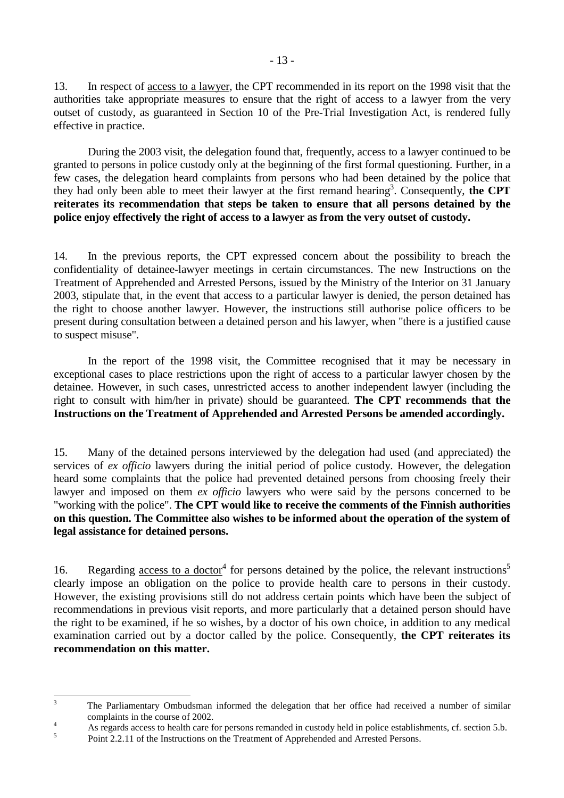13. In respect of access to a lawyer, the CPT recommended in its report on the 1998 visit that the authorities take appropriate measures to ensure that the right of access to a lawyer from the very outset of custody, as guaranteed in Section 10 of the Pre-Trial Investigation Act, is rendered fully effective in practice.

 During the 2003 visit, the delegation found that, frequently, access to a lawyer continued to be granted to persons in police custody only at the beginning of the first formal questioning. Further, in a few cases, the delegation heard complaints from persons who had been detained by the police that they had only been able to meet their lawyer at the first remand hearing<sup>3</sup>. Consequently, the CPT **reiterates its recommendation that steps be taken to ensure that all persons detained by the police enjoy effectively the right of access to a lawyer as from the very outset of custody.** 

14. In the previous reports, the CPT expressed concern about the possibility to breach the confidentiality of detainee-lawyer meetings in certain circumstances. The new Instructions on the Treatment of Apprehended and Arrested Persons, issued by the Ministry of the Interior on 31 January 2003, stipulate that, in the event that access to a particular lawyer is denied, the person detained has the right to choose another lawyer. However, the instructions still authorise police officers to be present during consultation between a detained person and his lawyer, when "there is a justified cause to suspect misuse".

 In the report of the 1998 visit, the Committee recognised that it may be necessary in exceptional cases to place restrictions upon the right of access to a particular lawyer chosen by the detainee. However, in such cases, unrestricted access to another independent lawyer (including the right to consult with him/her in private) should be guaranteed. **The CPT recommends that the Instructions on the Treatment of Apprehended and Arrested Persons be amended accordingly.** 

15. Many of the detained persons interviewed by the delegation had used (and appreciated) the services of *ex officio* lawyers during the initial period of police custody. However, the delegation heard some complaints that the police had prevented detained persons from choosing freely their lawyer and imposed on them *ex officio* lawyers who were said by the persons concerned to be "working with the police". **The CPT would like to receive the comments of the Finnish authorities on this question. The Committee also wishes to be informed about the operation of the system of legal assistance for detained persons.** 

16. Regarding <u>access to a doctor</u><sup>4</sup> for persons detained by the police, the relevant instructions<sup>5</sup> clearly impose an obligation on the police to provide health care to persons in their custody. However, the existing provisions still do not address certain points which have been the subject of recommendations in previous visit reports, and more particularly that a detained person should have the right to be examined, if he so wishes, by a doctor of his own choice, in addition to any medical examination carried out by a doctor called by the police. Consequently, **the CPT reiterates its recommendation on this matter.** 

 $\frac{1}{3}$  The Parliamentary Ombudsman informed the delegation that her office had received a number of similar complaints in the course of 2002.

As regards access to health care for persons remanded in custody held in police establishments, cf. section 5.b.

<sup>5</sup> Point 2.2.11 of the Instructions on the Treatment of Apprehended and Arrested Persons.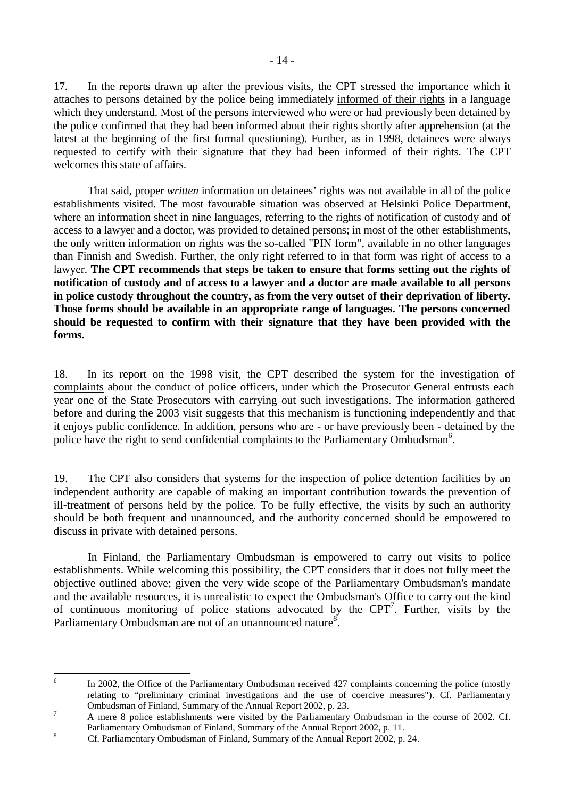17. In the reports drawn up after the previous visits, the CPT stressed the importance which it attaches to persons detained by the police being immediately informed of their rights in a language which they understand. Most of the persons interviewed who were or had previously been detained by the police confirmed that they had been informed about their rights shortly after apprehension (at the latest at the beginning of the first formal questioning). Further, as in 1998, detainees were always requested to certify with their signature that they had been informed of their rights. The CPT welcomes this state of affairs.

 That said, proper *written* information on detainees' rights was not available in all of the police establishments visited. The most favourable situation was observed at Helsinki Police Department, where an information sheet in nine languages, referring to the rights of notification of custody and of access to a lawyer and a doctor, was provided to detained persons; in most of the other establishments, the only written information on rights was the so-called "PIN form", available in no other languages than Finnish and Swedish. Further, the only right referred to in that form was right of access to a lawyer. **The CPT recommends that steps be taken to ensure that forms setting out the rights of notification of custody and of access to a lawyer and a doctor are made available to all persons in police custody throughout the country, as from the very outset of their deprivation of liberty. Those forms should be available in an appropriate range of languages. The persons concerned should be requested to confirm with their signature that they have been provided with the forms.**

18. In its report on the 1998 visit, the CPT described the system for the investigation of complaints about the conduct of police officers, under which the Prosecutor General entrusts each year one of the State Prosecutors with carrying out such investigations. The information gathered before and during the 2003 visit suggests that this mechanism is functioning independently and that it enjoys public confidence. In addition, persons who are - or have previously been - detained by the police have the right to send confidential complaints to the Parliamentary Ombudsman<sup>6</sup>.

19. The CPT also considers that systems for the inspection of police detention facilities by an independent authority are capable of making an important contribution towards the prevention of ill-treatment of persons held by the police. To be fully effective, the visits by such an authority should be both frequent and unannounced, and the authority concerned should be empowered to discuss in private with detained persons.

 In Finland, the Parliamentary Ombudsman is empowered to carry out visits to police establishments. While welcoming this possibility, the CPT considers that it does not fully meet the objective outlined above; given the very wide scope of the Parliamentary Ombudsman's mandate and the available resources, it is unrealistic to expect the Ombudsman's Office to carry out the kind of continuous monitoring of police stations advocated by the  $CPT<sup>7</sup>$ . Further, visits by the Parliamentary Ombudsman are not of an unannounced nature<sup>8</sup>.

 $\frac{1}{6}$  In 2002, the Office of the Parliamentary Ombudsman received 427 complaints concerning the police (mostly relating to "preliminary criminal investigations and the use of coercive measures"). Cf. Parliamentary Ombudsman of Finland, Summary of the Annual Report 2002, p. 23.

A mere 8 police establishments were visited by the Parliamentary Ombudsman in the course of 2002. Cf. Parliamentary Ombudsman of Finland, Summary of the Annual Report 2002, p. 11.

Cf. Parliamentary Ombudsman of Finland, Summary of the Annual Report 2002, p. 24.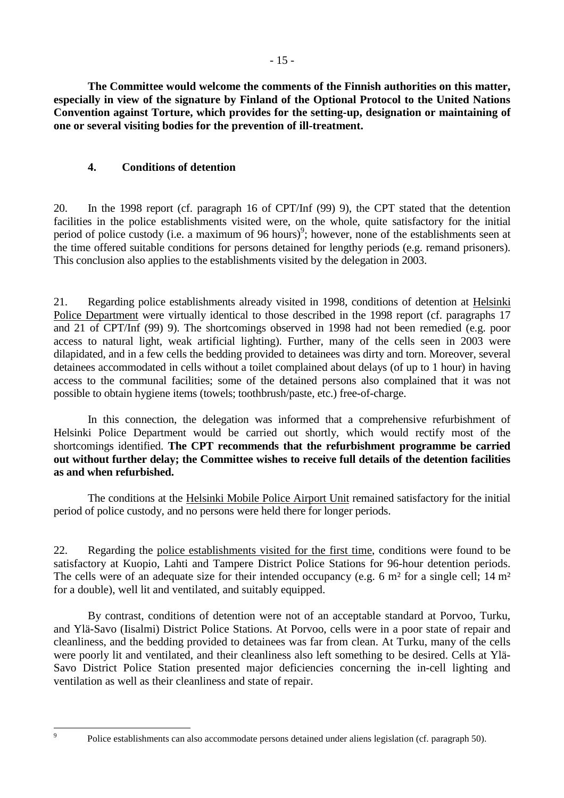- 15 -

<span id="page-16-0"></span> **The Committee would welcome the comments of the Finnish authorities on this matter, especially in view of the signature by Finland of the Optional Protocol to the United Nations Convention against Torture, which provides for the setting-up, designation or maintaining of one or several visiting bodies for the prevention of ill-treatment.** 

### **4. Conditions of detention**

20. In the 1998 report (cf. paragraph 16 of CPT/Inf (99) 9), the CPT stated that the detention facilities in the police establishments visited were, on the whole, quite satisfactory for the initial period of police custody (i.e. a maximum of 96 hours)<sup>9</sup>; however, none of the establishments seen at the time offered suitable conditions for persons detained for lengthy periods (e.g. remand prisoners). This conclusion also applies to the establishments visited by the delegation in 2003.

21. Regarding police establishments already visited in 1998, conditions of detention at Helsinki Police Department were virtually identical to those described in the 1998 report (cf. paragraphs 17 and 21 of CPT/Inf (99) 9). The shortcomings observed in 1998 had not been remedied (e.g. poor access to natural light, weak artificial lighting). Further, many of the cells seen in 2003 were dilapidated, and in a few cells the bedding provided to detainees was dirty and torn. Moreover, several detainees accommodated in cells without a toilet complained about delays (of up to 1 hour) in having access to the communal facilities; some of the detained persons also complained that it was not possible to obtain hygiene items (towels; toothbrush/paste, etc.) free-of-charge.

 In this connection, the delegation was informed that a comprehensive refurbishment of Helsinki Police Department would be carried out shortly, which would rectify most of the shortcomings identified. **The CPT recommends that the refurbishment programme be carried out without further delay; the Committee wishes to receive full details of the detention facilities as and when refurbished.**

 The conditions at the Helsinki Mobile Police Airport Unit remained satisfactory for the initial period of police custody, and no persons were held there for longer periods.

22. Regarding the police establishments visited for the first time, conditions were found to be satisfactory at Kuopio, Lahti and Tampere District Police Stations for 96-hour detention periods. The cells were of an adequate size for their intended occupancy (e.g. 6 m<sup>2</sup> for a single cell; 14 m<sup>2</sup> for a double), well lit and ventilated, and suitably equipped.

 By contrast, conditions of detention were not of an acceptable standard at Porvoo, Turku, and Ylä-Savo (Iisalmi) District Police Stations. At Porvoo, cells were in a poor state of repair and cleanliness, and the bedding provided to detainees was far from clean. At Turku, many of the cells were poorly lit and ventilated, and their cleanliness also left something to be desired. Cells at Ylä-Savo District Police Station presented major deficiencies concerning the in-cell lighting and ventilation as well as their cleanliness and state of repair.

-<br>9

Police establishments can also accommodate persons detained under aliens legislation (cf. paragraph 50).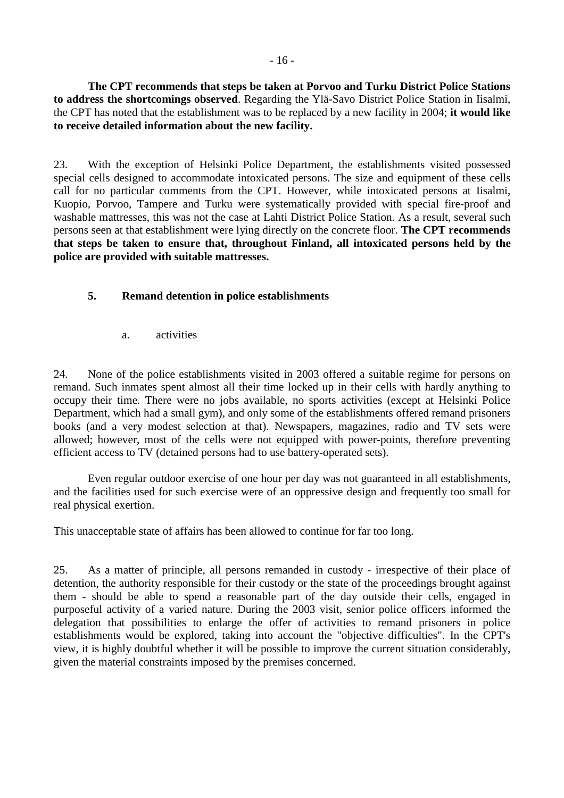<span id="page-17-0"></span>**The CPT recommends that steps be taken at Porvoo and Turku District Police Stations to address the shortcomings observed**. Regarding the Ylä-Savo District Police Station in Iisalmi, the CPT has noted that the establishment was to be replaced by a new facility in 2004; **it would like to receive detailed information about the new facility.**

23. With the exception of Helsinki Police Department, the establishments visited possessed special cells designed to accommodate intoxicated persons. The size and equipment of these cells call for no particular comments from the CPT. However, while intoxicated persons at Iisalmi, Kuopio, Porvoo, Tampere and Turku were systematically provided with special fire-proof and washable mattresses, this was not the case at Lahti District Police Station. As a result, several such persons seen at that establishment were lying directly on the concrete floor. **The CPT recommends that steps be taken to ensure that, throughout Finland, all intoxicated persons held by the police are provided with suitable mattresses.** 

### **5. Remand detention in police establishments**

a. activities

24. None of the police establishments visited in 2003 offered a suitable regime for persons on remand. Such inmates spent almost all their time locked up in their cells with hardly anything to occupy their time. There were no jobs available, no sports activities (except at Helsinki Police Department, which had a small gym), and only some of the establishments offered remand prisoners books (and a very modest selection at that). Newspapers, magazines, radio and TV sets were allowed; however, most of the cells were not equipped with power-points, therefore preventing efficient access to TV (detained persons had to use battery-operated sets).

Even regular outdoor exercise of one hour per day was not guaranteed in all establishments, and the facilities used for such exercise were of an oppressive design and frequently too small for real physical exertion.

This unacceptable state of affairs has been allowed to continue for far too long.

25. As a matter of principle, all persons remanded in custody - irrespective of their place of detention, the authority responsible for their custody or the state of the proceedings brought against them - should be able to spend a reasonable part of the day outside their cells, engaged in purposeful activity of a varied nature. During the 2003 visit, senior police officers informed the delegation that possibilities to enlarge the offer of activities to remand prisoners in police establishments would be explored, taking into account the "objective difficulties". In the CPT's view, it is highly doubtful whether it will be possible to improve the current situation considerably, given the material constraints imposed by the premises concerned.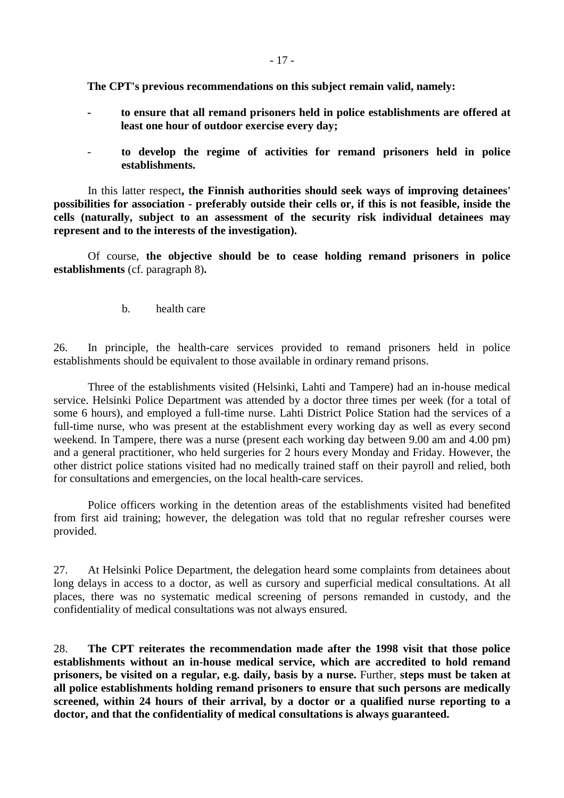- 17 -

<span id="page-18-0"></span>**The CPT's previous recommendations on this subject remain valid, namely:**

- **to ensure that all remand prisoners held in police establishments are offered at least one hour of outdoor exercise every day;**
- **to develop the regime of activities for remand prisoners held in police establishments.**

In this latter respect**, the Finnish authorities should seek ways of improving detainees' possibilities for association - preferably outside their cells or, if this is not feasible, inside the cells (naturally, subject to an assessment of the security risk individual detainees may represent and to the interests of the investigation).** 

 Of course, **the objective should be to cease holding remand prisoners in police establishments** (cf. paragraph 8)**.** 

b. health care

26. In principle, the health-care services provided to remand prisoners held in police establishments should be equivalent to those available in ordinary remand prisons.

 Three of the establishments visited (Helsinki, Lahti and Tampere) had an in-house medical service. Helsinki Police Department was attended by a doctor three times per week (for a total of some 6 hours), and employed a full-time nurse. Lahti District Police Station had the services of a full-time nurse, who was present at the establishment every working day as well as every second weekend. In Tampere, there was a nurse (present each working day between 9.00 am and 4.00 pm) and a general practitioner, who held surgeries for 2 hours every Monday and Friday. However, the other district police stations visited had no medically trained staff on their payroll and relied, both for consultations and emergencies, on the local health-care services.

 Police officers working in the detention areas of the establishments visited had benefited from first aid training; however, the delegation was told that no regular refresher courses were provided.

27. At Helsinki Police Department, the delegation heard some complaints from detainees about long delays in access to a doctor, as well as cursory and superficial medical consultations. At all places, there was no systematic medical screening of persons remanded in custody, and the confidentiality of medical consultations was not always ensured.

28. **The CPT reiterates the recommendation made after the 1998 visit that those police establishments without an in-house medical service, which are accredited to hold remand prisoners, be visited on a regular, e.g. daily, basis by a nurse.** Further, **steps must be taken at all police establishments holding remand prisoners to ensure that such persons are medically screened, within 24 hours of their arrival, by a doctor or a qualified nurse reporting to a doctor, and that the confidentiality of medical consultations is always guaranteed.**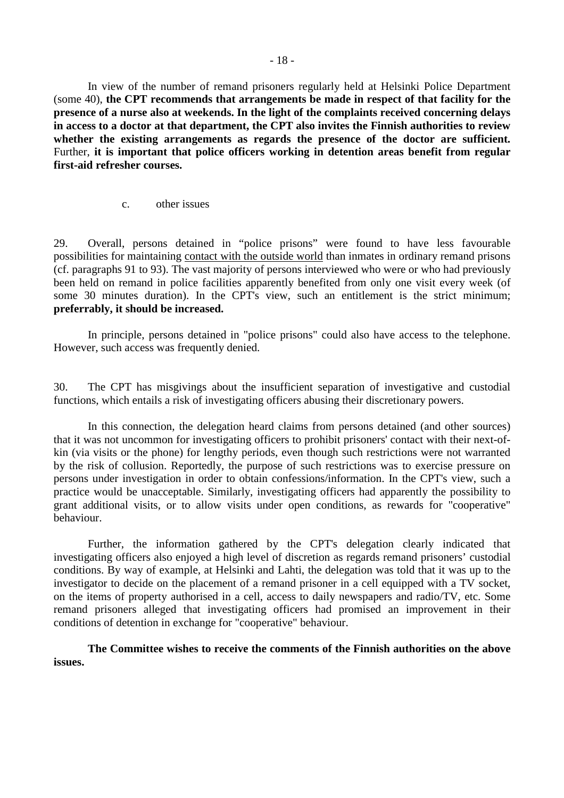<span id="page-19-0"></span>In view of the number of remand prisoners regularly held at Helsinki Police Department (some 40), **the CPT recommends that arrangements be made in respect of that facility for the presence of a nurse also at weekends. In the light of the complaints received concerning delays in access to a doctor at that department, the CPT also invites the Finnish authorities to review whether the existing arrangements as regards the presence of the doctor are sufficient.**  Further, **it is important that police officers working in detention areas benefit from regular first-aid refresher courses.** 

c. other issues

29. Overall, persons detained in "police prisons" were found to have less favourable possibilities for maintaining contact with the outside world than inmates in ordinary remand prisons (cf. paragraphs 91 to 93). The vast majority of persons interviewed who were or who had previously been held on remand in police facilities apparently benefited from only one visit every week (of some 30 minutes duration). In the CPT's view, such an entitlement is the strict minimum; **preferrably, it should be increased.**

 In principle, persons detained in "police prisons" could also have access to the telephone. However, such access was frequently denied.

30. The CPT has misgivings about the insufficient separation of investigative and custodial functions, which entails a risk of investigating officers abusing their discretionary powers.

 In this connection, the delegation heard claims from persons detained (and other sources) that it was not uncommon for investigating officers to prohibit prisoners' contact with their next-ofkin (via visits or the phone) for lengthy periods, even though such restrictions were not warranted by the risk of collusion. Reportedly, the purpose of such restrictions was to exercise pressure on persons under investigation in order to obtain confessions/information. In the CPT's view, such a practice would be unacceptable. Similarly, investigating officers had apparently the possibility to grant additional visits, or to allow visits under open conditions, as rewards for "cooperative" behaviour.

 Further, the information gathered by the CPT's delegation clearly indicated that investigating officers also enjoyed a high level of discretion as regards remand prisoners' custodial conditions. By way of example, at Helsinki and Lahti, the delegation was told that it was up to the investigator to decide on the placement of a remand prisoner in a cell equipped with a TV socket, on the items of property authorised in a cell, access to daily newspapers and radio/TV, etc. Some remand prisoners alleged that investigating officers had promised an improvement in their conditions of detention in exchange for "cooperative" behaviour.

 **The Committee wishes to receive the comments of the Finnish authorities on the above issues.**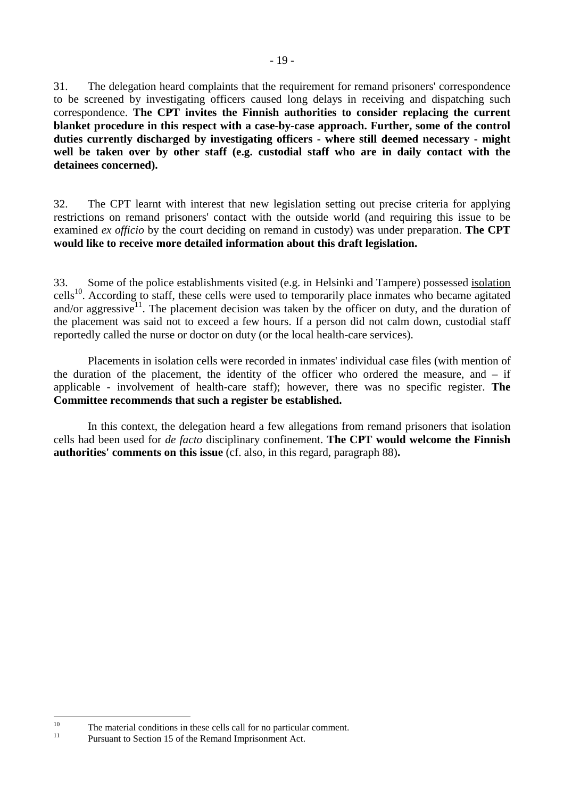31. The delegation heard complaints that the requirement for remand prisoners' correspondence to be screened by investigating officers caused long delays in receiving and dispatching such correspondence. **The CPT invites the Finnish authorities to consider replacing the current blanket procedure in this respect with a case-by-case approach. Further, some of the control duties currently discharged by investigating officers - where still deemed necessary - might well be taken over by other staff (e.g. custodial staff who are in daily contact with the detainees concerned).** 

32. The CPT learnt with interest that new legislation setting out precise criteria for applying restrictions on remand prisoners' contact with the outside world (and requiring this issue to be examined *ex officio* by the court deciding on remand in custody) was under preparation. **The CPT would like to receive more detailed information about this draft legislation.** 

33. Some of the police establishments visited (e.g. in Helsinki and Tampere) possessed isolation cells<sup>10</sup>. According to staff, these cells were used to temporarily place inmates who became agitated and/or aggressive<sup>11</sup>. The placement decision was taken by the officer on duty, and the duration of the placement was said not to exceed a few hours. If a person did not calm down, custodial staff reportedly called the nurse or doctor on duty (or the local health-care services).

 Placements in isolation cells were recorded in inmates' individual case files (with mention of the duration of the placement, the identity of the officer who ordered the measure, and – if applicable - involvement of health-care staff); however, there was no specific register. **The Committee recommends that such a register be established.** 

 In this context, the delegation heard a few allegations from remand prisoners that isolation cells had been used for *de facto* disciplinary confinement. **The CPT would welcome the Finnish authorities' comments on this issue** (cf. also, in this regard, paragraph 88)**.** 

 $10$ <sup>10</sup> The material conditions in these cells call for no particular comment.

Pursuant to Section 15 of the Remand Imprisonment Act.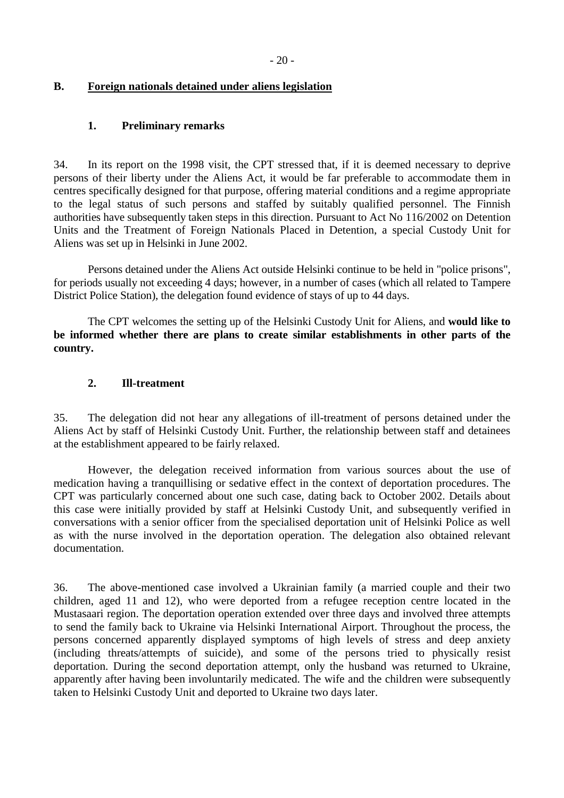#### <span id="page-21-0"></span>**B. Foreign nationals detained under aliens legislation**

#### **1. Preliminary remarks**

34. In its report on the 1998 visit, the CPT stressed that, if it is deemed necessary to deprive persons of their liberty under the Aliens Act, it would be far preferable to accommodate them in centres specifically designed for that purpose, offering material conditions and a regime appropriate to the legal status of such persons and staffed by suitably qualified personnel. The Finnish authorities have subsequently taken steps in this direction. Pursuant to Act No 116/2002 on Detention Units and the Treatment of Foreign Nationals Placed in Detention, a special Custody Unit for Aliens was set up in Helsinki in June 2002.

Persons detained under the Aliens Act outside Helsinki continue to be held in "police prisons", for periods usually not exceeding 4 days; however, in a number of cases (which all related to Tampere District Police Station), the delegation found evidence of stays of up to 44 days.

 The CPT welcomes the setting up of the Helsinki Custody Unit for Aliens, and **would like to be informed whether there are plans to create similar establishments in other parts of the country.** 

#### **2. Ill-treatment**

35. The delegation did not hear any allegations of ill-treatment of persons detained under the Aliens Act by staff of Helsinki Custody Unit. Further, the relationship between staff and detainees at the establishment appeared to be fairly relaxed.

 However, the delegation received information from various sources about the use of medication having a tranquillising or sedative effect in the context of deportation procedures. The CPT was particularly concerned about one such case, dating back to October 2002. Details about this case were initially provided by staff at Helsinki Custody Unit, and subsequently verified in conversations with a senior officer from the specialised deportation unit of Helsinki Police as well as with the nurse involved in the deportation operation. The delegation also obtained relevant documentation.

36. The above-mentioned case involved a Ukrainian family (a married couple and their two children, aged 11 and 12), who were deported from a refugee reception centre located in the Mustasaari region. The deportation operation extended over three days and involved three attempts to send the family back to Ukraine via Helsinki International Airport. Throughout the process, the persons concerned apparently displayed symptoms of high levels of stress and deep anxiety (including threats/attempts of suicide), and some of the persons tried to physically resist deportation. During the second deportation attempt, only the husband was returned to Ukraine, apparently after having been involuntarily medicated. The wife and the children were subsequently taken to Helsinki Custody Unit and deported to Ukraine two days later.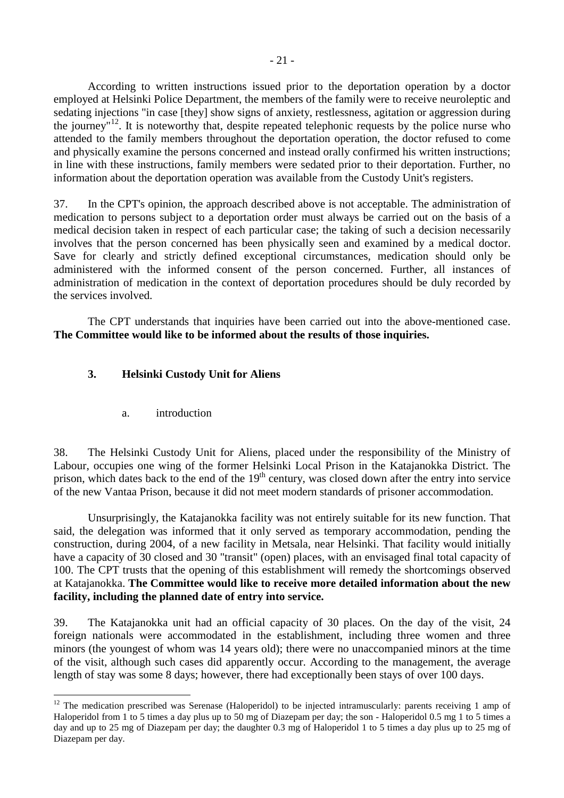<span id="page-22-0"></span> According to written instructions issued prior to the deportation operation by a doctor employed at Helsinki Police Department, the members of the family were to receive neuroleptic and sedating injections "in case [they] show signs of anxiety, restlessness, agitation or aggression during the journey"<sup>12</sup>. It is noteworthy that, despite repeated telephonic requests by the police nurse who attended to the family members throughout the deportation operation, the doctor refused to come and physically examine the persons concerned and instead orally confirmed his written instructions; in line with these instructions, family members were sedated prior to their deportation. Further, no information about the deportation operation was available from the Custody Unit's registers.

37. In the CPT's opinion, the approach described above is not acceptable. The administration of medication to persons subject to a deportation order must always be carried out on the basis of a medical decision taken in respect of each particular case; the taking of such a decision necessarily involves that the person concerned has been physically seen and examined by a medical doctor. Save for clearly and strictly defined exceptional circumstances, medication should only be administered with the informed consent of the person concerned. Further, all instances of administration of medication in the context of deportation procedures should be duly recorded by the services involved.

 The CPT understands that inquiries have been carried out into the above-mentioned case. **The Committee would like to be informed about the results of those inquiries.** 

### **3. Helsinki Custody Unit for Aliens**

a. introduction

 $\overline{a}$ 

38. The Helsinki Custody Unit for Aliens, placed under the responsibility of the Ministry of Labour, occupies one wing of the former Helsinki Local Prison in the Katajanokka District. The prison, which dates back to the end of the  $19<sup>th</sup>$  century, was closed down after the entry into service of the new Vantaa Prison, because it did not meet modern standards of prisoner accommodation.

 Unsurprisingly, the Katajanokka facility was not entirely suitable for its new function. That said, the delegation was informed that it only served as temporary accommodation, pending the construction, during 2004, of a new facility in Metsala, near Helsinki. That facility would initially have a capacity of 30 closed and 30 "transit" (open) places, with an envisaged final total capacity of 100. The CPT trusts that the opening of this establishment will remedy the shortcomings observed at Katajanokka. **The Committee would like to receive more detailed information about the new facility, including the planned date of entry into service.**

39. The Katajanokka unit had an official capacity of 30 places. On the day of the visit, 24 foreign nationals were accommodated in the establishment, including three women and three minors (the youngest of whom was 14 years old); there were no unaccompanied minors at the time of the visit, although such cases did apparently occur. According to the management, the average length of stay was some 8 days; however, there had exceptionally been stays of over 100 days.

 $12$  The medication prescribed was Serenase (Haloperidol) to be injected intramuscularly: parents receiving 1 amp of Haloperidol from 1 to 5 times a day plus up to 50 mg of Diazepam per day; the son - Haloperidol 0.5 mg 1 to 5 times a day and up to 25 mg of Diazepam per day; the daughter 0.3 mg of Haloperidol 1 to 5 times a day plus up to 25 mg of Diazepam per day.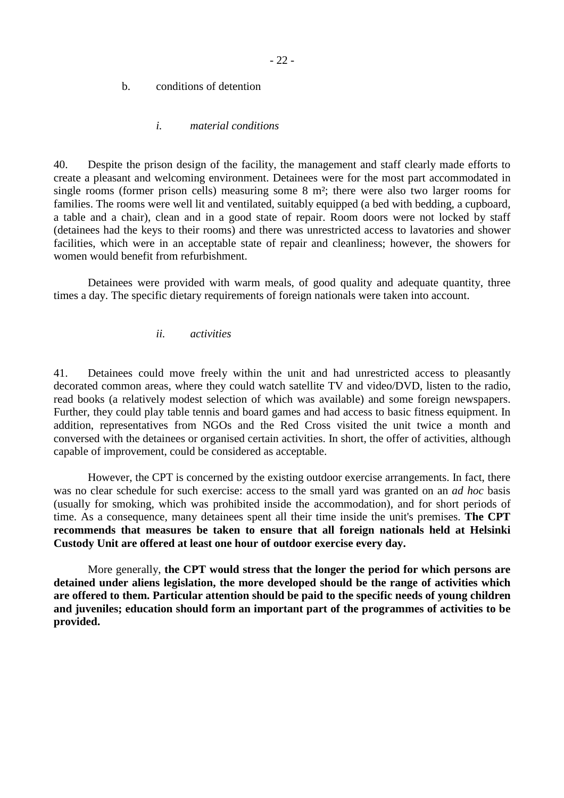#### <span id="page-23-0"></span>b. conditions of detention

#### *i. material conditions*

40. Despite the prison design of the facility, the management and staff clearly made efforts to create a pleasant and welcoming environment. Detainees were for the most part accommodated in single rooms (former prison cells) measuring some 8 m²; there were also two larger rooms for families. The rooms were well lit and ventilated, suitably equipped (a bed with bedding, a cupboard, a table and a chair), clean and in a good state of repair. Room doors were not locked by staff (detainees had the keys to their rooms) and there was unrestricted access to lavatories and shower facilities, which were in an acceptable state of repair and cleanliness; however, the showers for women would benefit from refurbishment.

 Detainees were provided with warm meals, of good quality and adequate quantity, three times a day. The specific dietary requirements of foreign nationals were taken into account.

#### *ii. activities*

41. Detainees could move freely within the unit and had unrestricted access to pleasantly decorated common areas, where they could watch satellite TV and video/DVD, listen to the radio, read books (a relatively modest selection of which was available) and some foreign newspapers. Further, they could play table tennis and board games and had access to basic fitness equipment. In addition, representatives from NGOs and the Red Cross visited the unit twice a month and conversed with the detainees or organised certain activities. In short, the offer of activities, although capable of improvement, could be considered as acceptable.

 However, the CPT is concerned by the existing outdoor exercise arrangements. In fact, there was no clear schedule for such exercise: access to the small yard was granted on an *ad hoc* basis (usually for smoking, which was prohibited inside the accommodation), and for short periods of time. As a consequence, many detainees spent all their time inside the unit's premises. **The CPT recommends that measures be taken to ensure that all foreign nationals held at Helsinki Custody Unit are offered at least one hour of outdoor exercise every day.** 

 More generally, **the CPT would stress that the longer the period for which persons are detained under aliens legislation, the more developed should be the range of activities which are offered to them. Particular attention should be paid to the specific needs of young children and juveniles; education should form an important part of the programmes of activities to be provided.**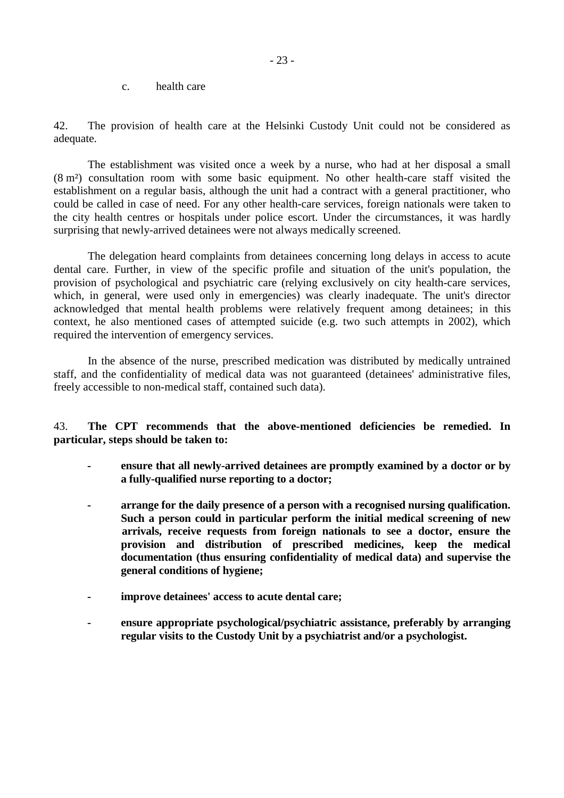c. health care

<span id="page-24-0"></span>42. The provision of health care at the Helsinki Custody Unit could not be considered as adequate.

 The establishment was visited once a week by a nurse, who had at her disposal a small (8 m²) consultation room with some basic equipment. No other health-care staff visited the establishment on a regular basis, although the unit had a contract with a general practitioner, who could be called in case of need. For any other health-care services, foreign nationals were taken to the city health centres or hospitals under police escort. Under the circumstances, it was hardly surprising that newly-arrived detainees were not always medically screened.

 The delegation heard complaints from detainees concerning long delays in access to acute dental care. Further, in view of the specific profile and situation of the unit's population, the provision of psychological and psychiatric care (relying exclusively on city health-care services, which, in general, were used only in emergencies) was clearly inadequate. The unit's director acknowledged that mental health problems were relatively frequent among detainees; in this context, he also mentioned cases of attempted suicide (e.g. two such attempts in 2002), which required the intervention of emergency services.

 In the absence of the nurse, prescribed medication was distributed by medically untrained staff, and the confidentiality of medical data was not guaranteed (detainees' administrative files, freely accessible to non-medical staff, contained such data).

43. **The CPT recommends that the above-mentioned deficiencies be remedied. In particular, steps should be taken to:** 

- ensure that all newly-arrived detainees are promptly examined by a doctor or by **a fully-qualified nurse reporting to a doctor;**
- **arrange for the daily presence of a person with a recognised nursing qualification. Such a person could in particular perform the initial medical screening of new arrivals, receive requests from foreign nationals to see a doctor, ensure the provision and distribution of prescribed medicines, keep the medical documentation (thus ensuring confidentiality of medical data) and supervise the general conditions of hygiene;**
- **improve detainees' access to acute dental care;**
- ensure appropriate psychological/psychiatric assistance, preferably by arranging **regular visits to the Custody Unit by a psychiatrist and/or a psychologist.**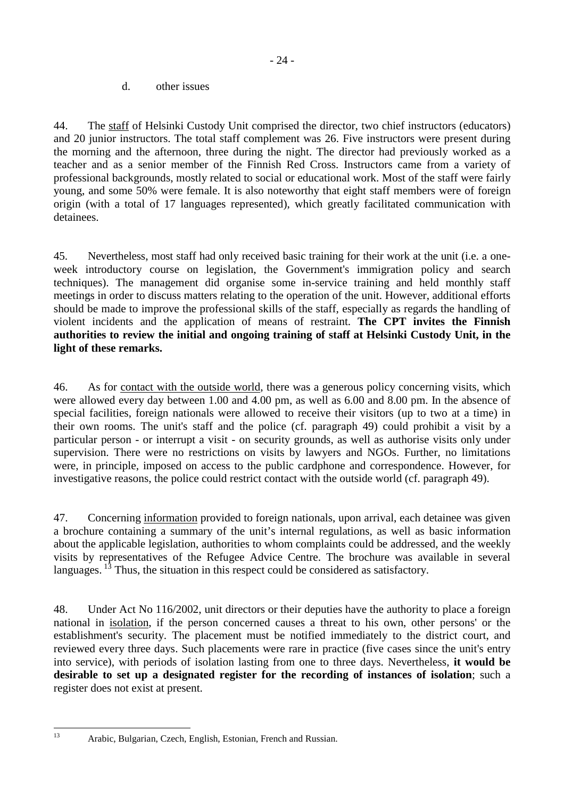d. other issues

<span id="page-25-0"></span>44. The staff of Helsinki Custody Unit comprised the director, two chief instructors (educators) and 20 junior instructors. The total staff complement was 26. Five instructors were present during the morning and the afternoon, three during the night. The director had previously worked as a teacher and as a senior member of the Finnish Red Cross. Instructors came from a variety of professional backgrounds, mostly related to social or educational work. Most of the staff were fairly young, and some 50% were female. It is also noteworthy that eight staff members were of foreign origin (with a total of 17 languages represented), which greatly facilitated communication with detainees.

45. Nevertheless, most staff had only received basic training for their work at the unit (i.e. a oneweek introductory course on legislation, the Government's immigration policy and search techniques). The management did organise some in-service training and held monthly staff meetings in order to discuss matters relating to the operation of the unit. However, additional efforts should be made to improve the professional skills of the staff, especially as regards the handling of violent incidents and the application of means of restraint. **The CPT invites the Finnish authorities to review the initial and ongoing training of staff at Helsinki Custody Unit, in the light of these remarks.** 

46. As for contact with the outside world, there was a generous policy concerning visits, which were allowed every day between 1.00 and 4.00 pm, as well as 6.00 and 8.00 pm. In the absence of special facilities, foreign nationals were allowed to receive their visitors (up to two at a time) in their own rooms. The unit's staff and the police (cf. paragraph 49) could prohibit a visit by a particular person - or interrupt a visit - on security grounds, as well as authorise visits only under supervision. There were no restrictions on visits by lawyers and NGOs. Further, no limitations were, in principle, imposed on access to the public cardphone and correspondence. However, for investigative reasons, the police could restrict contact with the outside world (cf. paragraph 49).

47. Concerning information provided to foreign nationals, upon arrival, each detainee was given a brochure containing a summary of the unit's internal regulations, as well as basic information about the applicable legislation, authorities to whom complaints could be addressed, and the weekly visits by representatives of the Refugee Advice Centre. The brochure was available in several languages.  $1<sup>3</sup>$  Thus, the situation in this respect could be considered as satisfactory.

48. Under Act No 116/2002, unit directors or their deputies have the authority to place a foreign national in isolation, if the person concerned causes a threat to his own, other persons' or the establishment's security. The placement must be notified immediately to the district court, and reviewed every three days. Such placements were rare in practice (five cases since the unit's entry into service), with periods of isolation lasting from one to three days. Nevertheless, **it would be desirable to set up a designated register for the recording of instances of isolation**; such a register does not exist at present.

 $13$ 

Arabic, Bulgarian, Czech, English, Estonian, French and Russian.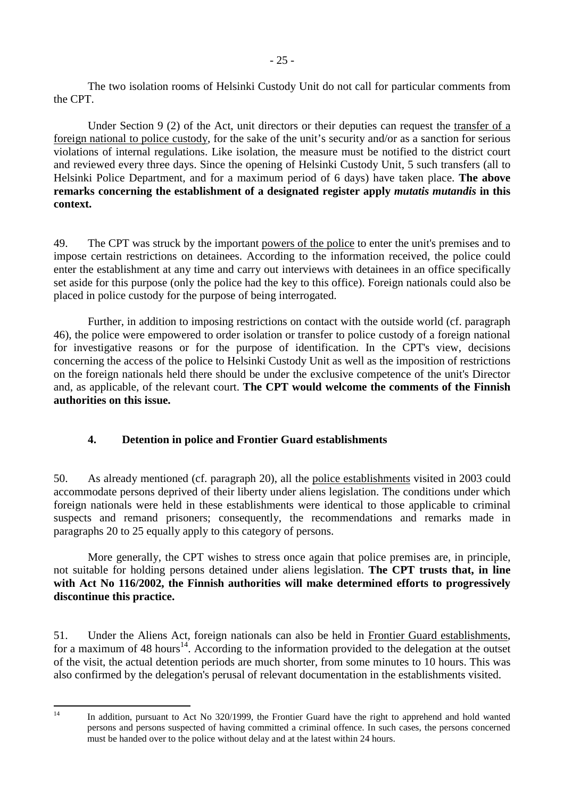<span id="page-26-0"></span> Under Section 9 (2) of the Act, unit directors or their deputies can request the transfer of a foreign national to police custody, for the sake of the unit's security and/or as a sanction for serious violations of internal regulations. Like isolation, the measure must be notified to the district court and reviewed every three days. Since the opening of Helsinki Custody Unit, 5 such transfers (all to Helsinki Police Department, and for a maximum period of 6 days) have taken place. **The above remarks concerning the establishment of a designated register apply** *mutatis mutandis* **in this context.**

49. The CPT was struck by the important powers of the police to enter the unit's premises and to impose certain restrictions on detainees. According to the information received, the police could enter the establishment at any time and carry out interviews with detainees in an office specifically set aside for this purpose (only the police had the key to this office). Foreign nationals could also be placed in police custody for the purpose of being interrogated.

 Further, in addition to imposing restrictions on contact with the outside world (cf. paragraph 46), the police were empowered to order isolation or transfer to police custody of a foreign national for investigative reasons or for the purpose of identification. In the CPT's view, decisions concerning the access of the police to Helsinki Custody Unit as well as the imposition of restrictions on the foreign nationals held there should be under the exclusive competence of the unit's Director and, as applicable, of the relevant court. **The CPT would welcome the comments of the Finnish authorities on this issue.** 

# **4. Detention in police and Frontier Guard establishments**

50. As already mentioned (cf. paragraph 20), all the police establishments visited in 2003 could accommodate persons deprived of their liberty under aliens legislation. The conditions under which foreign nationals were held in these establishments were identical to those applicable to criminal suspects and remand prisoners; consequently, the recommendations and remarks made in paragraphs 20 to 25 equally apply to this category of persons.

 More generally, the CPT wishes to stress once again that police premises are, in principle, not suitable for holding persons detained under aliens legislation. **The CPT trusts that, in line with Act No 116/2002, the Finnish authorities will make determined efforts to progressively discontinue this practice.** 

51. Under the Aliens Act, foreign nationals can also be held in Frontier Guard establishments, for a maximum of 48 hours<sup>14</sup>. According to the information provided to the delegation at the outset of the visit, the actual detention periods are much shorter, from some minutes to 10 hours. This was also confirmed by the delegation's perusal of relevant documentation in the establishments visited.

 $14$ 

In addition, pursuant to Act No 320/1999, the Frontier Guard have the right to apprehend and hold wanted persons and persons suspected of having committed a criminal offence. In such cases, the persons concerned must be handed over to the police without delay and at the latest within 24 hours.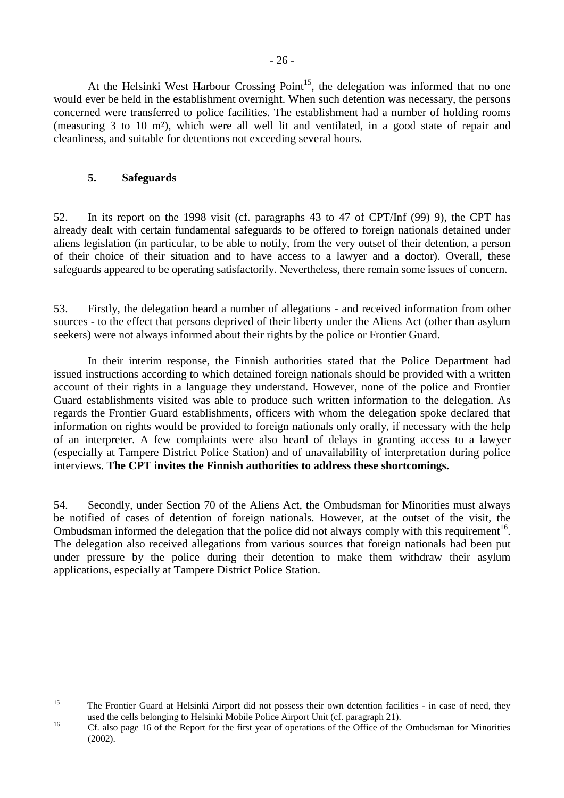<span id="page-27-0"></span>At the Helsinki West Harbour Crossing Point<sup>15</sup>, the delegation was informed that no one would ever be held in the establishment overnight. When such detention was necessary, the persons concerned were transferred to police facilities. The establishment had a number of holding rooms (measuring 3 to 10 m²), which were all well lit and ventilated, in a good state of repair and cleanliness, and suitable for detentions not exceeding several hours.

#### **5. Safeguards**

52. In its report on the 1998 visit (cf. paragraphs 43 to 47 of CPT/Inf (99) 9), the CPT has already dealt with certain fundamental safeguards to be offered to foreign nationals detained under aliens legislation (in particular, to be able to notify, from the very outset of their detention, a person of their choice of their situation and to have access to a lawyer and a doctor). Overall, these safeguards appeared to be operating satisfactorily. Nevertheless, there remain some issues of concern.

53. Firstly, the delegation heard a number of allegations - and received information from other sources - to the effect that persons deprived of their liberty under the Aliens Act (other than asylum seekers) were not always informed about their rights by the police or Frontier Guard.

 In their interim response, the Finnish authorities stated that the Police Department had issued instructions according to which detained foreign nationals should be provided with a written account of their rights in a language they understand. However, none of the police and Frontier Guard establishments visited was able to produce such written information to the delegation. As regards the Frontier Guard establishments, officers with whom the delegation spoke declared that information on rights would be provided to foreign nationals only orally, if necessary with the help of an interpreter. A few complaints were also heard of delays in granting access to a lawyer (especially at Tampere District Police Station) and of unavailability of interpretation during police interviews. **The CPT invites the Finnish authorities to address these shortcomings.** 

54. Secondly, under Section 70 of the Aliens Act, the Ombudsman for Minorities must always be notified of cases of detention of foreign nationals. However, at the outset of the visit, the Ombudsman informed the delegation that the police did not always comply with this requirement<sup>16</sup>. The delegation also received allegations from various sources that foreign nationals had been put under pressure by the police during their detention to make them withdraw their asylum applications, especially at Tampere District Police Station.

 $15$ 15 The Frontier Guard at Helsinki Airport did not possess their own detention facilities - in case of need, they

used the cells belonging to Helsinki Mobile Police Airport Unit (cf. paragraph 21).<br>
Cf. also page 16 of the Report for the first year of operations of the Office of the Ombudsman for Minorities (2002).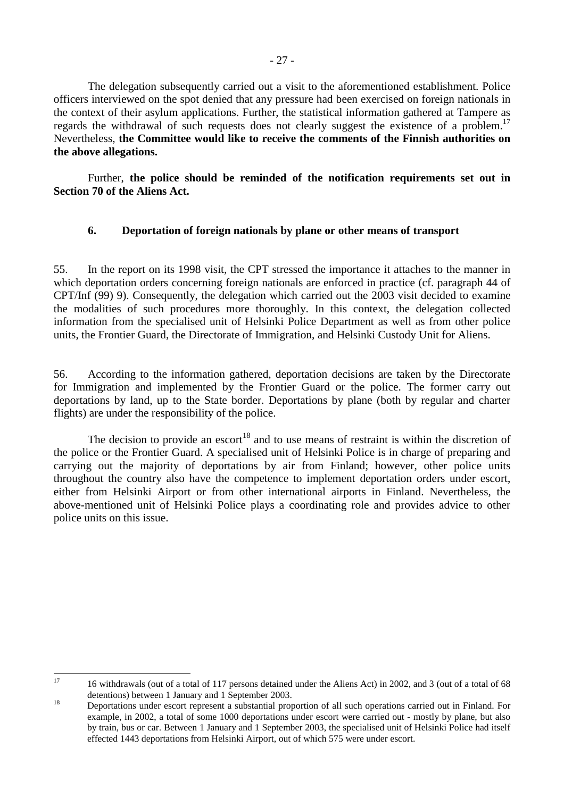<span id="page-28-0"></span> The delegation subsequently carried out a visit to the aforementioned establishment. Police officers interviewed on the spot denied that any pressure had been exercised on foreign nationals in the context of their asylum applications. Further, the statistical information gathered at Tampere as regards the withdrawal of such requests does not clearly suggest the existence of a problem.<sup>17</sup> Nevertheless, **the Committee would like to receive the comments of the Finnish authorities on the above allegations.** 

 Further, **the police should be reminded of the notification requirements set out in Section 70 of the Aliens Act.** 

### **6. Deportation of foreign nationals by plane or other means of transport**

55. In the report on its 1998 visit, the CPT stressed the importance it attaches to the manner in which deportation orders concerning foreign nationals are enforced in practice (cf. paragraph 44 of CPT/Inf (99) 9). Consequently, the delegation which carried out the 2003 visit decided to examine the modalities of such procedures more thoroughly. In this context, the delegation collected information from the specialised unit of Helsinki Police Department as well as from other police units, the Frontier Guard, the Directorate of Immigration, and Helsinki Custody Unit for Aliens.

56. According to the information gathered, deportation decisions are taken by the Directorate for Immigration and implemented by the Frontier Guard or the police. The former carry out deportations by land, up to the State border. Deportations by plane (both by regular and charter flights) are under the responsibility of the police.

The decision to provide an escort<sup>18</sup> and to use means of restraint is within the discretion of the police or the Frontier Guard. A specialised unit of Helsinki Police is in charge of preparing and carrying out the majority of deportations by air from Finland; however, other police units throughout the country also have the competence to implement deportation orders under escort, either from Helsinki Airport or from other international airports in Finland. Nevertheless, the above-mentioned unit of Helsinki Police plays a coordinating role and provides advice to other police units on this issue.

 $17$ 17 16 withdrawals (out of a total of 117 persons detained under the Aliens Act) in 2002, and 3 (out of a total of 68

detentions) between 1 January and 1 September 2003.<br>
Deportations under escort represent a substantial proportion of all such operations carried out in Finland. For example, in 2002, a total of some 1000 deportations under escort were carried out - mostly by plane, but also by train, bus or car. Between 1 January and 1 September 2003, the specialised unit of Helsinki Police had itself effected 1443 deportations from Helsinki Airport, out of which 575 were under escort.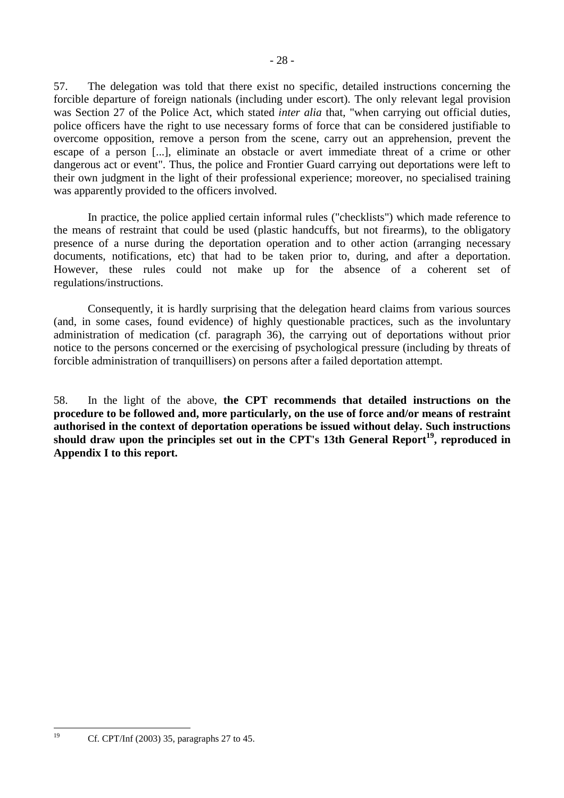57. The delegation was told that there exist no specific, detailed instructions concerning the forcible departure of foreign nationals (including under escort). The only relevant legal provision was Section 27 of the Police Act, which stated *inter alia* that, "when carrying out official duties, police officers have the right to use necessary forms of force that can be considered justifiable to overcome opposition, remove a person from the scene, carry out an apprehension, prevent the escape of a person [...], eliminate an obstacle or avert immediate threat of a crime or other dangerous act or event". Thus, the police and Frontier Guard carrying out deportations were left to their own judgment in the light of their professional experience; moreover, no specialised training was apparently provided to the officers involved.

 In practice, the police applied certain informal rules ("checklists") which made reference to the means of restraint that could be used (plastic handcuffs, but not firearms), to the obligatory presence of a nurse during the deportation operation and to other action (arranging necessary documents, notifications, etc) that had to be taken prior to, during, and after a deportation. However, these rules could not make up for the absence of a coherent set of regulations/instructions.

 Consequently, it is hardly surprising that the delegation heard claims from various sources (and, in some cases, found evidence) of highly questionable practices, such as the involuntary administration of medication (cf. paragraph 36), the carrying out of deportations without prior notice to the persons concerned or the exercising of psychological pressure (including by threats of forcible administration of tranquillisers) on persons after a failed deportation attempt.

58. In the light of the above, **the CPT recommends that detailed instructions on the procedure to be followed and, more particularly, on the use of force and/or means of restraint authorised in the context of deportation operations be issued without delay. Such instructions should draw upon the principles set out in the CPT's 13th General Report19, reproduced in Appendix I to this report.** 

 $19$ 

<sup>19</sup> Cf. CPT/Inf (2003) 35, paragraphs 27 to 45.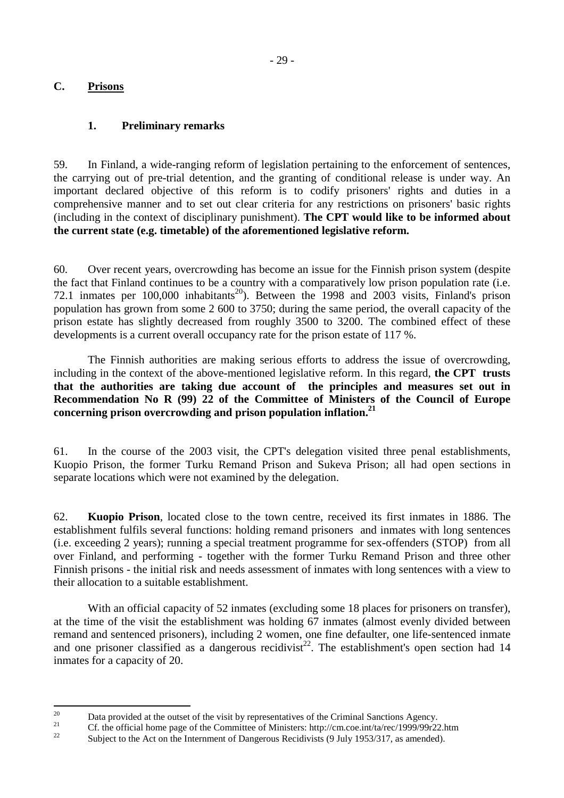### <span id="page-30-0"></span>**C. Prisons**

### **1. Preliminary remarks**

59. In Finland, a wide-ranging reform of legislation pertaining to the enforcement of sentences, the carrying out of pre-trial detention, and the granting of conditional release is under way. An important declared objective of this reform is to codify prisoners' rights and duties in a comprehensive manner and to set out clear criteria for any restrictions on prisoners' basic rights (including in the context of disciplinary punishment). **The CPT would like to be informed about the current state (e.g. timetable) of the aforementioned legislative reform.**

60. Over recent years, overcrowding has become an issue for the Finnish prison system (despite the fact that Finland continues to be a country with a comparatively low prison population rate (i.e. 72.1 inmates per  $100,000$  inhabitants<sup>20</sup>). Between the 1998 and 2003 visits, Finland's prison population has grown from some 2 600 to 3750; during the same period, the overall capacity of the prison estate has slightly decreased from roughly 3500 to 3200. The combined effect of these developments is a current overall occupancy rate for the prison estate of 117 %.

 The Finnish authorities are making serious efforts to address the issue of overcrowding, including in the context of the above-mentioned legislative reform. In this regard, **the CPT trusts that the authorities are taking due account of the principles and measures set out in Recommendation No R (99) 22 of the Committee of Ministers of the Council of Europe concerning prison overcrowding and prison population inflation.21**

61. In the course of the 2003 visit, the CPT's delegation visited three penal establishments, Kuopio Prison, the former Turku Remand Prison and Sukeva Prison; all had open sections in separate locations which were not examined by the delegation.

62. **Kuopio Prison**, located close to the town centre, received its first inmates in 1886. The establishment fulfils several functions: holding remand prisoners and inmates with long sentences (i.e. exceeding 2 years); running a special treatment programme for sex-offenders (STOP) from all over Finland, and performing - together with the former Turku Remand Prison and three other Finnish prisons - the initial risk and needs assessment of inmates with long sentences with a view to their allocation to a suitable establishment.

With an official capacity of 52 inmates (excluding some 18 places for prisoners on transfer), at the time of the visit the establishment was holding 67 inmates (almost evenly divided between remand and sentenced prisoners), including 2 women, one fine defaulter, one life-sentenced inmate and one prisoner classified as a dangerous recidivist<sup>22</sup>. The establishment's open section had  $14$ inmates for a capacity of 20.

 $20$ <sup>20</sup> Data provided at the outset of the visit by representatives of the Criminal Sanctions Agency.

<sup>&</sup>lt;sup>21</sup> Cf. the official home page of the Committee of Ministers: http://cm.coe.int/ta/rec/1999/99r22.htm

Subject to the Act on the Internment of Dangerous Recidivists (9 July 1953/317, as amended).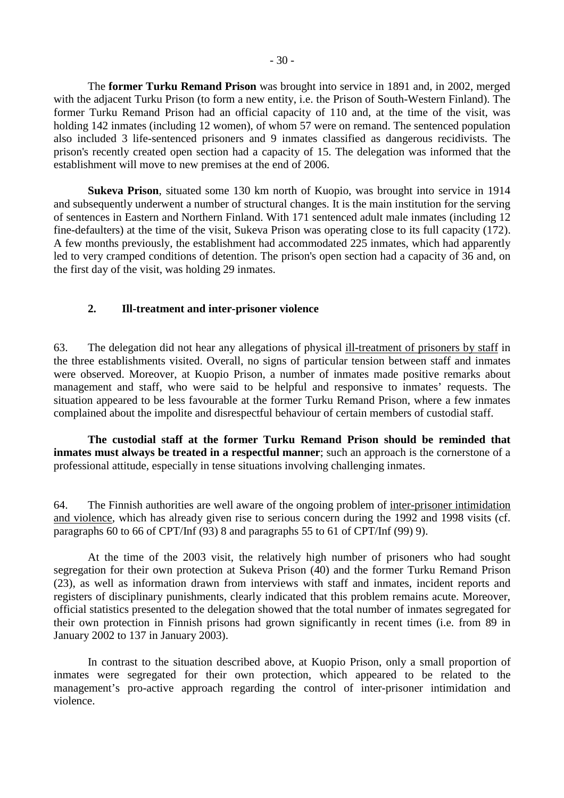<span id="page-31-0"></span> The **former Turku Remand Prison** was brought into service in 1891 and, in 2002, merged with the adjacent Turku Prison (to form a new entity, i.e. the Prison of South-Western Finland). The former Turku Remand Prison had an official capacity of 110 and, at the time of the visit, was holding 142 inmates (including 12 women), of whom 57 were on remand. The sentenced population also included 3 life-sentenced prisoners and 9 inmates classified as dangerous recidivists. The prison's recently created open section had a capacity of 15. The delegation was informed that the establishment will move to new premises at the end of 2006.

 **Sukeva Prison**, situated some 130 km north of Kuopio, was brought into service in 1914 and subsequently underwent a number of structural changes. It is the main institution for the serving of sentences in Eastern and Northern Finland. With 171 sentenced adult male inmates (including 12 fine-defaulters) at the time of the visit, Sukeva Prison was operating close to its full capacity (172). A few months previously, the establishment had accommodated 225 inmates, which had apparently led to very cramped conditions of detention. The prison's open section had a capacity of 36 and, on the first day of the visit, was holding 29 inmates.

#### **2. Ill-treatment and inter-prisoner violence**

63. The delegation did not hear any allegations of physical ill-treatment of prisoners by staff in the three establishments visited. Overall, no signs of particular tension between staff and inmates were observed. Moreover, at Kuopio Prison, a number of inmates made positive remarks about management and staff, who were said to be helpful and responsive to inmates' requests. The situation appeared to be less favourable at the former Turku Remand Prison, where a few inmates complained about the impolite and disrespectful behaviour of certain members of custodial staff.

**The custodial staff at the former Turku Remand Prison should be reminded that inmates must always be treated in a respectful manner**; such an approach is the cornerstone of a professional attitude, especially in tense situations involving challenging inmates.

64. The Finnish authorities are well aware of the ongoing problem of inter-prisoner intimidation and violence, which has already given rise to serious concern during the 1992 and 1998 visits (cf. paragraphs 60 to 66 of CPT/Inf (93) 8 and paragraphs 55 to 61 of CPT/Inf (99) 9).

 At the time of the 2003 visit, the relatively high number of prisoners who had sought segregation for their own protection at Sukeva Prison (40) and the former Turku Remand Prison (23), as well as information drawn from interviews with staff and inmates, incident reports and registers of disciplinary punishments, clearly indicated that this problem remains acute. Moreover, official statistics presented to the delegation showed that the total number of inmates segregated for their own protection in Finnish prisons had grown significantly in recent times (i.e. from 89 in January 2002 to 137 in January 2003).

 In contrast to the situation described above, at Kuopio Prison, only a small proportion of inmates were segregated for their own protection, which appeared to be related to the management's pro-active approach regarding the control of inter-prisoner intimidation and violence.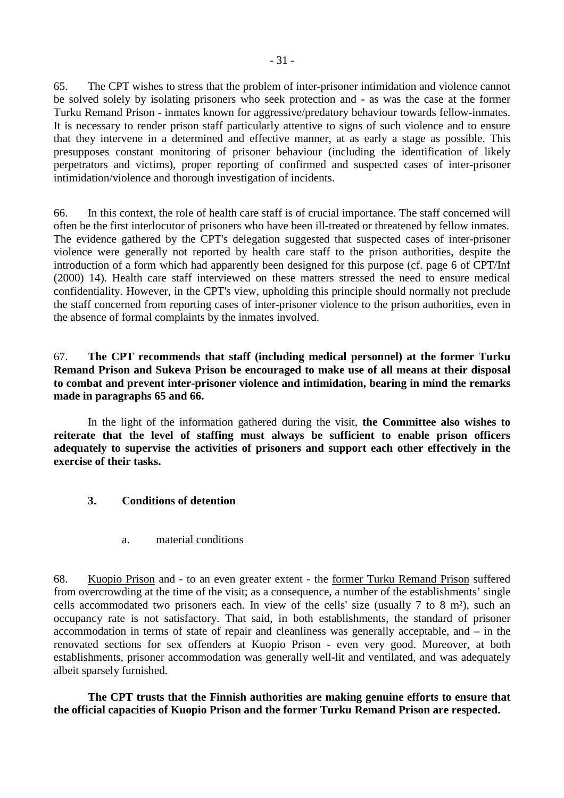<span id="page-32-0"></span>65. The CPT wishes to stress that the problem of inter-prisoner intimidation and violence cannot be solved solely by isolating prisoners who seek protection and - as was the case at the former Turku Remand Prison - inmates known for aggressive/predatory behaviour towards fellow-inmates. It is necessary to render prison staff particularly attentive to signs of such violence and to ensure that they intervene in a determined and effective manner, at as early a stage as possible. This presupposes constant monitoring of prisoner behaviour (including the identification of likely perpetrators and victims), proper reporting of confirmed and suspected cases of inter-prisoner intimidation/violence and thorough investigation of incidents.

66. In this context, the role of health care staff is of crucial importance. The staff concerned will often be the first interlocutor of prisoners who have been ill-treated or threatened by fellow inmates. The evidence gathered by the CPT's delegation suggested that suspected cases of inter-prisoner violence were generally not reported by health care staff to the prison authorities, despite the introduction of a form which had apparently been designed for this purpose (cf. page 6 of CPT/Inf (2000) 14). Health care staff interviewed on these matters stressed the need to ensure medical confidentiality. However, in the CPT's view, upholding this principle should normally not preclude the staff concerned from reporting cases of inter-prisoner violence to the prison authorities, even in the absence of formal complaints by the inmates involved.

67. **The CPT recommends that staff (including medical personnel) at the former Turku Remand Prison and Sukeva Prison be encouraged to make use of all means at their disposal to combat and prevent inter-prisoner violence and intimidation, bearing in mind the remarks made in paragraphs 65 and 66.** 

In the light of the information gathered during the visit, **the Committee also wishes to reiterate that the level of staffing must always be sufficient to enable prison officers adequately to supervise the activities of prisoners and support each other effectively in the exercise of their tasks.** 

### **3. Conditions of detention**

a. material conditions

68. Kuopio Prison and - to an even greater extent - the former Turku Remand Prison suffered from overcrowding at the time of the visit; as a consequence, a number of the establishments' single cells accommodated two prisoners each. In view of the cells' size (usually 7 to 8 m²), such an occupancy rate is not satisfactory. That said, in both establishments, the standard of prisoner accommodation in terms of state of repair and cleanliness was generally acceptable, and – in the renovated sections for sex offenders at Kuopio Prison - even very good. Moreover, at both establishments, prisoner accommodation was generally well-lit and ventilated, and was adequately albeit sparsely furnished.

**The CPT trusts that the Finnish authorities are making genuine efforts to ensure that the official capacities of Kuopio Prison and the former Turku Remand Prison are respected.**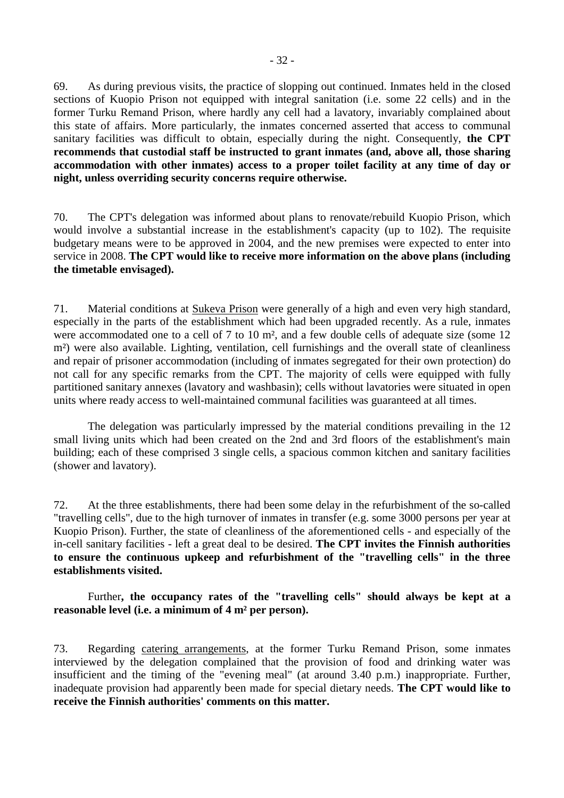69. As during previous visits, the practice of slopping out continued. Inmates held in the closed sections of Kuopio Prison not equipped with integral sanitation (i.e. some 22 cells) and in the former Turku Remand Prison, where hardly any cell had a lavatory, invariably complained about this state of affairs. More particularly, the inmates concerned asserted that access to communal sanitary facilities was difficult to obtain, especially during the night. Consequently, **the CPT recommends that custodial staff be instructed to grant inmates (and, above all, those sharing accommodation with other inmates) access to a proper toilet facility at any time of day or night, unless overriding security concerns require otherwise.**

70. The CPT's delegation was informed about plans to renovate/rebuild Kuopio Prison, which would involve a substantial increase in the establishment's capacity (up to 102). The requisite budgetary means were to be approved in 2004, and the new premises were expected to enter into service in 2008. **The CPT would like to receive more information on the above plans (including the timetable envisaged).**

71. Material conditions at Sukeva Prison were generally of a high and even very high standard, especially in the parts of the establishment which had been upgraded recently. As a rule, inmates were accommodated one to a cell of 7 to 10 m<sup>2</sup>, and a few double cells of adequate size (some 12) m²) were also available. Lighting, ventilation, cell furnishings and the overall state of cleanliness and repair of prisoner accommodation (including of inmates segregated for their own protection) do not call for any specific remarks from the CPT. The majority of cells were equipped with fully partitioned sanitary annexes (lavatory and washbasin); cells without lavatories were situated in open units where ready access to well-maintained communal facilities was guaranteed at all times.

 The delegation was particularly impressed by the material conditions prevailing in the 12 small living units which had been created on the 2nd and 3rd floors of the establishment's main building; each of these comprised 3 single cells, a spacious common kitchen and sanitary facilities (shower and lavatory).

72. At the three establishments, there had been some delay in the refurbishment of the so-called "travelling cells", due to the high turnover of inmates in transfer (e.g. some 3000 persons per year at Kuopio Prison). Further, the state of cleanliness of the aforementioned cells - and especially of the in-cell sanitary facilities - left a great deal to be desired. **The CPT invites the Finnish authorities to ensure the continuous upkeep and refurbishment of the "travelling cells" in the three establishments visited.** 

Further**, the occupancy rates of the "travelling cells" should always be kept at a reasonable level (i.e. a minimum of 4 m² per person).** 

73. Regarding catering arrangements, at the former Turku Remand Prison, some inmates interviewed by the delegation complained that the provision of food and drinking water was insufficient and the timing of the "evening meal" (at around 3.40 p.m.) inappropriate. Further, inadequate provision had apparently been made for special dietary needs. **The CPT would like to receive the Finnish authorities' comments on this matter.**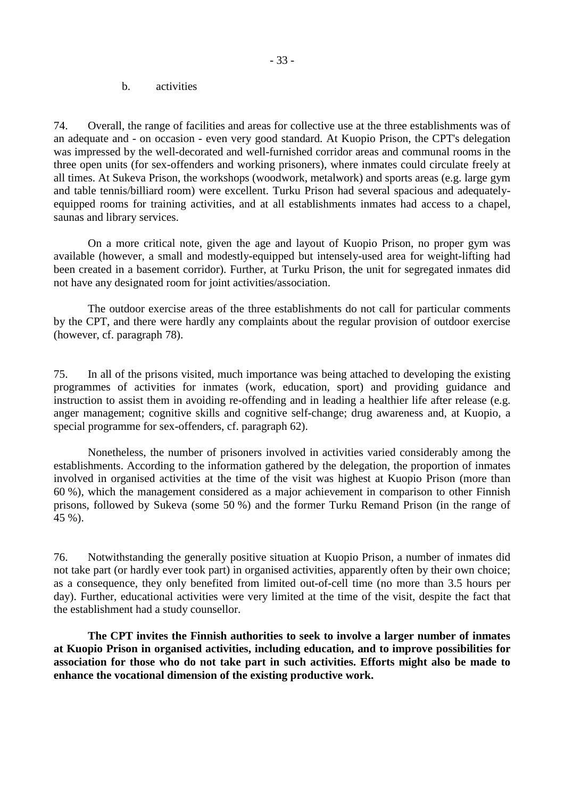b. activities

<span id="page-34-0"></span>74. Overall, the range of facilities and areas for collective use at the three establishments was of an adequate and - on occasion - even very good standard. At Kuopio Prison, the CPT's delegation was impressed by the well-decorated and well-furnished corridor areas and communal rooms in the three open units (for sex-offenders and working prisoners), where inmates could circulate freely at all times. At Sukeva Prison, the workshops (woodwork, metalwork) and sports areas (e.g. large gym and table tennis/billiard room) were excellent. Turku Prison had several spacious and adequatelyequipped rooms for training activities, and at all establishments inmates had access to a chapel, saunas and library services.

 On a more critical note, given the age and layout of Kuopio Prison, no proper gym was available (however, a small and modestly-equipped but intensely-used area for weight-lifting had been created in a basement corridor). Further, at Turku Prison, the unit for segregated inmates did not have any designated room for joint activities/association.

 The outdoor exercise areas of the three establishments do not call for particular comments by the CPT, and there were hardly any complaints about the regular provision of outdoor exercise (however, cf. paragraph 78).

75. In all of the prisons visited, much importance was being attached to developing the existing programmes of activities for inmates (work, education, sport) and providing guidance and instruction to assist them in avoiding re-offending and in leading a healthier life after release (e.g. anger management; cognitive skills and cognitive self-change; drug awareness and, at Kuopio, a special programme for sex-offenders, cf. paragraph 62).

 Nonetheless, the number of prisoners involved in activities varied considerably among the establishments. According to the information gathered by the delegation, the proportion of inmates involved in organised activities at the time of the visit was highest at Kuopio Prison (more than 60 %), which the management considered as a major achievement in comparison to other Finnish prisons, followed by Sukeva (some 50 %) and the former Turku Remand Prison (in the range of 45 %).

76. Notwithstanding the generally positive situation at Kuopio Prison, a number of inmates did not take part (or hardly ever took part) in organised activities, apparently often by their own choice; as a consequence, they only benefited from limited out-of-cell time (no more than 3.5 hours per day). Further, educational activities were very limited at the time of the visit, despite the fact that the establishment had a study counsellor.

**The CPT invites the Finnish authorities to seek to involve a larger number of inmates at Kuopio Prison in organised activities, including education, and to improve possibilities for association for those who do not take part in such activities. Efforts might also be made to enhance the vocational dimension of the existing productive work.**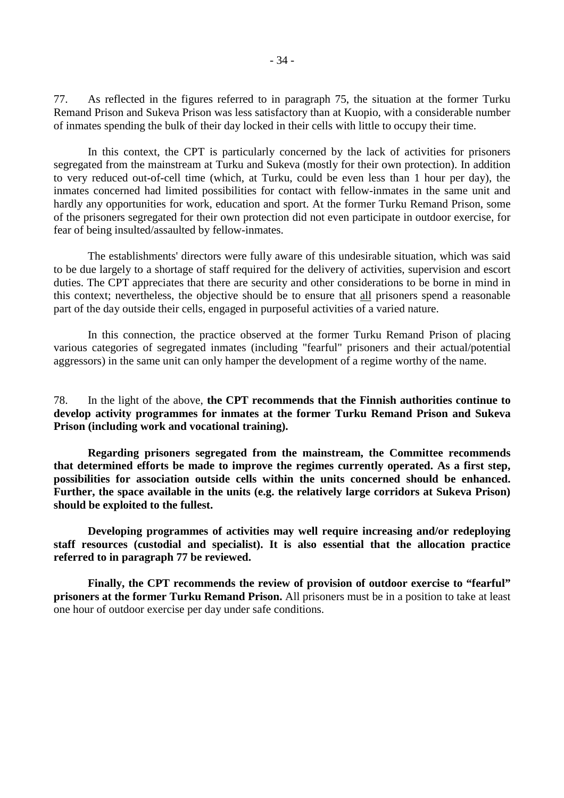77. As reflected in the figures referred to in paragraph 75, the situation at the former Turku Remand Prison and Sukeva Prison was less satisfactory than at Kuopio, with a considerable number of inmates spending the bulk of their day locked in their cells with little to occupy their time.

 In this context, the CPT is particularly concerned by the lack of activities for prisoners segregated from the mainstream at Turku and Sukeva (mostly for their own protection). In addition to very reduced out-of-cell time (which, at Turku, could be even less than 1 hour per day), the inmates concerned had limited possibilities for contact with fellow-inmates in the same unit and hardly any opportunities for work, education and sport. At the former Turku Remand Prison, some of the prisoners segregated for their own protection did not even participate in outdoor exercise, for fear of being insulted/assaulted by fellow-inmates.

 The establishments' directors were fully aware of this undesirable situation, which was said to be due largely to a shortage of staff required for the delivery of activities, supervision and escort duties. The CPT appreciates that there are security and other considerations to be borne in mind in this context; nevertheless, the objective should be to ensure that all prisoners spend a reasonable part of the day outside their cells, engaged in purposeful activities of a varied nature.

 In this connection, the practice observed at the former Turku Remand Prison of placing various categories of segregated inmates (including "fearful" prisoners and their actual/potential aggressors) in the same unit can only hamper the development of a regime worthy of the name.

78. In the light of the above, **the CPT recommends that the Finnish authorities continue to develop activity programmes for inmates at the former Turku Remand Prison and Sukeva Prison (including work and vocational training).** 

**Regarding prisoners segregated from the mainstream, the Committee recommends that determined efforts be made to improve the regimes currently operated. As a first step, possibilities for association outside cells within the units concerned should be enhanced. Further, the space available in the units (e.g. the relatively large corridors at Sukeva Prison) should be exploited to the fullest.** 

**Developing programmes of activities may well require increasing and/or redeploying staff resources (custodial and specialist). It is also essential that the allocation practice referred to in paragraph 77 be reviewed.** 

**Finally, the CPT recommends the review of provision of outdoor exercise to "fearful" prisoners at the former Turku Remand Prison.** All prisoners must be in a position to take at least one hour of outdoor exercise per day under safe conditions.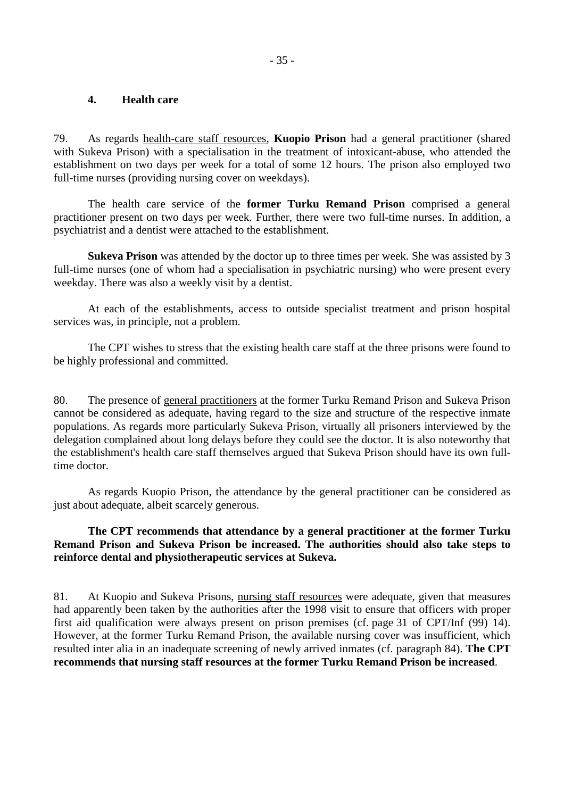### **4. Health care**

79. As regards health-care staff resources, **Kuopio Prison** had a general practitioner (shared with Sukeva Prison) with a specialisation in the treatment of intoxicant-abuse, who attended the establishment on two days per week for a total of some 12 hours. The prison also employed two full-time nurses (providing nursing cover on weekdays).

 The health care service of the **former Turku Remand Prison** comprised a general practitioner present on two days per week. Further, there were two full-time nurses. In addition, a psychiatrist and a dentist were attached to the establishment.

**Sukeva Prison** was attended by the doctor up to three times per week. She was assisted by 3 full-time nurses (one of whom had a specialisation in psychiatric nursing) who were present every weekday. There was also a weekly visit by a dentist.

 At each of the establishments, access to outside specialist treatment and prison hospital services was, in principle, not a problem.

 The CPT wishes to stress that the existing health care staff at the three prisons were found to be highly professional and committed.

80. The presence of general practitioners at the former Turku Remand Prison and Sukeva Prison cannot be considered as adequate, having regard to the size and structure of the respective inmate populations. As regards more particularly Sukeva Prison, virtually all prisoners interviewed by the delegation complained about long delays before they could see the doctor. It is also noteworthy that the establishment's health care staff themselves argued that Sukeva Prison should have its own fulltime doctor.

 As regards Kuopio Prison, the attendance by the general practitioner can be considered as just about adequate, albeit scarcely generous.

# **The CPT recommends that attendance by a general practitioner at the former Turku Remand Prison and Sukeva Prison be increased. The authorities should also take steps to reinforce dental and physiotherapeutic services at Sukeva.**

81. At Kuopio and Sukeva Prisons, nursing staff resources were adequate, given that measures had apparently been taken by the authorities after the 1998 visit to ensure that officers with proper first aid qualification were always present on prison premises (cf. page 31 of CPT/Inf (99) 14). However, at the former Turku Remand Prison, the available nursing cover was insufficient, which resulted inter alia in an inadequate screening of newly arrived inmates (cf. paragraph 84). **The CPT recommends that nursing staff resources at the former Turku Remand Prison be increased**.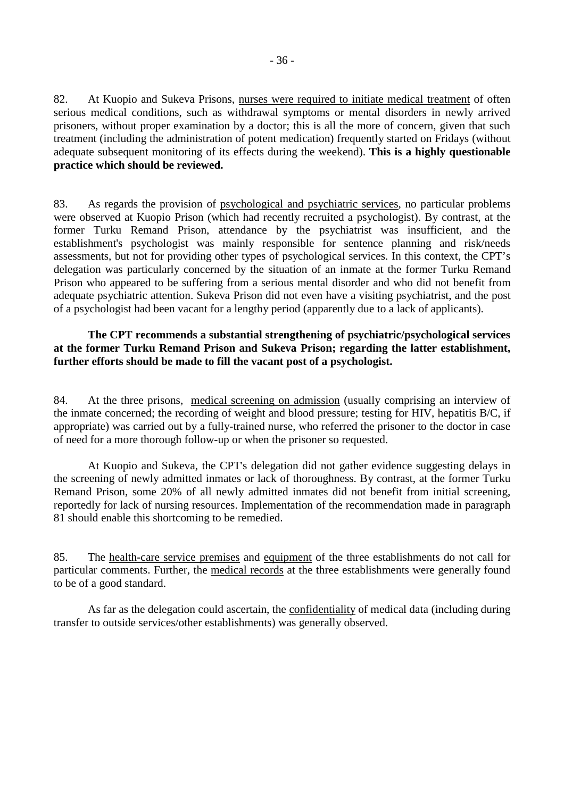82. At Kuopio and Sukeva Prisons, nurses were required to initiate medical treatment of often serious medical conditions, such as withdrawal symptoms or mental disorders in newly arrived prisoners, without proper examination by a doctor; this is all the more of concern, given that such treatment (including the administration of potent medication) frequently started on Fridays (without adequate subsequent monitoring of its effects during the weekend). **This is a highly questionable practice which should be reviewed.**

83. As regards the provision of psychological and psychiatric services, no particular problems were observed at Kuopio Prison (which had recently recruited a psychologist). By contrast, at the former Turku Remand Prison, attendance by the psychiatrist was insufficient, and the establishment's psychologist was mainly responsible for sentence planning and risk/needs assessments, but not for providing other types of psychological services. In this context, the CPT's delegation was particularly concerned by the situation of an inmate at the former Turku Remand Prison who appeared to be suffering from a serious mental disorder and who did not benefit from adequate psychiatric attention. Sukeva Prison did not even have a visiting psychiatrist, and the post of a psychologist had been vacant for a lengthy period (apparently due to a lack of applicants).

# **The CPT recommends a substantial strengthening of psychiatric/psychological services at the former Turku Remand Prison and Sukeva Prison; regarding the latter establishment, further efforts should be made to fill the vacant post of a psychologist.**

84. At the three prisons, medical screening on admission (usually comprising an interview of the inmate concerned; the recording of weight and blood pressure; testing for HIV, hepatitis B/C, if appropriate) was carried out by a fully-trained nurse, who referred the prisoner to the doctor in case of need for a more thorough follow-up or when the prisoner so requested.

 At Kuopio and Sukeva, the CPT's delegation did not gather evidence suggesting delays in the screening of newly admitted inmates or lack of thoroughness. By contrast, at the former Turku Remand Prison, some 20% of all newly admitted inmates did not benefit from initial screening, reportedly for lack of nursing resources. Implementation of the recommendation made in paragraph 81 should enable this shortcoming to be remedied.

85. The health-care service premises and equipment of the three establishments do not call for particular comments. Further, the medical records at the three establishments were generally found to be of a good standard.

 As far as the delegation could ascertain, the confidentiality of medical data (including during transfer to outside services/other establishments) was generally observed.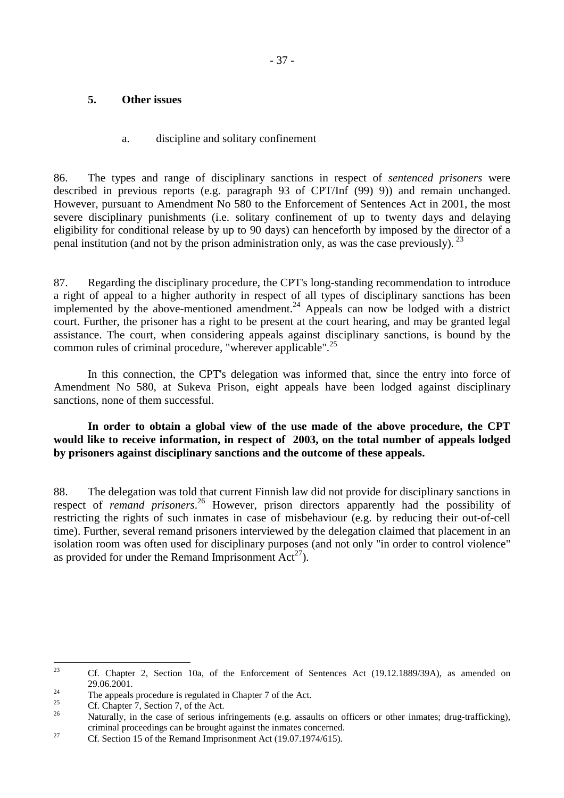# **5. Other issues**

# a. discipline and solitary confinement

86. The types and range of disciplinary sanctions in respect of *sentenced prisoners* were described in previous reports (e.g. paragraph 93 of CPT/Inf (99) 9)) and remain unchanged. However, pursuant to Amendment No 580 to the Enforcement of Sentences Act in 2001, the most severe disciplinary punishments (i.e. solitary confinement of up to twenty days and delaying eligibility for conditional release by up to 90 days) can henceforth by imposed by the director of a penal institution (and not by the prison administration only, as was the case previously). <sup>23</sup>

87. Regarding the disciplinary procedure, the CPT's long-standing recommendation to introduce a right of appeal to a higher authority in respect of all types of disciplinary sanctions has been implemented by the above-mentioned amendment.<sup>24</sup> Appeals can now be lodged with a district court. Further, the prisoner has a right to be present at the court hearing, and may be granted legal assistance. The court, when considering appeals against disciplinary sanctions, is bound by the common rules of criminal procedure, "wherever applicable".<sup>25</sup>

 In this connection, the CPT's delegation was informed that, since the entry into force of Amendment No 580, at Sukeva Prison, eight appeals have been lodged against disciplinary sanctions, none of them successful.

 **In order to obtain a global view of the use made of the above procedure, the CPT would like to receive information, in respect of 2003, on the total number of appeals lodged by prisoners against disciplinary sanctions and the outcome of these appeals.** 

88. The delegation was told that current Finnish law did not provide for disciplinary sanctions in respect of *remand prisoners*. 26 However, prison directors apparently had the possibility of restricting the rights of such inmates in case of misbehaviour (e.g. by reducing their out-of-cell time). Further, several remand prisoners interviewed by the delegation claimed that placement in an isolation room was often used for disciplinary purposes (and not only "in order to control violence" as provided for under the Remand Imprisonment  $Act^{27}$ ).

23 23 Cf. Chapter 2, Section 10a, of the Enforcement of Sentences Act (19.12.1889/39A), as amended on

<sup>29.06.2001.&</sup>lt;br>The appeals procedure is regulated in Chapter 7 of the Act.

<sup>&</sup>lt;sup>25</sup> Cf. Chapter 7, Section 7, of the Act.

<sup>26</sup> Naturally, in the case of serious infringements (e.g. assaults on officers or other inmates; drug-trafficking), criminal proceedings can be brought against the inmates concerned.<br>Cf. Section 15 of the Remand Imprisonment Act (19.07.1974/615).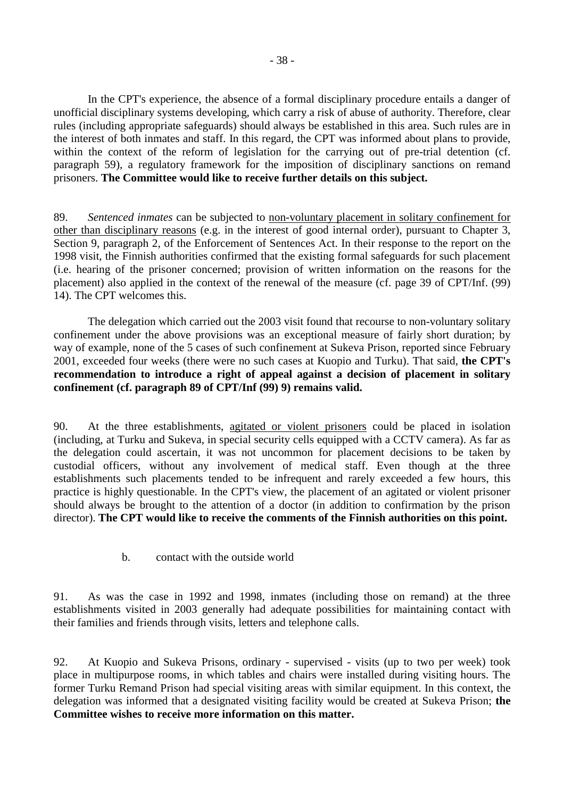In the CPT's experience, the absence of a formal disciplinary procedure entails a danger of unofficial disciplinary systems developing, which carry a risk of abuse of authority. Therefore, clear rules (including appropriate safeguards) should always be established in this area. Such rules are in the interest of both inmates and staff. In this regard, the CPT was informed about plans to provide, within the context of the reform of legislation for the carrying out of pre-trial detention (cf. paragraph 59), a regulatory framework for the imposition of disciplinary sanctions on remand prisoners. **The Committee would like to receive further details on this subject.**

89. *Sentenced inmates* can be subjected to non-voluntary placement in solitary confinement for other than disciplinary reasons (e.g. in the interest of good internal order), pursuant to Chapter 3, Section 9, paragraph 2, of the Enforcement of Sentences Act. In their response to the report on the 1998 visit, the Finnish authorities confirmed that the existing formal safeguards for such placement (i.e. hearing of the prisoner concerned; provision of written information on the reasons for the placement) also applied in the context of the renewal of the measure (cf. page 39 of CPT/Inf. (99) 14). The CPT welcomes this.

 The delegation which carried out the 2003 visit found that recourse to non-voluntary solitary confinement under the above provisions was an exceptional measure of fairly short duration; by way of example, none of the 5 cases of such confinement at Sukeva Prison, reported since February 2001, exceeded four weeks (there were no such cases at Kuopio and Turku). That said, **the CPT's recommendation to introduce a right of appeal against a decision of placement in solitary confinement (cf. paragraph 89 of CPT/Inf (99) 9) remains valid.**

90. At the three establishments, agitated or violent prisoners could be placed in isolation (including, at Turku and Sukeva, in special security cells equipped with a CCTV camera). As far as the delegation could ascertain, it was not uncommon for placement decisions to be taken by custodial officers, without any involvement of medical staff. Even though at the three establishments such placements tended to be infrequent and rarely exceeded a few hours, this practice is highly questionable. In the CPT's view, the placement of an agitated or violent prisoner should always be brought to the attention of a doctor (in addition to confirmation by the prison director). **The CPT would like to receive the comments of the Finnish authorities on this point.**

b. contact with the outside world

91. As was the case in 1992 and 1998, inmates (including those on remand) at the three establishments visited in 2003 generally had adequate possibilities for maintaining contact with their families and friends through visits, letters and telephone calls.

92. At Kuopio and Sukeva Prisons, ordinary - supervised - visits (up to two per week) took place in multipurpose rooms, in which tables and chairs were installed during visiting hours. The former Turku Remand Prison had special visiting areas with similar equipment. In this context, the delegation was informed that a designated visiting facility would be created at Sukeva Prison; **the Committee wishes to receive more information on this matter.**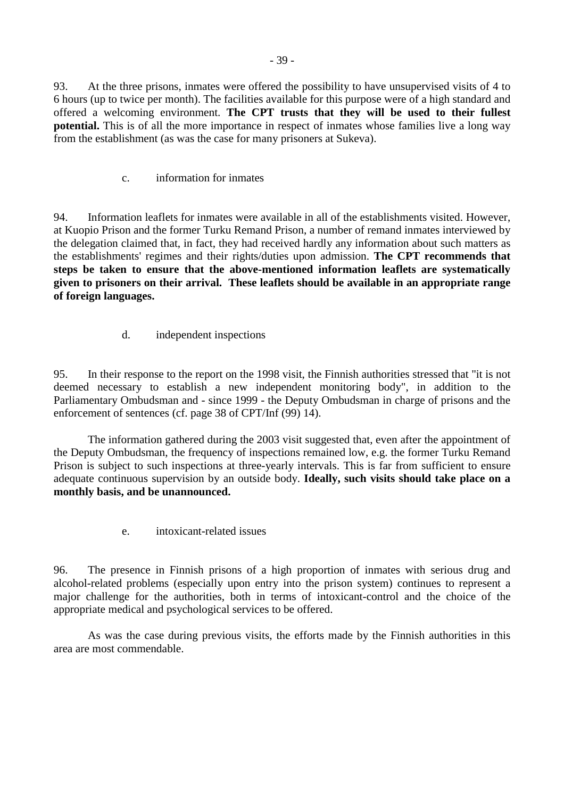93. At the three prisons, inmates were offered the possibility to have unsupervised visits of 4 to 6 hours (up to twice per month). The facilities available for this purpose were of a high standard and offered a welcoming environment. **The CPT trusts that they will be used to their fullest potential.** This is of all the more importance in respect of inmates whose families live a long way from the establishment (as was the case for many prisoners at Sukeva).

c. information for inmates

94. Information leaflets for inmates were available in all of the establishments visited. However, at Kuopio Prison and the former Turku Remand Prison, a number of remand inmates interviewed by the delegation claimed that, in fact, they had received hardly any information about such matters as the establishments' regimes and their rights/duties upon admission. **The CPT recommends that steps be taken to ensure that the above-mentioned information leaflets are systematically given to prisoners on their arrival. These leaflets should be available in an appropriate range of foreign languages.** 

d. independent inspections

95. In their response to the report on the 1998 visit, the Finnish authorities stressed that "it is not deemed necessary to establish a new independent monitoring body", in addition to the Parliamentary Ombudsman and - since 1999 - the Deputy Ombudsman in charge of prisons and the enforcement of sentences (cf. page 38 of CPT/Inf (99) 14).

 The information gathered during the 2003 visit suggested that, even after the appointment of the Deputy Ombudsman, the frequency of inspections remained low, e.g. the former Turku Remand Prison is subject to such inspections at three-yearly intervals. This is far from sufficient to ensure adequate continuous supervision by an outside body. **Ideally, such visits should take place on a monthly basis, and be unannounced.** 

e. intoxicant-related issues

96. The presence in Finnish prisons of a high proportion of inmates with serious drug and alcohol-related problems (especially upon entry into the prison system) continues to represent a major challenge for the authorities, both in terms of intoxicant-control and the choice of the appropriate medical and psychological services to be offered.

 As was the case during previous visits, the efforts made by the Finnish authorities in this area are most commendable.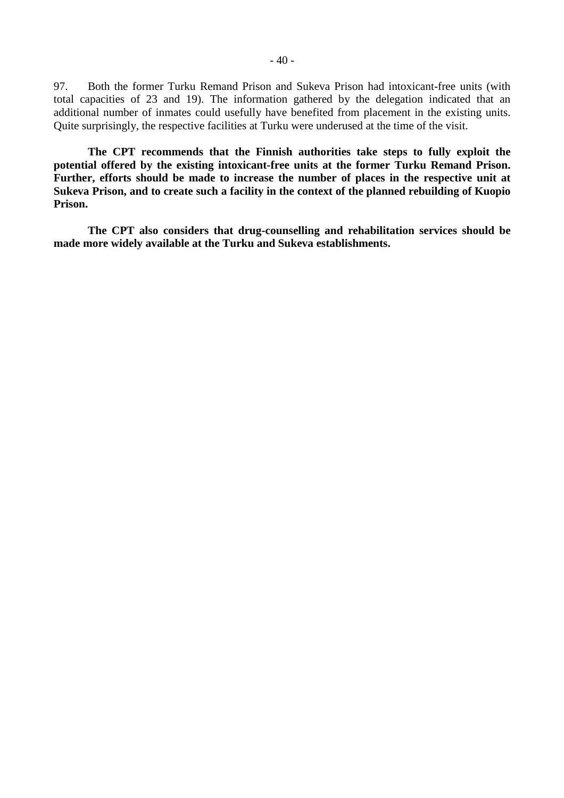97. Both the former Turku Remand Prison and Sukeva Prison had intoxicant-free units (with total capacities of 23 and 19). The information gathered by the delegation indicated that an additional number of inmates could usefully have benefited from placement in the existing units. Quite surprisingly, the respective facilities at Turku were underused at the time of the visit.

 **The CPT recommends that the Finnish authorities take steps to fully exploit the potential offered by the existing intoxicant-free units at the former Turku Remand Prison. Further, efforts should be made to increase the number of places in the respective unit at Sukeva Prison, and to create such a facility in the context of the planned rebuilding of Kuopio Prison.** 

**The CPT also considers that drug-counselling and rehabilitation services should be made more widely available at the Turku and Sukeva establishments.**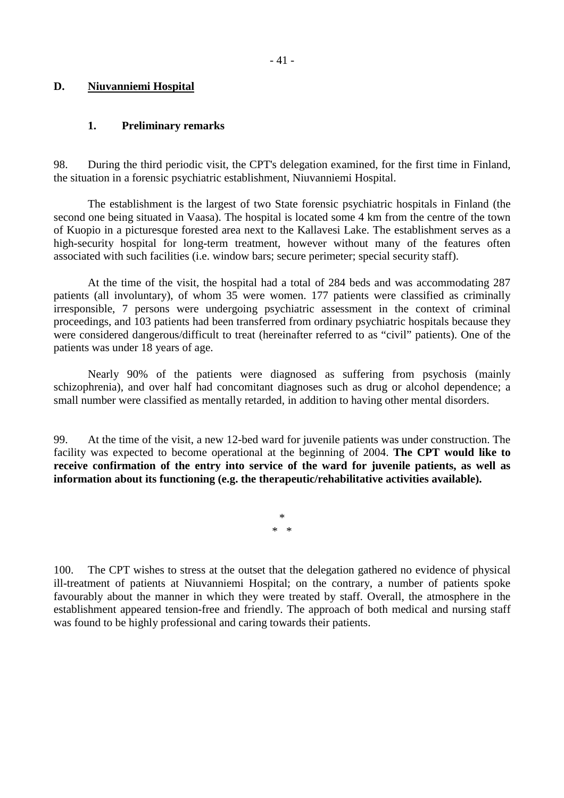# **D. Niuvanniemi Hospital**

# **1. Preliminary remarks**

98. During the third periodic visit, the CPT's delegation examined, for the first time in Finland, the situation in a forensic psychiatric establishment, Niuvanniemi Hospital.

 The establishment is the largest of two State forensic psychiatric hospitals in Finland (the second one being situated in Vaasa). The hospital is located some 4 km from the centre of the town of Kuopio in a picturesque forested area next to the Kallavesi Lake. The establishment serves as a high-security hospital for long-term treatment, however without many of the features often associated with such facilities (i.e. window bars; secure perimeter; special security staff).

 At the time of the visit, the hospital had a total of 284 beds and was accommodating 287 patients (all involuntary), of whom 35 were women. 177 patients were classified as criminally irresponsible, 7 persons were undergoing psychiatric assessment in the context of criminal proceedings, and 103 patients had been transferred from ordinary psychiatric hospitals because they were considered dangerous/difficult to treat (hereinafter referred to as "civil" patients). One of the patients was under 18 years of age.

 Nearly 90% of the patients were diagnosed as suffering from psychosis (mainly schizophrenia), and over half had concomitant diagnoses such as drug or alcohol dependence; a small number were classified as mentally retarded, in addition to having other mental disorders.

99. At the time of the visit, a new 12-bed ward for juvenile patients was under construction. The facility was expected to become operational at the beginning of 2004. **The CPT would like to receive confirmation of the entry into service of the ward for juvenile patients, as well as information about its functioning (e.g. the therapeutic/rehabilitative activities available).** 

> \* \* \*

100. The CPT wishes to stress at the outset that the delegation gathered no evidence of physical ill-treatment of patients at Niuvanniemi Hospital; on the contrary, a number of patients spoke favourably about the manner in which they were treated by staff. Overall, the atmosphere in the establishment appeared tension-free and friendly. The approach of both medical and nursing staff was found to be highly professional and caring towards their patients.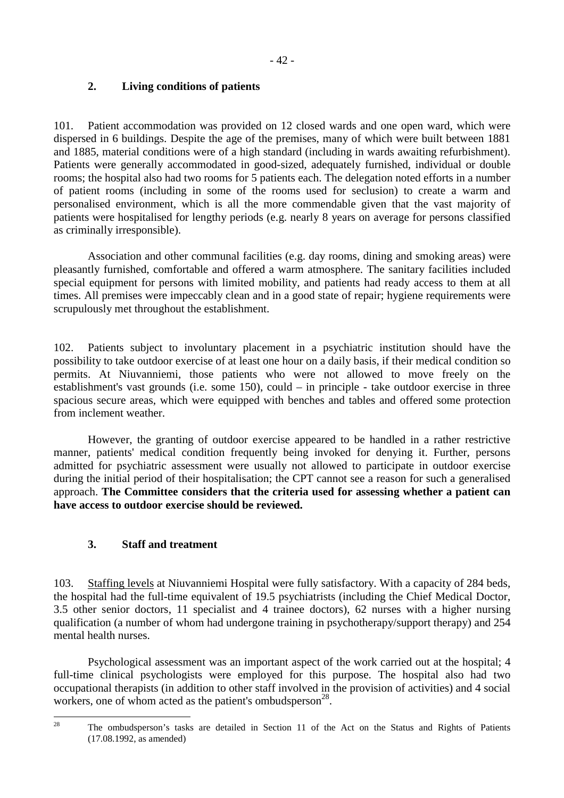# **2. Living conditions of patients**

101. Patient accommodation was provided on 12 closed wards and one open ward, which were dispersed in 6 buildings. Despite the age of the premises, many of which were built between 1881 and 1885, material conditions were of a high standard (including in wards awaiting refurbishment). Patients were generally accommodated in good-sized, adequately furnished, individual or double rooms; the hospital also had two rooms for 5 patients each. The delegation noted efforts in a number of patient rooms (including in some of the rooms used for seclusion) to create a warm and personalised environment, which is all the more commendable given that the vast majority of patients were hospitalised for lengthy periods (e.g. nearly 8 years on average for persons classified as criminally irresponsible).

 Association and other communal facilities (e.g. day rooms, dining and smoking areas) were pleasantly furnished, comfortable and offered a warm atmosphere. The sanitary facilities included special equipment for persons with limited mobility, and patients had ready access to them at all times. All premises were impeccably clean and in a good state of repair; hygiene requirements were scrupulously met throughout the establishment.

102. Patients subject to involuntary placement in a psychiatric institution should have the possibility to take outdoor exercise of at least one hour on a daily basis, if their medical condition so permits. At Niuvanniemi, those patients who were not allowed to move freely on the establishment's vast grounds (i.e. some 150), could – in principle - take outdoor exercise in three spacious secure areas, which were equipped with benches and tables and offered some protection from inclement weather.

 However, the granting of outdoor exercise appeared to be handled in a rather restrictive manner, patients' medical condition frequently being invoked for denying it. Further, persons admitted for psychiatric assessment were usually not allowed to participate in outdoor exercise during the initial period of their hospitalisation; the CPT cannot see a reason for such a generalised approach. **The Committee considers that the criteria used for assessing whether a patient can have access to outdoor exercise should be reviewed.**

# **3. Staff and treatment**

103. Staffing levels at Niuvanniemi Hospital were fully satisfactory. With a capacity of 284 beds, the hospital had the full-time equivalent of 19.5 psychiatrists (including the Chief Medical Doctor, 3.5 other senior doctors, 11 specialist and 4 trainee doctors), 62 nurses with a higher nursing qualification (a number of whom had undergone training in psychotherapy/support therapy) and 254 mental health nurses.

 Psychological assessment was an important aspect of the work carried out at the hospital; 4 full-time clinical psychologists were employed for this purpose. The hospital also had two occupational therapists (in addition to other staff involved in the provision of activities) and 4 social workers, one of whom acted as the patient's ombudsperson<sup>28</sup>.

<sup>28</sup> 

The ombudsperson's tasks are detailed in Section 11 of the Act on the Status and Rights of Patients (17.08.1992, as amended)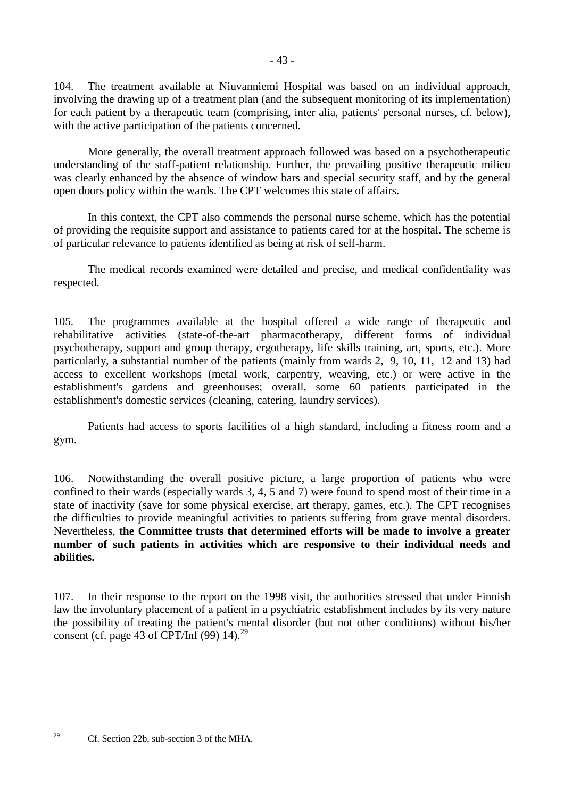104. The treatment available at Niuvanniemi Hospital was based on an individual approach, involving the drawing up of a treatment plan (and the subsequent monitoring of its implementation) for each patient by a therapeutic team (comprising, inter alia, patients' personal nurses, cf. below), with the active participation of the patients concerned.

 More generally, the overall treatment approach followed was based on a psychotherapeutic understanding of the staff-patient relationship. Further, the prevailing positive therapeutic milieu was clearly enhanced by the absence of window bars and special security staff, and by the general open doors policy within the wards. The CPT welcomes this state of affairs.

 In this context, the CPT also commends the personal nurse scheme, which has the potential of providing the requisite support and assistance to patients cared for at the hospital. The scheme is of particular relevance to patients identified as being at risk of self-harm.

 The medical records examined were detailed and precise, and medical confidentiality was respected.

105. The programmes available at the hospital offered a wide range of therapeutic and rehabilitative activities (state-of-the-art pharmacotherapy, different forms of individual psychotherapy, support and group therapy, ergotherapy, life skills training, art, sports, etc.). More particularly, a substantial number of the patients (mainly from wards 2, 9, 10, 11, 12 and 13) had access to excellent workshops (metal work, carpentry, weaving, etc.) or were active in the establishment's gardens and greenhouses; overall, some 60 patients participated in the establishment's domestic services (cleaning, catering, laundry services).

 Patients had access to sports facilities of a high standard, including a fitness room and a gym.

106. Notwithstanding the overall positive picture, a large proportion of patients who were confined to their wards (especially wards 3, 4, 5 and 7) were found to spend most of their time in a state of inactivity (save for some physical exercise, art therapy, games, etc.). The CPT recognises the difficulties to provide meaningful activities to patients suffering from grave mental disorders. Nevertheless, **the Committee trusts that determined efforts will be made to involve a greater number of such patients in activities which are responsive to their individual needs and abilities.**

107. In their response to the report on the 1998 visit, the authorities stressed that under Finnish law the involuntary placement of a patient in a psychiatric establishment includes by its very nature the possibility of treating the patient's mental disorder (but not other conditions) without his/her consent (cf. page 43 of CPT/Inf  $(99)$  14).<sup>29</sup>

 $29$ 

Cf. Section 22b, sub-section 3 of the MHA.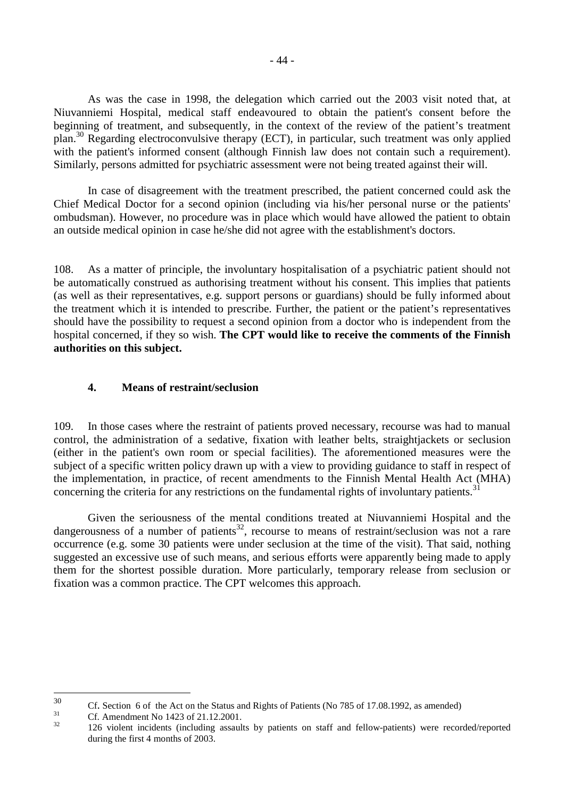As was the case in 1998, the delegation which carried out the 2003 visit noted that, at Niuvanniemi Hospital, medical staff endeavoured to obtain the patient's consent before the beginning of treatment, and subsequently, in the context of the review of the patient's treatment plan.30 Regarding electroconvulsive therapy (ECT), in particular, such treatment was only applied with the patient's informed consent (although Finnish law does not contain such a requirement). Similarly, persons admitted for psychiatric assessment were not being treated against their will.

 In case of disagreement with the treatment prescribed, the patient concerned could ask the Chief Medical Doctor for a second opinion (including via his/her personal nurse or the patients' ombudsman). However, no procedure was in place which would have allowed the patient to obtain an outside medical opinion in case he/she did not agree with the establishment's doctors.

108. As a matter of principle, the involuntary hospitalisation of a psychiatric patient should not be automatically construed as authorising treatment without his consent. This implies that patients (as well as their representatives, e.g. support persons or guardians) should be fully informed about the treatment which it is intended to prescribe. Further, the patient or the patient's representatives should have the possibility to request a second opinion from a doctor who is independent from the hospital concerned, if they so wish. **The CPT would like to receive the comments of the Finnish authorities on this subject.**

# **4. Means of restraint/seclusion**

109. In those cases where the restraint of patients proved necessary, recourse was had to manual control, the administration of a sedative, fixation with leather belts, straightjackets or seclusion (either in the patient's own room or special facilities). The aforementioned measures were the subject of a specific written policy drawn up with a view to providing guidance to staff in respect of the implementation, in practice, of recent amendments to the Finnish Mental Health Act (MHA) concerning the criteria for any restrictions on the fundamental rights of involuntary patients.<sup>31</sup>

 Given the seriousness of the mental conditions treated at Niuvanniemi Hospital and the dangerousness of a number of patients<sup>32</sup>, recourse to means of restraint/seclusion was not a rare occurrence (e.g. some 30 patients were under seclusion at the time of the visit). That said, nothing suggested an excessive use of such means, and serious efforts were apparently being made to apply them for the shortest possible duration. More particularly, temporary release from seclusion or fixation was a common practice. The CPT welcomes this approach.

 $30^{\circ}$ <sup>30</sup> Cf. Section 6 of the Act on the Status and Rights of Patients (No 785 of 17.08.1992, as amended) Cf. Amendment No 1423 of 21.12.2001.

<sup>32 126</sup> violent incidents (including assaults by patients on staff and fellow-patients) were recorded/reported during the first 4 months of 2003.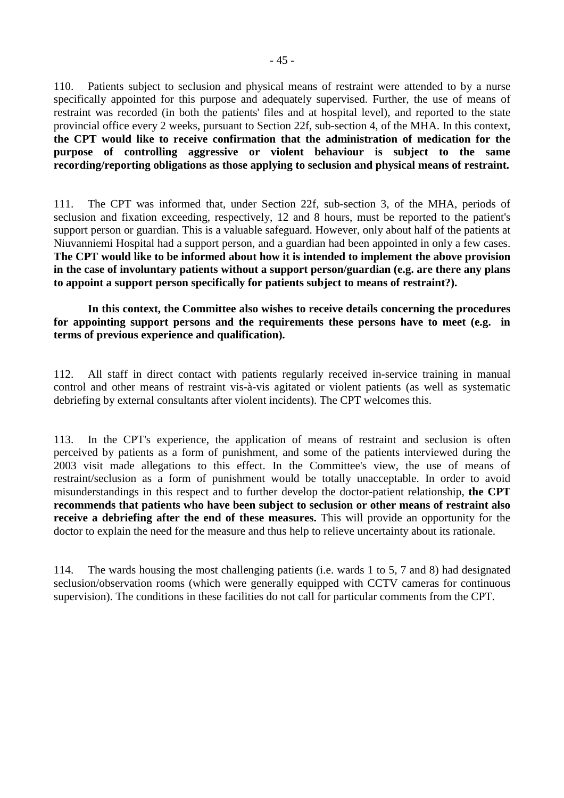110. Patients subject to seclusion and physical means of restraint were attended to by a nurse specifically appointed for this purpose and adequately supervised. Further, the use of means of restraint was recorded (in both the patients' files and at hospital level), and reported to the state provincial office every 2 weeks, pursuant to Section 22f, sub-section 4, of the MHA. In this context, **the CPT would like to receive confirmation that the administration of medication for the purpose of controlling aggressive or violent behaviour is subject to the same recording/reporting obligations as those applying to seclusion and physical means of restraint.**

111. The CPT was informed that, under Section 22f, sub-section 3, of the MHA, periods of seclusion and fixation exceeding, respectively, 12 and 8 hours, must be reported to the patient's support person or guardian. This is a valuable safeguard. However, only about half of the patients at Niuvanniemi Hospital had a support person, and a guardian had been appointed in only a few cases. **The CPT would like to be informed about how it is intended to implement the above provision in the case of involuntary patients without a support person/guardian (e.g. are there any plans to appoint a support person specifically for patients subject to means of restraint?).** 

 **In this context, the Committee also wishes to receive details concerning the procedures for appointing support persons and the requirements these persons have to meet (e.g. in terms of previous experience and qualification).**

112. All staff in direct contact with patients regularly received in-service training in manual control and other means of restraint vis-à-vis agitated or violent patients (as well as systematic debriefing by external consultants after violent incidents). The CPT welcomes this.

113. In the CPT's experience, the application of means of restraint and seclusion is often perceived by patients as a form of punishment, and some of the patients interviewed during the 2003 visit made allegations to this effect. In the Committee's view, the use of means of restraint/seclusion as a form of punishment would be totally unacceptable. In order to avoid misunderstandings in this respect and to further develop the doctor-patient relationship, **the CPT recommends that patients who have been subject to seclusion or other means of restraint also receive a debriefing after the end of these measures.** This will provide an opportunity for the doctor to explain the need for the measure and thus help to relieve uncertainty about its rationale.

114. The wards housing the most challenging patients (i.e. wards 1 to 5, 7 and 8) had designated seclusion/observation rooms (which were generally equipped with CCTV cameras for continuous supervision). The conditions in these facilities do not call for particular comments from the CPT.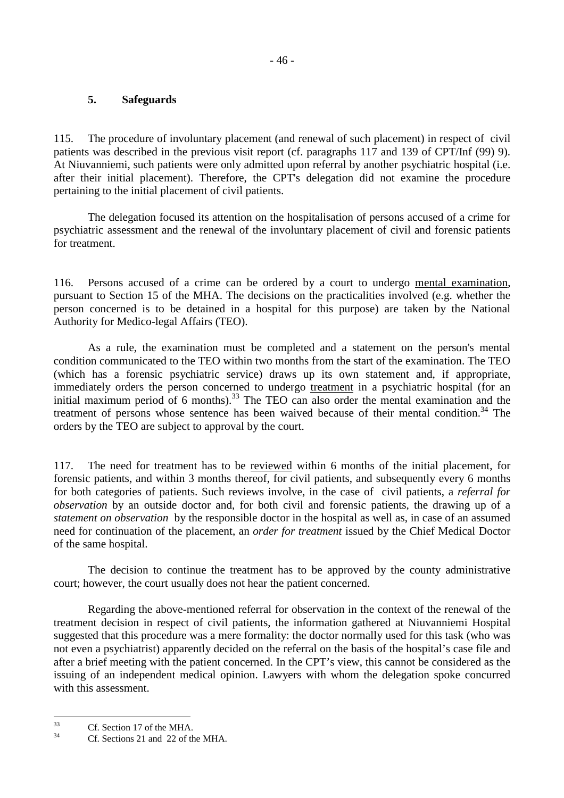# **5. Safeguards**

115. The procedure of involuntary placement (and renewal of such placement) in respect of civil patients was described in the previous visit report (cf. paragraphs 117 and 139 of CPT/Inf (99) 9). At Niuvanniemi, such patients were only admitted upon referral by another psychiatric hospital (i.e. after their initial placement). Therefore, the CPT's delegation did not examine the procedure pertaining to the initial placement of civil patients.

 The delegation focused its attention on the hospitalisation of persons accused of a crime for psychiatric assessment and the renewal of the involuntary placement of civil and forensic patients for treatment.

116. Persons accused of a crime can be ordered by a court to undergo mental examination, pursuant to Section 15 of the MHA. The decisions on the practicalities involved (e.g. whether the person concerned is to be detained in a hospital for this purpose) are taken by the National Authority for Medico-legal Affairs (TEO).

 As a rule, the examination must be completed and a statement on the person's mental condition communicated to the TEO within two months from the start of the examination. The TEO (which has a forensic psychiatric service) draws up its own statement and, if appropriate, immediately orders the person concerned to undergo treatment in a psychiatric hospital (for an initial maximum period of 6 months).<sup>33</sup> The TEO can also order the mental examination and the treatment of persons whose sentence has been waived because of their mental condition.<sup>34</sup> The orders by the TEO are subject to approval by the court.

117. The need for treatment has to be reviewed within 6 months of the initial placement, for forensic patients, and within 3 months thereof, for civil patients, and subsequently every 6 months for both categories of patients. Such reviews involve, in the case of civil patients, a *referral for observation* by an outside doctor and, for both civil and forensic patients, the drawing up of a *statement on observation* by the responsible doctor in the hospital as well as, in case of an assumed need for continuation of the placement, an *order for treatment* issued by the Chief Medical Doctor of the same hospital.

 The decision to continue the treatment has to be approved by the county administrative court; however, the court usually does not hear the patient concerned.

 Regarding the above-mentioned referral for observation in the context of the renewal of the treatment decision in respect of civil patients, the information gathered at Niuvanniemi Hospital suggested that this procedure was a mere formality: the doctor normally used for this task (who was not even a psychiatrist) apparently decided on the referral on the basis of the hospital's case file and after a brief meeting with the patient concerned. In the CPT's view, this cannot be considered as the issuing of an independent medical opinion. Lawyers with whom the delegation spoke concurred with this assessment.

 $33$  $^{33}$  Cf. Section 17 of the MHA.

Cf. Sections 21 and 22 of the MHA.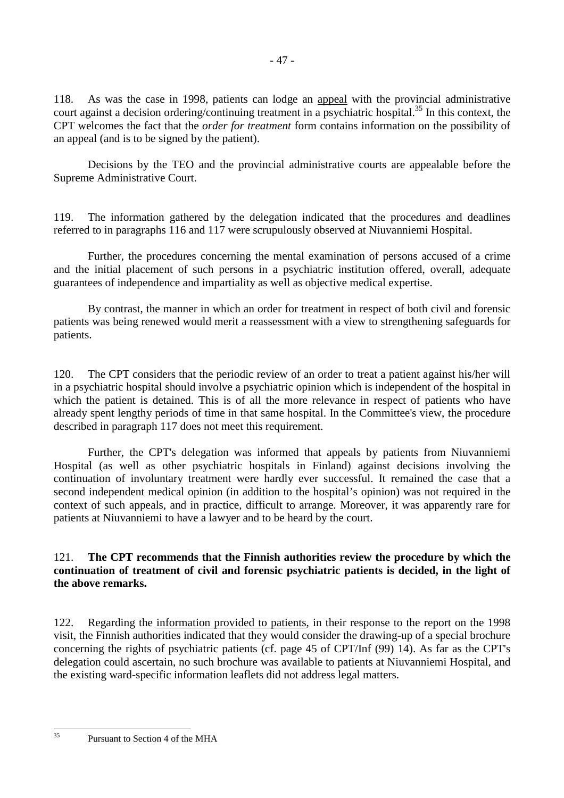118. As was the case in 1998, patients can lodge an appeal with the provincial administrative court against a decision ordering/continuing treatment in a psychiatric hospital.<sup>35</sup> In this context, the CPT welcomes the fact that the *order for treatment* form contains information on the possibility of an appeal (and is to be signed by the patient).

 Decisions by the TEO and the provincial administrative courts are appealable before the Supreme Administrative Court.

119. The information gathered by the delegation indicated that the procedures and deadlines referred to in paragraphs 116 and 117 were scrupulously observed at Niuvanniemi Hospital.

 Further, the procedures concerning the mental examination of persons accused of a crime and the initial placement of such persons in a psychiatric institution offered, overall, adequate guarantees of independence and impartiality as well as objective medical expertise.

 By contrast, the manner in which an order for treatment in respect of both civil and forensic patients was being renewed would merit a reassessment with a view to strengthening safeguards for patients.

120. The CPT considers that the periodic review of an order to treat a patient against his/her will in a psychiatric hospital should involve a psychiatric opinion which is independent of the hospital in which the patient is detained. This is of all the more relevance in respect of patients who have already spent lengthy periods of time in that same hospital. In the Committee's view, the procedure described in paragraph 117 does not meet this requirement.

 Further, the CPT's delegation was informed that appeals by patients from Niuvanniemi Hospital (as well as other psychiatric hospitals in Finland) against decisions involving the continuation of involuntary treatment were hardly ever successful. It remained the case that a second independent medical opinion (in addition to the hospital's opinion) was not required in the context of such appeals, and in practice, difficult to arrange. Moreover, it was apparently rare for patients at Niuvanniemi to have a lawyer and to be heard by the court.

# 121. **The CPT recommends that the Finnish authorities review the procedure by which the continuation of treatment of civil and forensic psychiatric patients is decided, in the light of the above remarks.**

122. Regarding the information provided to patients, in their response to the report on the 1998 visit, the Finnish authorities indicated that they would consider the drawing-up of a special brochure concerning the rights of psychiatric patients (cf. page 45 of CPT/Inf (99) 14). As far as the CPT's delegation could ascertain, no such brochure was available to patients at Niuvanniemi Hospital, and the existing ward-specific information leaflets did not address legal matters.

 $35$ 

Pursuant to Section 4 of the MHA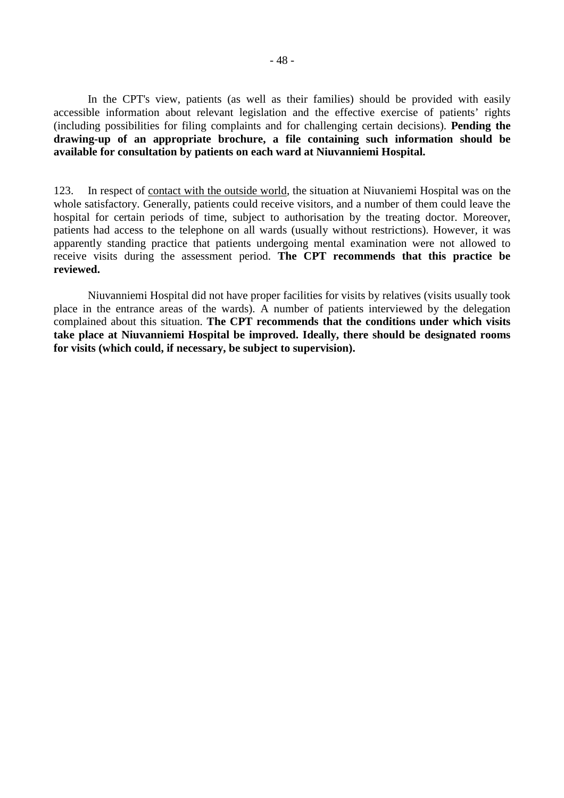In the CPT's view, patients (as well as their families) should be provided with easily accessible information about relevant legislation and the effective exercise of patients' rights (including possibilities for filing complaints and for challenging certain decisions). **Pending the drawing-up of an appropriate brochure, a file containing such information should be available for consultation by patients on each ward at Niuvanniemi Hospital.**

123. In respect of contact with the outside world, the situation at Niuvaniemi Hospital was on the whole satisfactory. Generally, patients could receive visitors, and a number of them could leave the hospital for certain periods of time, subject to authorisation by the treating doctor. Moreover, patients had access to the telephone on all wards (usually without restrictions). However, it was apparently standing practice that patients undergoing mental examination were not allowed to receive visits during the assessment period. **The CPT recommends that this practice be reviewed.**

 Niuvanniemi Hospital did not have proper facilities for visits by relatives (visits usually took place in the entrance areas of the wards). A number of patients interviewed by the delegation complained about this situation. **The CPT recommends that the conditions under which visits take place at Niuvanniemi Hospital be improved. Ideally, there should be designated rooms for visits (which could, if necessary, be subject to supervision).**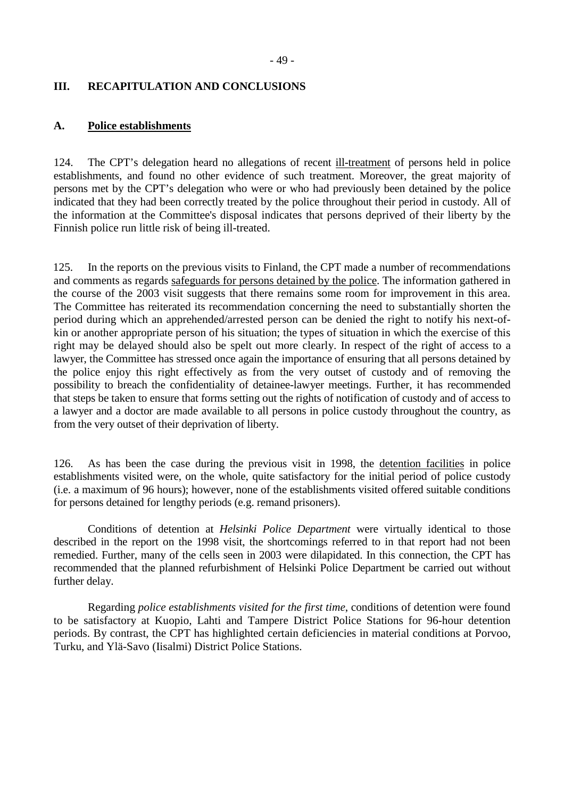# **III. RECAPITULATION AND CONCLUSIONS**

### **A. Police establishments**

124. The CPT's delegation heard no allegations of recent ill-treatment of persons held in police establishments, and found no other evidence of such treatment. Moreover, the great majority of persons met by the CPT's delegation who were or who had previously been detained by the police indicated that they had been correctly treated by the police throughout their period in custody. All of the information at the Committee's disposal indicates that persons deprived of their liberty by the Finnish police run little risk of being ill-treated.

125. In the reports on the previous visits to Finland, the CPT made a number of recommendations and comments as regards safeguards for persons detained by the police. The information gathered in the course of the 2003 visit suggests that there remains some room for improvement in this area. The Committee has reiterated its recommendation concerning the need to substantially shorten the period during which an apprehended/arrested person can be denied the right to notify his next-ofkin or another appropriate person of his situation; the types of situation in which the exercise of this right may be delayed should also be spelt out more clearly. In respect of the right of access to a lawyer, the Committee has stressed once again the importance of ensuring that all persons detained by the police enjoy this right effectively as from the very outset of custody and of removing the possibility to breach the confidentiality of detainee-lawyer meetings. Further, it has recommended that steps be taken to ensure that forms setting out the rights of notification of custody and of access to a lawyer and a doctor are made available to all persons in police custody throughout the country, as from the very outset of their deprivation of liberty.

126. As has been the case during the previous visit in 1998, the detention facilities in police establishments visited were, on the whole, quite satisfactory for the initial period of police custody (i.e. a maximum of 96 hours); however, none of the establishments visited offered suitable conditions for persons detained for lengthy periods (e.g. remand prisoners).

 Conditions of detention at *Helsinki Police Department* were virtually identical to those described in the report on the 1998 visit, the shortcomings referred to in that report had not been remedied. Further, many of the cells seen in 2003 were dilapidated. In this connection, the CPT has recommended that the planned refurbishment of Helsinki Police Department be carried out without further delay.

 Regarding *police establishments visited for the first time*, conditions of detention were found to be satisfactory at Kuopio, Lahti and Tampere District Police Stations for 96-hour detention periods. By contrast, the CPT has highlighted certain deficiencies in material conditions at Porvoo, Turku, and Ylä-Savo (Iisalmi) District Police Stations.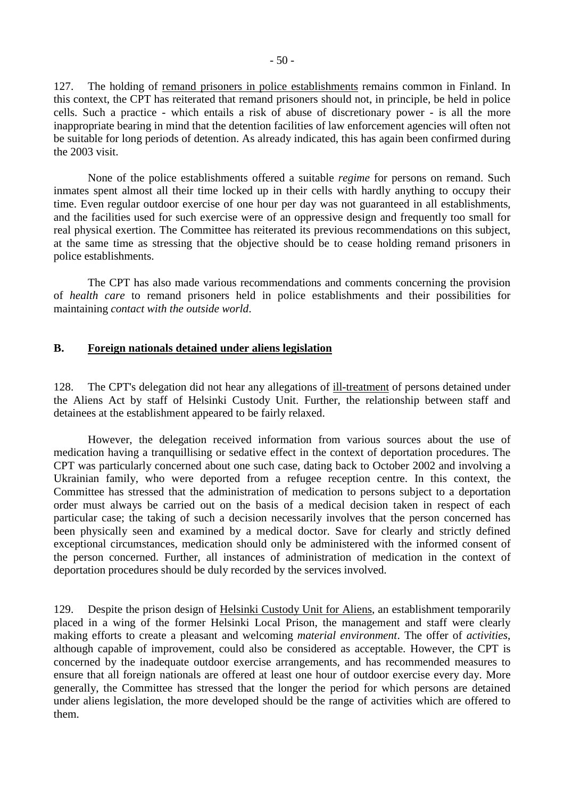127. The holding of remand prisoners in police establishments remains common in Finland. In this context, the CPT has reiterated that remand prisoners should not, in principle, be held in police cells. Such a practice - which entails a risk of abuse of discretionary power - is all the more inappropriate bearing in mind that the detention facilities of law enforcement agencies will often not be suitable for long periods of detention. As already indicated, this has again been confirmed during the 2003 visit.

 None of the police establishments offered a suitable *regime* for persons on remand. Such inmates spent almost all their time locked up in their cells with hardly anything to occupy their time. Even regular outdoor exercise of one hour per day was not guaranteed in all establishments, and the facilities used for such exercise were of an oppressive design and frequently too small for real physical exertion. The Committee has reiterated its previous recommendations on this subject, at the same time as stressing that the objective should be to cease holding remand prisoners in police establishments.

 The CPT has also made various recommendations and comments concerning the provision of *health care* to remand prisoners held in police establishments and their possibilities for maintaining *contact with the outside world*.

# **B. Foreign nationals detained under aliens legislation**

128. The CPT's delegation did not hear any allegations of ill-treatment of persons detained under the Aliens Act by staff of Helsinki Custody Unit. Further, the relationship between staff and detainees at the establishment appeared to be fairly relaxed.

 However, the delegation received information from various sources about the use of medication having a tranquillising or sedative effect in the context of deportation procedures. The CPT was particularly concerned about one such case, dating back to October 2002 and involving a Ukrainian family, who were deported from a refugee reception centre. In this context, the Committee has stressed that the administration of medication to persons subject to a deportation order must always be carried out on the basis of a medical decision taken in respect of each particular case; the taking of such a decision necessarily involves that the person concerned has been physically seen and examined by a medical doctor. Save for clearly and strictly defined exceptional circumstances, medication should only be administered with the informed consent of the person concerned. Further, all instances of administration of medication in the context of deportation procedures should be duly recorded by the services involved.

129. Despite the prison design of Helsinki Custody Unit for Aliens, an establishment temporarily placed in a wing of the former Helsinki Local Prison, the management and staff were clearly making efforts to create a pleasant and welcoming *material environment*. The offer of *activities*, although capable of improvement, could also be considered as acceptable. However, the CPT is concerned by the inadequate outdoor exercise arrangements, and has recommended measures to ensure that all foreign nationals are offered at least one hour of outdoor exercise every day. More generally, the Committee has stressed that the longer the period for which persons are detained under aliens legislation, the more developed should be the range of activities which are offered to them.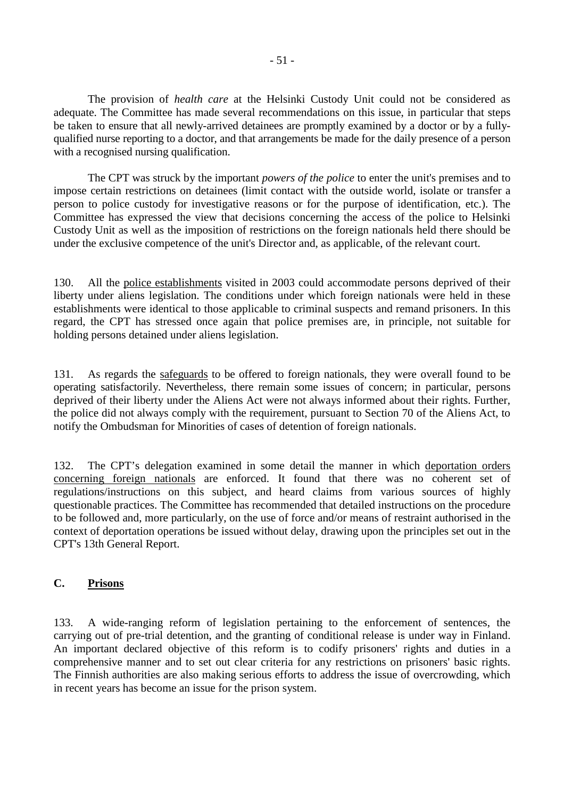The provision of *health care* at the Helsinki Custody Unit could not be considered as adequate. The Committee has made several recommendations on this issue, in particular that steps be taken to ensure that all newly-arrived detainees are promptly examined by a doctor or by a fullyqualified nurse reporting to a doctor, and that arrangements be made for the daily presence of a person with a recognised nursing qualification.

 The CPT was struck by the important *powers of the police* to enter the unit's premises and to impose certain restrictions on detainees (limit contact with the outside world, isolate or transfer a person to police custody for investigative reasons or for the purpose of identification, etc.). The Committee has expressed the view that decisions concerning the access of the police to Helsinki Custody Unit as well as the imposition of restrictions on the foreign nationals held there should be under the exclusive competence of the unit's Director and, as applicable, of the relevant court.

130. All the police establishments visited in 2003 could accommodate persons deprived of their liberty under aliens legislation. The conditions under which foreign nationals were held in these establishments were identical to those applicable to criminal suspects and remand prisoners. In this regard, the CPT has stressed once again that police premises are, in principle, not suitable for holding persons detained under aliens legislation.

131. As regards the safeguards to be offered to foreign nationals, they were overall found to be operating satisfactorily. Nevertheless, there remain some issues of concern; in particular, persons deprived of their liberty under the Aliens Act were not always informed about their rights. Further, the police did not always comply with the requirement, pursuant to Section 70 of the Aliens Act, to notify the Ombudsman for Minorities of cases of detention of foreign nationals.

132. The CPT's delegation examined in some detail the manner in which deportation orders concerning foreign nationals are enforced. It found that there was no coherent set of regulations/instructions on this subject, and heard claims from various sources of highly questionable practices. The Committee has recommended that detailed instructions on the procedure to be followed and, more particularly, on the use of force and/or means of restraint authorised in the context of deportation operations be issued without delay, drawing upon the principles set out in the CPT's 13th General Report.

# **C. Prisons**

133. A wide-ranging reform of legislation pertaining to the enforcement of sentences, the carrying out of pre-trial detention, and the granting of conditional release is under way in Finland. An important declared objective of this reform is to codify prisoners' rights and duties in a comprehensive manner and to set out clear criteria for any restrictions on prisoners' basic rights. The Finnish authorities are also making serious efforts to address the issue of overcrowding, which in recent years has become an issue for the prison system.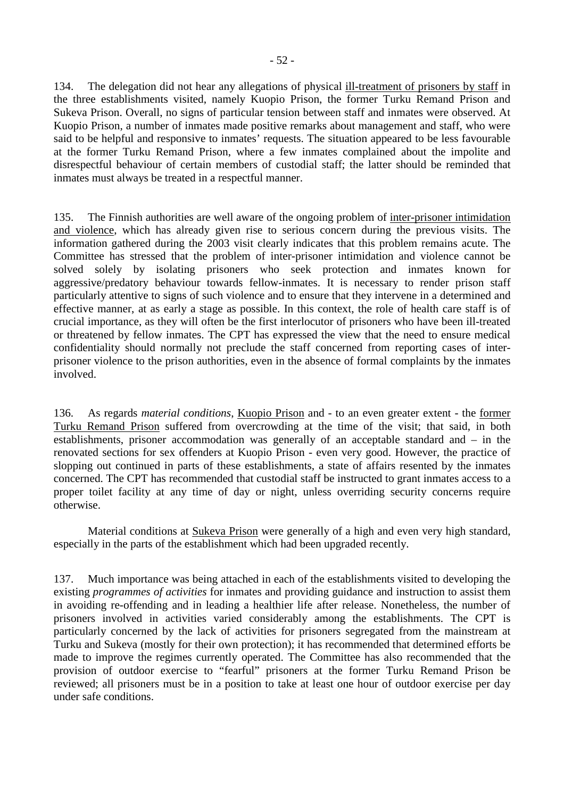134. The delegation did not hear any allegations of physical ill-treatment of prisoners by staff in the three establishments visited, namely Kuopio Prison, the former Turku Remand Prison and Sukeva Prison. Overall, no signs of particular tension between staff and inmates were observed. At Kuopio Prison, a number of inmates made positive remarks about management and staff, who were said to be helpful and responsive to inmates' requests. The situation appeared to be less favourable at the former Turku Remand Prison, where a few inmates complained about the impolite and disrespectful behaviour of certain members of custodial staff; the latter should be reminded that inmates must always be treated in a respectful manner.

135. The Finnish authorities are well aware of the ongoing problem of inter-prisoner intimidation and violence, which has already given rise to serious concern during the previous visits. The information gathered during the 2003 visit clearly indicates that this problem remains acute. The Committee has stressed that the problem of inter-prisoner intimidation and violence cannot be solved solely by isolating prisoners who seek protection and inmates known for aggressive/predatory behaviour towards fellow-inmates. It is necessary to render prison staff particularly attentive to signs of such violence and to ensure that they intervene in a determined and effective manner, at as early a stage as possible. In this context, the role of health care staff is of crucial importance, as they will often be the first interlocutor of prisoners who have been ill-treated or threatened by fellow inmates. The CPT has expressed the view that the need to ensure medical confidentiality should normally not preclude the staff concerned from reporting cases of interprisoner violence to the prison authorities, even in the absence of formal complaints by the inmates involved.

136. As regards *material conditions*, Kuopio Prison and - to an even greater extent - the former Turku Remand Prison suffered from overcrowding at the time of the visit; that said, in both establishments, prisoner accommodation was generally of an acceptable standard and – in the renovated sections for sex offenders at Kuopio Prison - even very good. However, the practice of slopping out continued in parts of these establishments, a state of affairs resented by the inmates concerned. The CPT has recommended that custodial staff be instructed to grant inmates access to a proper toilet facility at any time of day or night, unless overriding security concerns require otherwise.

Material conditions at **Sukeva Prison** were generally of a high and even very high standard, especially in the parts of the establishment which had been upgraded recently.

137. Much importance was being attached in each of the establishments visited to developing the existing *programmes of activities* for inmates and providing guidance and instruction to assist them in avoiding re-offending and in leading a healthier life after release. Nonetheless, the number of prisoners involved in activities varied considerably among the establishments. The CPT is particularly concerned by the lack of activities for prisoners segregated from the mainstream at Turku and Sukeva (mostly for their own protection); it has recommended that determined efforts be made to improve the regimes currently operated. The Committee has also recommended that the provision of outdoor exercise to "fearful" prisoners at the former Turku Remand Prison be reviewed; all prisoners must be in a position to take at least one hour of outdoor exercise per day under safe conditions.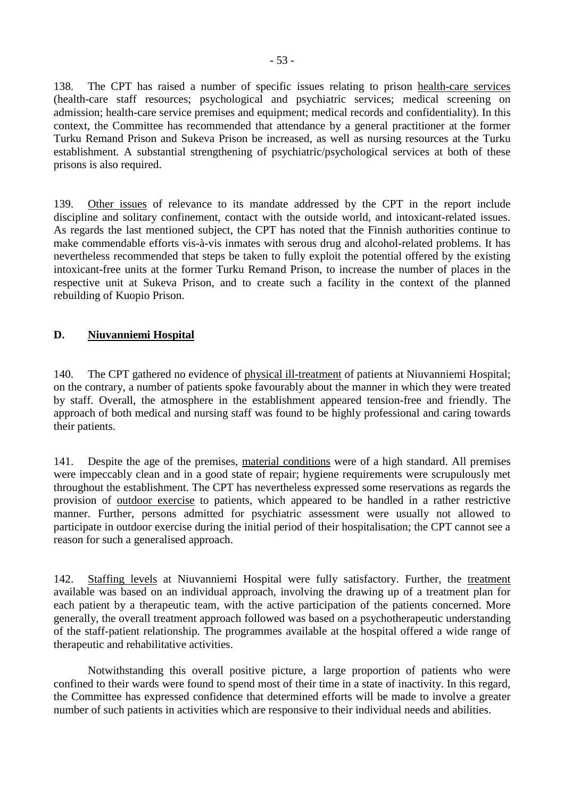138. The CPT has raised a number of specific issues relating to prison health-care services (health-care staff resources; psychological and psychiatric services; medical screening on admission; health-care service premises and equipment; medical records and confidentiality). In this context, the Committee has recommended that attendance by a general practitioner at the former Turku Remand Prison and Sukeva Prison be increased, as well as nursing resources at the Turku establishment. A substantial strengthening of psychiatric/psychological services at both of these prisons is also required.

139. Other issues of relevance to its mandate addressed by the CPT in the report include discipline and solitary confinement, contact with the outside world, and intoxicant-related issues. As regards the last mentioned subject, the CPT has noted that the Finnish authorities continue to make commendable efforts vis-à-vis inmates with serous drug and alcohol-related problems. It has nevertheless recommended that steps be taken to fully exploit the potential offered by the existing intoxicant-free units at the former Turku Remand Prison, to increase the number of places in the respective unit at Sukeva Prison, and to create such a facility in the context of the planned rebuilding of Kuopio Prison.

# **D. Niuvanniemi Hospital**

140. The CPT gathered no evidence of physical ill-treatment of patients at Niuvanniemi Hospital; on the contrary, a number of patients spoke favourably about the manner in which they were treated by staff. Overall, the atmosphere in the establishment appeared tension-free and friendly. The approach of both medical and nursing staff was found to be highly professional and caring towards their patients.

141. Despite the age of the premises, material conditions were of a high standard. All premises were impeccably clean and in a good state of repair; hygiene requirements were scrupulously met throughout the establishment. The CPT has nevertheless expressed some reservations as regards the provision of outdoor exercise to patients, which appeared to be handled in a rather restrictive manner. Further, persons admitted for psychiatric assessment were usually not allowed to participate in outdoor exercise during the initial period of their hospitalisation; the CPT cannot see a reason for such a generalised approach.

142. Staffing levels at Niuvanniemi Hospital were fully satisfactory. Further, the treatment available was based on an individual approach, involving the drawing up of a treatment plan for each patient by a therapeutic team, with the active participation of the patients concerned. More generally, the overall treatment approach followed was based on a psychotherapeutic understanding of the staff-patient relationship. The programmes available at the hospital offered a wide range of therapeutic and rehabilitative activities.

 Notwithstanding this overall positive picture, a large proportion of patients who were confined to their wards were found to spend most of their time in a state of inactivity. In this regard, the Committee has expressed confidence that determined efforts will be made to involve a greater number of such patients in activities which are responsive to their individual needs and abilities.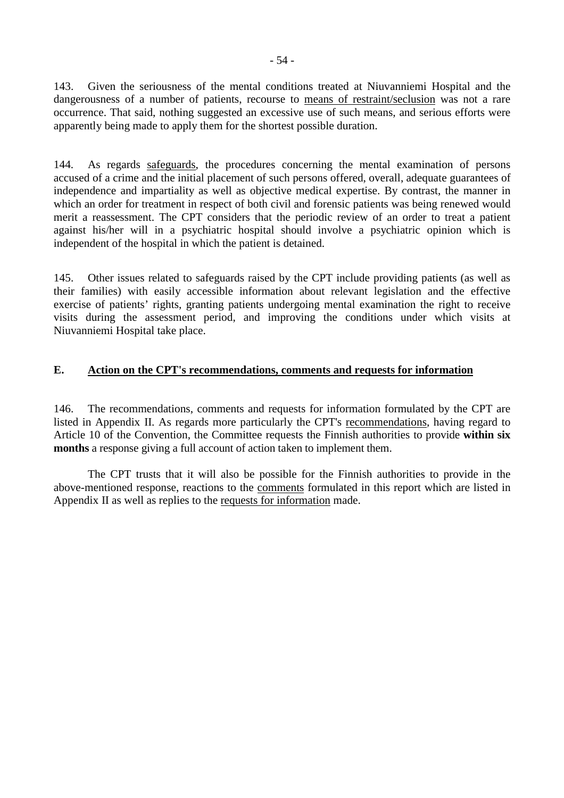143. Given the seriousness of the mental conditions treated at Niuvanniemi Hospital and the dangerousness of a number of patients, recourse to means of restraint/seclusion was not a rare occurrence. That said, nothing suggested an excessive use of such means, and serious efforts were apparently being made to apply them for the shortest possible duration.

144. As regards safeguards, the procedures concerning the mental examination of persons accused of a crime and the initial placement of such persons offered, overall, adequate guarantees of independence and impartiality as well as objective medical expertise. By contrast, the manner in which an order for treatment in respect of both civil and forensic patients was being renewed would merit a reassessment. The CPT considers that the periodic review of an order to treat a patient against his/her will in a psychiatric hospital should involve a psychiatric opinion which is independent of the hospital in which the patient is detained.

145. Other issues related to safeguards raised by the CPT include providing patients (as well as their families) with easily accessible information about relevant legislation and the effective exercise of patients' rights, granting patients undergoing mental examination the right to receive visits during the assessment period, and improving the conditions under which visits at Niuvanniemi Hospital take place.

# **E. Action on the CPT's recommendations, comments and requests for information**

146. The recommendations, comments and requests for information formulated by the CPT are listed in Appendix II. As regards more particularly the CPT's recommendations, having regard to Article 10 of the Convention, the Committee requests the Finnish authorities to provide **within six months** a response giving a full account of action taken to implement them.

 The CPT trusts that it will also be possible for the Finnish authorities to provide in the above-mentioned response, reactions to the comments formulated in this report which are listed in Appendix II as well as replies to the requests for information made.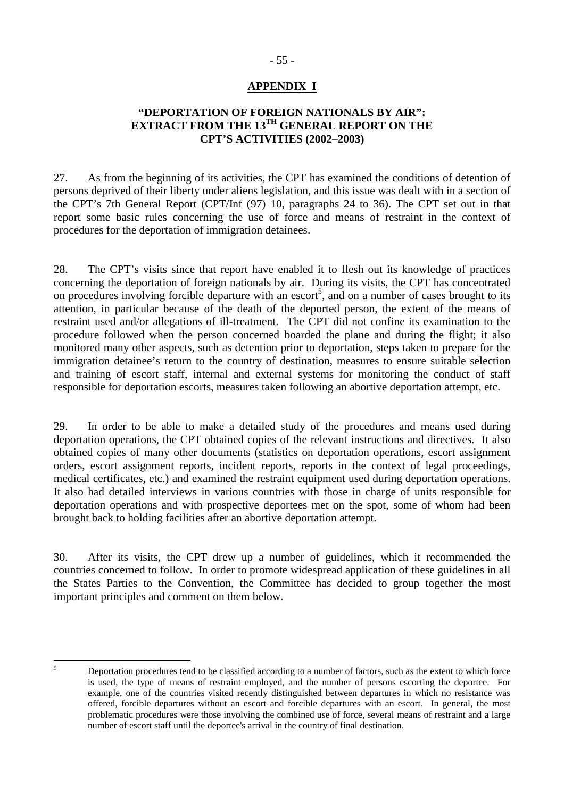# - 55 -

# **APPENDIX I**

# **"DEPORTATION OF FOREIGN NATIONALS BY AIR": EXTRACT FROM THE 13TH GENERAL REPORT ON THE CPT'S ACTIVITIES (2002–2003)**

27. As from the beginning of its activities, the CPT has examined the conditions of detention of persons deprived of their liberty under aliens legislation, and this issue was dealt with in a section of the CPT's 7th General Report (CPT/Inf (97) 10, paragraphs 24 to 36). The CPT set out in that report some basic rules concerning the use of force and means of restraint in the context of procedures for the deportation of immigration detainees.

28. The CPT's visits since that report have enabled it to flesh out its knowledge of practices concerning the deportation of foreign nationals by air. During its visits, the CPT has concentrated on procedures involving forcible departure with an escort<sup>5</sup>, and on a number of cases brought to its attention, in particular because of the death of the deported person, the extent of the means of restraint used and/or allegations of ill-treatment. The CPT did not confine its examination to the procedure followed when the person concerned boarded the plane and during the flight; it also monitored many other aspects, such as detention prior to deportation, steps taken to prepare for the immigration detainee's return to the country of destination, measures to ensure suitable selection and training of escort staff, internal and external systems for monitoring the conduct of staff responsible for deportation escorts, measures taken following an abortive deportation attempt, etc.

29. In order to be able to make a detailed study of the procedures and means used during deportation operations, the CPT obtained copies of the relevant instructions and directives. It also obtained copies of many other documents (statistics on deportation operations, escort assignment orders, escort assignment reports, incident reports, reports in the context of legal proceedings, medical certificates, etc.) and examined the restraint equipment used during deportation operations. It also had detailed interviews in various countries with those in charge of units responsible for deportation operations and with prospective deportees met on the spot, some of whom had been brought back to holding facilities after an abortive deportation attempt.

30. After its visits, the CPT drew up a number of guidelines, which it recommended the countries concerned to follow. In order to promote widespread application of these guidelines in all the States Parties to the Convention, the Committee has decided to group together the most important principles and comment on them below.

 $\overline{5}$ 5 Deportation procedures tend to be classified according to a number of factors, such as the extent to which force is used, the type of means of restraint employed, and the number of persons escorting the deportee. For example, one of the countries visited recently distinguished between departures in which no resistance was offered, forcible departures without an escort and forcible departures with an escort. In general, the most problematic procedures were those involving the combined use of force, several means of restraint and a large number of escort staff until the deportee's arrival in the country of final destination.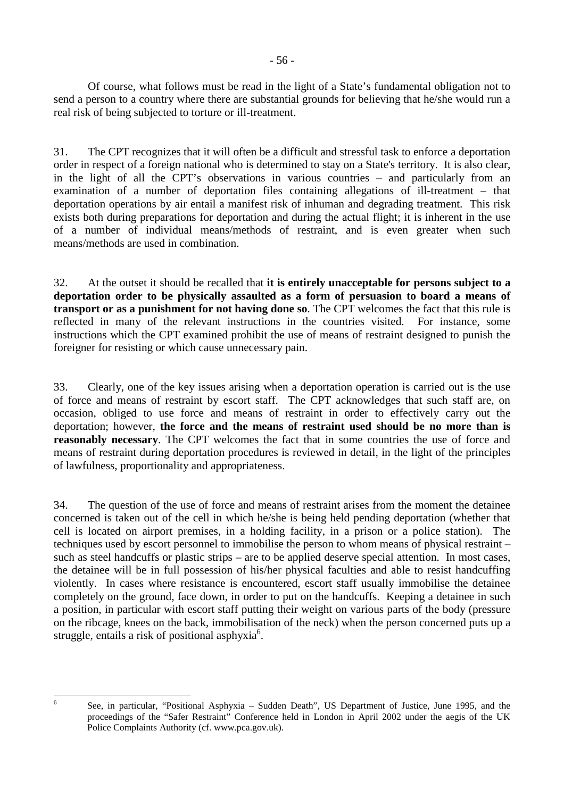Of course, what follows must be read in the light of a State's fundamental obligation not to send a person to a country where there are substantial grounds for believing that he/she would run a real risk of being subjected to torture or ill-treatment.

31. The CPT recognizes that it will often be a difficult and stressful task to enforce a deportation order in respect of a foreign national who is determined to stay on a State's territory. It is also clear, in the light of all the CPT's observations in various countries – and particularly from an examination of a number of deportation files containing allegations of ill-treatment – that deportation operations by air entail a manifest risk of inhuman and degrading treatment. This risk exists both during preparations for deportation and during the actual flight; it is inherent in the use of a number of individual means/methods of restraint, and is even greater when such means/methods are used in combination.

32. At the outset it should be recalled that **it is entirely unacceptable for persons subject to a deportation order to be physically assaulted as a form of persuasion to board a means of transport or as a punishment for not having done so**. The CPT welcomes the fact that this rule is reflected in many of the relevant instructions in the countries visited. For instance, some instructions which the CPT examined prohibit the use of means of restraint designed to punish the foreigner for resisting or which cause unnecessary pain.

33. Clearly, one of the key issues arising when a deportation operation is carried out is the use of force and means of restraint by escort staff. The CPT acknowledges that such staff are, on occasion, obliged to use force and means of restraint in order to effectively carry out the deportation; however, **the force and the means of restraint used should be no more than is reasonably necessary**. The CPT welcomes the fact that in some countries the use of force and means of restraint during deportation procedures is reviewed in detail, in the light of the principles of lawfulness, proportionality and appropriateness.

34. The question of the use of force and means of restraint arises from the moment the detainee concerned is taken out of the cell in which he/she is being held pending deportation (whether that cell is located on airport premises, in a holding facility, in a prison or a police station). The techniques used by escort personnel to immobilise the person to whom means of physical restraint – such as steel handcuffs or plastic strips – are to be applied deserve special attention. In most cases, the detainee will be in full possession of his/her physical faculties and able to resist handcuffing violently. In cases where resistance is encountered, escort staff usually immobilise the detainee completely on the ground, face down, in order to put on the handcuffs. Keeping a detainee in such a position, in particular with escort staff putting their weight on various parts of the body (pressure on the ribcage, knees on the back, immobilisation of the neck) when the person concerned puts up a struggle, entails a risk of positional asphyxia<sup>6</sup>.

 $\overline{6}$ 6 See, in particular, "Positional Asphyxia – Sudden Death", US Department of Justice, June 1995, and the proceedings of the "Safer Restraint" Conference held in London in April 2002 under the aegis of the UK Police Complaints Authority (cf. www.pca.gov.uk).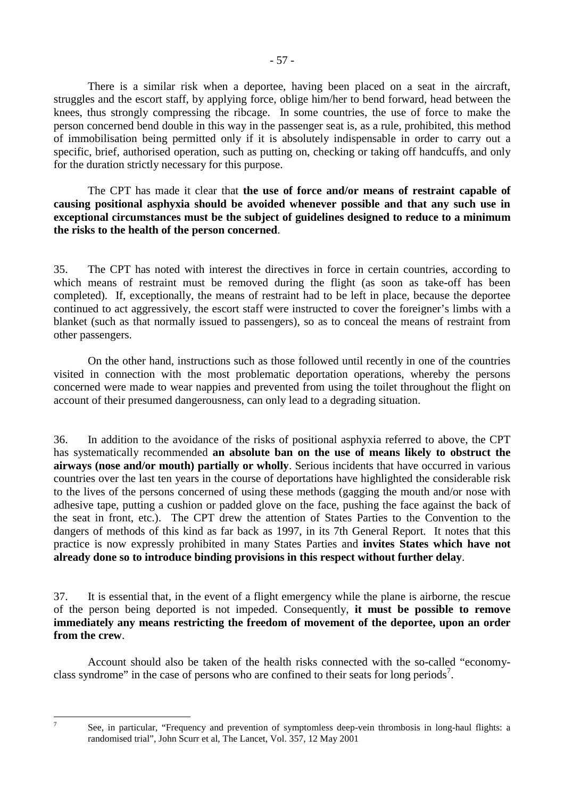There is a similar risk when a deportee, having been placed on a seat in the aircraft, struggles and the escort staff, by applying force, oblige him/her to bend forward, head between the knees, thus strongly compressing the ribcage. In some countries, the use of force to make the person concerned bend double in this way in the passenger seat is, as a rule, prohibited, this method of immobilisation being permitted only if it is absolutely indispensable in order to carry out a specific, brief, authorised operation, such as putting on, checking or taking off handcuffs, and only for the duration strictly necessary for this purpose.

 The CPT has made it clear that **the use of force and/or means of restraint capable of causing positional asphyxia should be avoided whenever possible and that any such use in exceptional circumstances must be the subject of guidelines designed to reduce to a minimum the risks to the health of the person concerned**.

35. The CPT has noted with interest the directives in force in certain countries, according to which means of restraint must be removed during the flight (as soon as take-off has been completed). If, exceptionally, the means of restraint had to be left in place, because the deportee continued to act aggressively, the escort staff were instructed to cover the foreigner's limbs with a blanket (such as that normally issued to passengers), so as to conceal the means of restraint from other passengers.

 On the other hand, instructions such as those followed until recently in one of the countries visited in connection with the most problematic deportation operations, whereby the persons concerned were made to wear nappies and prevented from using the toilet throughout the flight on account of their presumed dangerousness, can only lead to a degrading situation.

36. In addition to the avoidance of the risks of positional asphyxia referred to above, the CPT has systematically recommended **an absolute ban on the use of means likely to obstruct the airways (nose and/or mouth) partially or wholly**. Serious incidents that have occurred in various countries over the last ten years in the course of deportations have highlighted the considerable risk to the lives of the persons concerned of using these methods (gagging the mouth and/or nose with adhesive tape, putting a cushion or padded glove on the face, pushing the face against the back of the seat in front, etc.). The CPT drew the attention of States Parties to the Convention to the dangers of methods of this kind as far back as 1997, in its 7th General Report. It notes that this practice is now expressly prohibited in many States Parties and **invites States which have not already done so to introduce binding provisions in this respect without further delay**.

37. It is essential that, in the event of a flight emergency while the plane is airborne, the rescue of the person being deported is not impeded. Consequently, **it must be possible to remove immediately any means restricting the freedom of movement of the deportee, upon an order from the crew**.

 Account should also be taken of the health risks connected with the so-called "economyclass syndrome" in the case of persons who are confined to their seats for long periods<sup>7</sup>.

-<br>7

See, in particular, "Frequency and prevention of symptomless deep-vein thrombosis in long-haul flights: a randomised trial", John Scurr et al, The Lancet, Vol. 357, 12 May 2001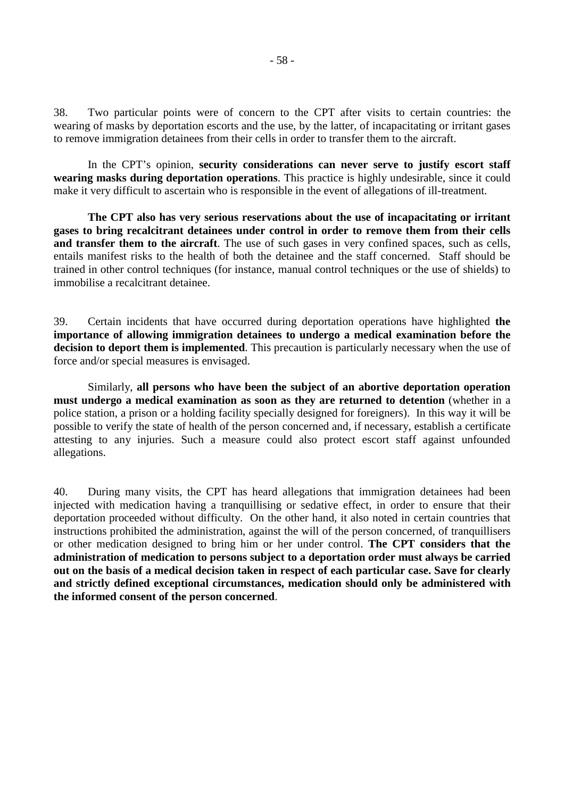38. Two particular points were of concern to the CPT after visits to certain countries: the wearing of masks by deportation escorts and the use, by the latter, of incapacitating or irritant gases to remove immigration detainees from their cells in order to transfer them to the aircraft.

 In the CPT's opinion, **security considerations can never serve to justify escort staff wearing masks during deportation operations**. This practice is highly undesirable, since it could make it very difficult to ascertain who is responsible in the event of allegations of ill-treatment.

**The CPT also has very serious reservations about the use of incapacitating or irritant gases to bring recalcitrant detainees under control in order to remove them from their cells and transfer them to the aircraft**. The use of such gases in very confined spaces, such as cells, entails manifest risks to the health of both the detainee and the staff concerned. Staff should be trained in other control techniques (for instance, manual control techniques or the use of shields) to immobilise a recalcitrant detainee.

39. Certain incidents that have occurred during deportation operations have highlighted **the importance of allowing immigration detainees to undergo a medical examination before the decision to deport them is implemented**. This precaution is particularly necessary when the use of force and/or special measures is envisaged.

 Similarly, **all persons who have been the subject of an abortive deportation operation must undergo a medical examination as soon as they are returned to detention** (whether in a police station, a prison or a holding facility specially designed for foreigners). In this way it will be possible to verify the state of health of the person concerned and, if necessary, establish a certificate attesting to any injuries. Such a measure could also protect escort staff against unfounded allegations.

40. During many visits, the CPT has heard allegations that immigration detainees had been injected with medication having a tranquillising or sedative effect, in order to ensure that their deportation proceeded without difficulty. On the other hand, it also noted in certain countries that instructions prohibited the administration, against the will of the person concerned, of tranquillisers or other medication designed to bring him or her under control. **The CPT considers that the administration of medication to persons subject to a deportation order must always be carried out on the basis of a medical decision taken in respect of each particular case. Save for clearly and strictly defined exceptional circumstances, medication should only be administered with the informed consent of the person concerned**.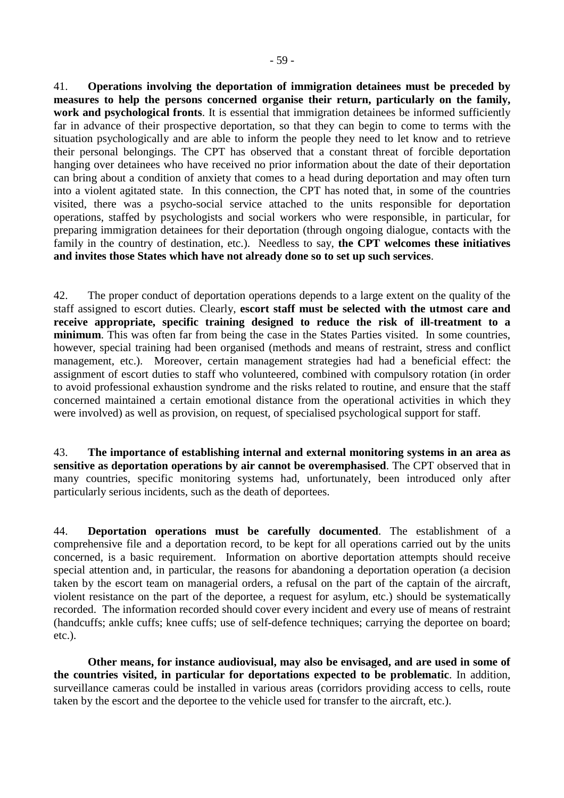41. **Operations involving the deportation of immigration detainees must be preceded by measures to help the persons concerned organise their return, particularly on the family, work and psychological fronts**. It is essential that immigration detainees be informed sufficiently far in advance of their prospective deportation, so that they can begin to come to terms with the situation psychologically and are able to inform the people they need to let know and to retrieve their personal belongings. The CPT has observed that a constant threat of forcible deportation hanging over detainees who have received no prior information about the date of their deportation can bring about a condition of anxiety that comes to a head during deportation and may often turn into a violent agitated state. In this connection, the CPT has noted that, in some of the countries visited, there was a psycho-social service attached to the units responsible for deportation operations, staffed by psychologists and social workers who were responsible, in particular, for preparing immigration detainees for their deportation (through ongoing dialogue, contacts with the family in the country of destination, etc.). Needless to say, **the CPT welcomes these initiatives and invites those States which have not already done so to set up such services**.

42. The proper conduct of deportation operations depends to a large extent on the quality of the staff assigned to escort duties. Clearly, **escort staff must be selected with the utmost care and receive appropriate, specific training designed to reduce the risk of ill-treatment to a minimum**. This was often far from being the case in the States Parties visited. In some countries, however, special training had been organised (methods and means of restraint, stress and conflict management, etc.). Moreover, certain management strategies had had a beneficial effect: the assignment of escort duties to staff who volunteered, combined with compulsory rotation (in order to avoid professional exhaustion syndrome and the risks related to routine, and ensure that the staff concerned maintained a certain emotional distance from the operational activities in which they were involved) as well as provision, on request, of specialised psychological support for staff.

43. **The importance of establishing internal and external monitoring systems in an area as sensitive as deportation operations by air cannot be overemphasised**. The CPT observed that in many countries, specific monitoring systems had, unfortunately, been introduced only after particularly serious incidents, such as the death of deportees.

44. **Deportation operations must be carefully documented**. The establishment of a comprehensive file and a deportation record, to be kept for all operations carried out by the units concerned, is a basic requirement. Information on abortive deportation attempts should receive special attention and, in particular, the reasons for abandoning a deportation operation (a decision taken by the escort team on managerial orders, a refusal on the part of the captain of the aircraft, violent resistance on the part of the deportee, a request for asylum, etc.) should be systematically recorded. The information recorded should cover every incident and every use of means of restraint (handcuffs; ankle cuffs; knee cuffs; use of self-defence techniques; carrying the deportee on board; etc.).

**Other means, for instance audiovisual, may also be envisaged, and are used in some of the countries visited, in particular for deportations expected to be problematic**. In addition, surveillance cameras could be installed in various areas (corridors providing access to cells, route taken by the escort and the deportee to the vehicle used for transfer to the aircraft, etc.).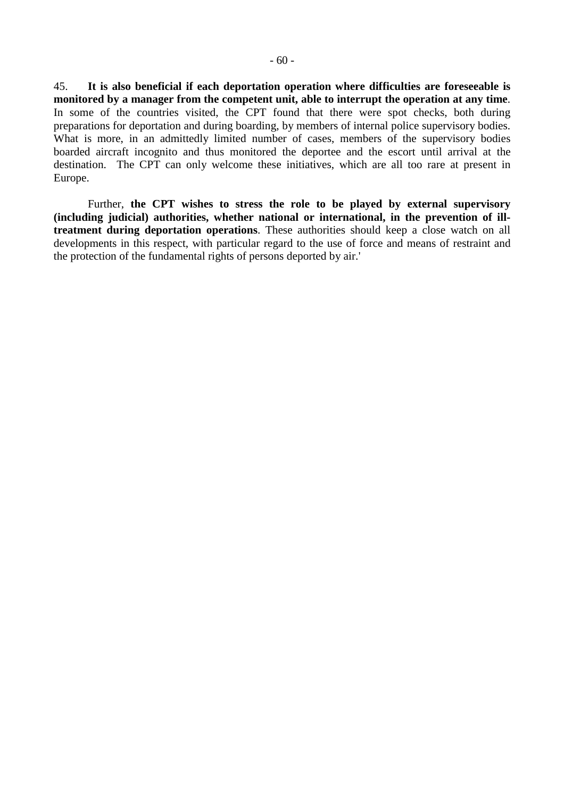45. **It is also beneficial if each deportation operation where difficulties are foreseeable is monitored by a manager from the competent unit, able to interrupt the operation at any time**. In some of the countries visited, the CPT found that there were spot checks, both during preparations for deportation and during boarding, by members of internal police supervisory bodies. What is more, in an admittedly limited number of cases, members of the supervisory bodies boarded aircraft incognito and thus monitored the deportee and the escort until arrival at the destination. The CPT can only welcome these initiatives, which are all too rare at present in Europe.

 Further, **the CPT wishes to stress the role to be played by external supervisory (including judicial) authorities, whether national or international, in the prevention of illtreatment during deportation operations**. These authorities should keep a close watch on all developments in this respect, with particular regard to the use of force and means of restraint and the protection of the fundamental rights of persons deported by air.'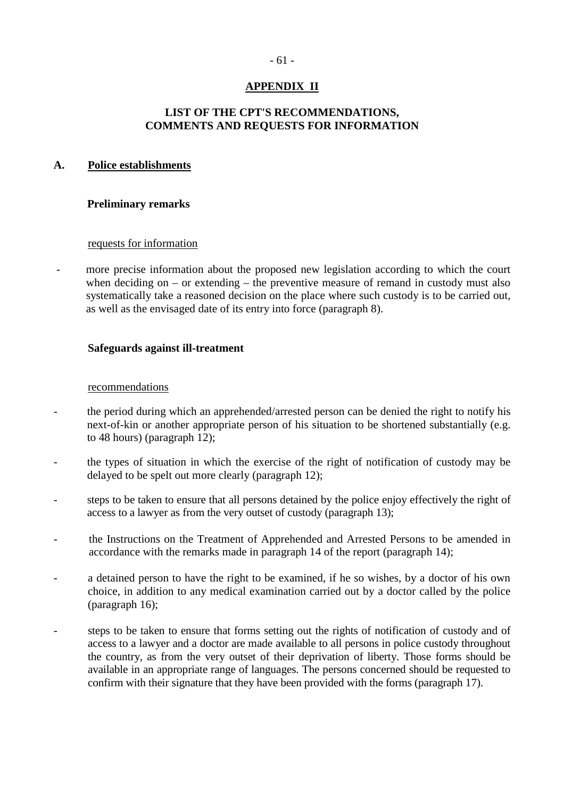# **APPENDIX II**

# **LIST OF THE CPT'S RECOMMENDATIONS, COMMENTS AND REQUESTS FOR INFORMATION**

# **A. Police establishments**

# **Preliminary remarks**

### requests for information

- more precise information about the proposed new legislation according to which the court when deciding on – or extending – the preventive measure of remand in custody must also systematically take a reasoned decision on the place where such custody is to be carried out, as well as the envisaged date of its entry into force (paragraph 8).

# **Safeguards against ill-treatment**

### recommendations

- the period during which an apprehended/arrested person can be denied the right to notify his next-of-kin or another appropriate person of his situation to be shortened substantially (e.g. to 48 hours) (paragraph 12);
- the types of situation in which the exercise of the right of notification of custody may be delayed to be spelt out more clearly (paragraph 12);
- steps to be taken to ensure that all persons detained by the police enjoy effectively the right of access to a lawyer as from the very outset of custody (paragraph 13);
- the Instructions on the Treatment of Apprehended and Arrested Persons to be amended in accordance with the remarks made in paragraph 14 of the report (paragraph 14);
- a detained person to have the right to be examined, if he so wishes, by a doctor of his own choice, in addition to any medical examination carried out by a doctor called by the police (paragraph 16);
- steps to be taken to ensure that forms setting out the rights of notification of custody and of access to a lawyer and a doctor are made available to all persons in police custody throughout the country, as from the very outset of their deprivation of liberty. Those forms should be available in an appropriate range of languages. The persons concerned should be requested to confirm with their signature that they have been provided with the forms (paragraph 17).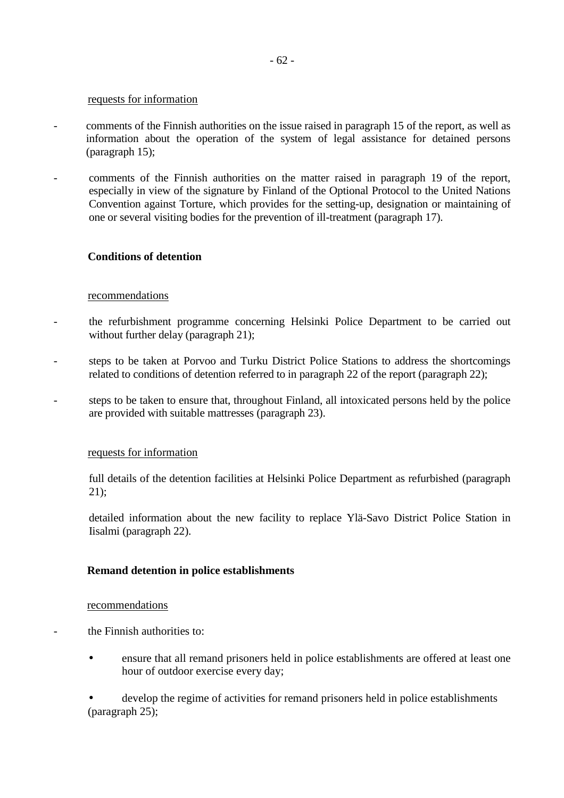#### requests for information

- comments of the Finnish authorities on the issue raised in paragraph 15 of the report, as well as information about the operation of the system of legal assistance for detained persons (paragraph 15);
- comments of the Finnish authorities on the matter raised in paragraph 19 of the report, especially in view of the signature by Finland of the Optional Protocol to the United Nations Convention against Torture, which provides for the setting-up, designation or maintaining of one or several visiting bodies for the prevention of ill-treatment (paragraph 17).

### **Conditions of detention**

### recommendations

- the refurbishment programme concerning Helsinki Police Department to be carried out without further delay (paragraph 21);
- steps to be taken at Porvoo and Turku District Police Stations to address the shortcomings related to conditions of detention referred to in paragraph 22 of the report (paragraph 22);
- steps to be taken to ensure that, throughout Finland, all intoxicated persons held by the police are provided with suitable mattresses (paragraph 23).

### requests for information

 full details of the detention facilities at Helsinki Police Department as refurbished (paragraph 21);

 detailed information about the new facility to replace Ylä-Savo District Police Station in Iisalmi (paragraph 22).

### **Remand detention in police establishments**

### recommendations

- the Finnish authorities to:
	- ensure that all remand prisoners held in police establishments are offered at least one hour of outdoor exercise every day;

develop the regime of activities for remand prisoners held in police establishments (paragraph 25);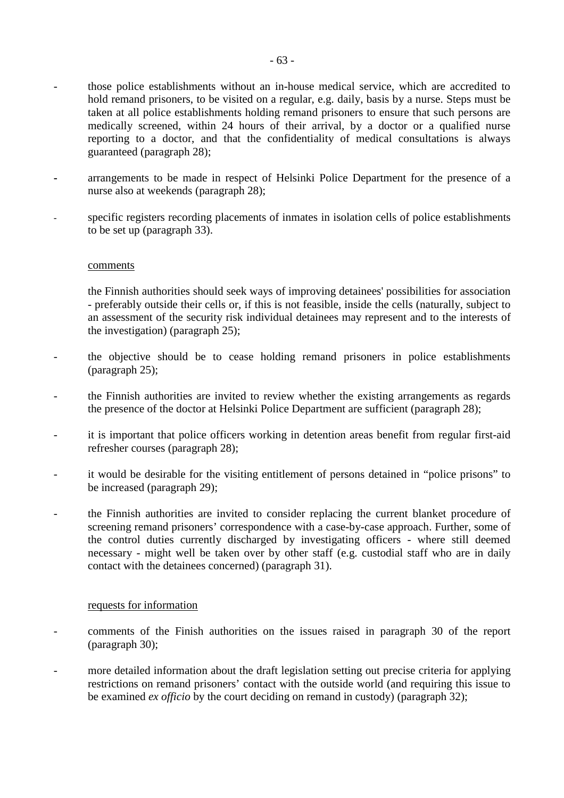- those police establishments without an in-house medical service, which are accredited to hold remand prisoners, to be visited on a regular, e.g. daily, basis by a nurse. Steps must be taken at all police establishments holding remand prisoners to ensure that such persons are medically screened, within 24 hours of their arrival, by a doctor or a qualified nurse reporting to a doctor, and that the confidentiality of medical consultations is always guaranteed (paragraph 28);
- arrangements to be made in respect of Helsinki Police Department for the presence of a nurse also at weekends (paragraph 28);
- specific registers recording placements of inmates in isolation cells of police establishments to be set up (paragraph 33).

#### comments

 the Finnish authorities should seek ways of improving detainees' possibilities for association - preferably outside their cells or, if this is not feasible, inside the cells (naturally, subject to an assessment of the security risk individual detainees may represent and to the interests of the investigation) (paragraph 25);

- the objective should be to cease holding remand prisoners in police establishments (paragraph 25);
- the Finnish authorities are invited to review whether the existing arrangements as regards the presence of the doctor at Helsinki Police Department are sufficient (paragraph 28);
- it is important that police officers working in detention areas benefit from regular first-aid refresher courses (paragraph 28);
- it would be desirable for the visiting entitlement of persons detained in "police prisons" to be increased (paragraph 29);
- the Finnish authorities are invited to consider replacing the current blanket procedure of screening remand prisoners' correspondence with a case-by-case approach. Further, some of the control duties currently discharged by investigating officers - where still deemed necessary - might well be taken over by other staff (e.g. custodial staff who are in daily contact with the detainees concerned) (paragraph 31).

### requests for information

- comments of the Finish authorities on the issues raised in paragraph 30 of the report (paragraph 30);
- more detailed information about the draft legislation setting out precise criteria for applying restrictions on remand prisoners' contact with the outside world (and requiring this issue to be examined *ex officio* by the court deciding on remand in custody) (paragraph 32);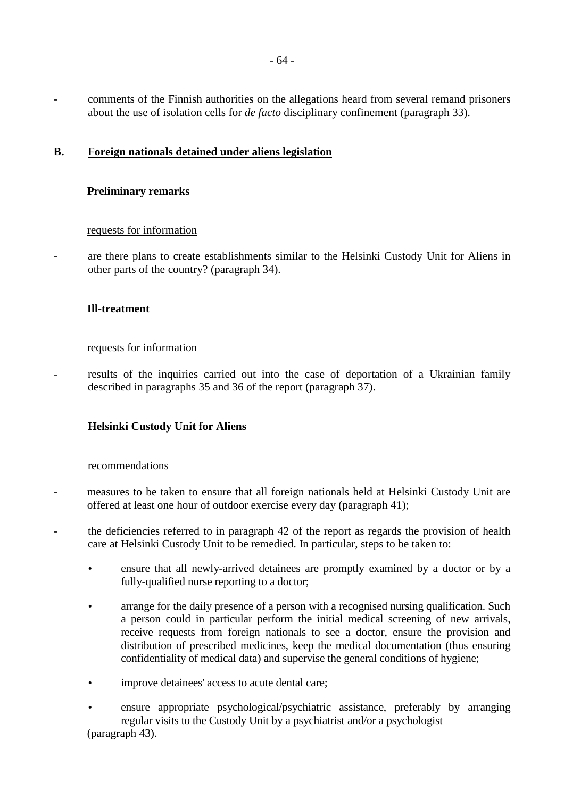- comments of the Finnish authorities on the allegations heard from several remand prisoners about the use of isolation cells for *de facto* disciplinary confinement (paragraph 33).

# **B. Foreign nationals detained under aliens legislation**

# **Preliminary remarks**

### requests for information

- are there plans to create establishments similar to the Helsinki Custody Unit for Aliens in other parts of the country? (paragraph 34).

# **Ill-treatment**

### requests for information

results of the inquiries carried out into the case of deportation of a Ukrainian family described in paragraphs 35 and 36 of the report (paragraph 37).

# **Helsinki Custody Unit for Aliens**

### recommendations

- measures to be taken to ensure that all foreign nationals held at Helsinki Custody Unit are offered at least one hour of outdoor exercise every day (paragraph 41);
- the deficiencies referred to in paragraph 42 of the report as regards the provision of health care at Helsinki Custody Unit to be remedied. In particular, steps to be taken to:
	- ensure that all newly-arrived detainees are promptly examined by a doctor or by a fully-qualified nurse reporting to a doctor;
	- arrange for the daily presence of a person with a recognised nursing qualification. Such a person could in particular perform the initial medical screening of new arrivals, receive requests from foreign nationals to see a doctor, ensure the provision and distribution of prescribed medicines, keep the medical documentation (thus ensuring confidentiality of medical data) and supervise the general conditions of hygiene;
	- improve detainees' access to acute dental care;
	- ensure appropriate psychological/psychiatric assistance, preferably by arranging regular visits to the Custody Unit by a psychiatrist and/or a psychologist (paragraph 43).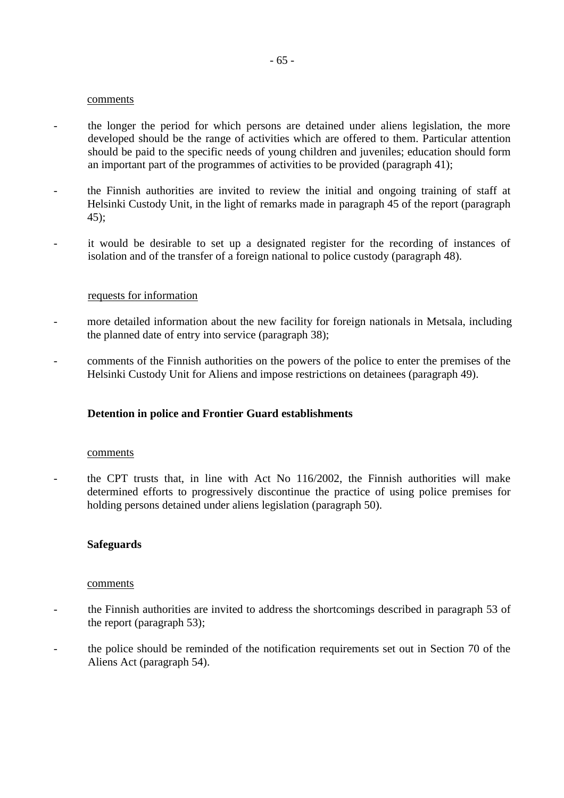#### comments

- the longer the period for which persons are detained under aliens legislation, the more developed should be the range of activities which are offered to them. Particular attention should be paid to the specific needs of young children and juveniles; education should form an important part of the programmes of activities to be provided (paragraph 41);
- the Finnish authorities are invited to review the initial and ongoing training of staff at Helsinki Custody Unit, in the light of remarks made in paragraph 45 of the report (paragraph 45);
- it would be desirable to set up a designated register for the recording of instances of isolation and of the transfer of a foreign national to police custody (paragraph 48).

### requests for information

- more detailed information about the new facility for foreign nationals in Metsala, including the planned date of entry into service (paragraph 38);
- comments of the Finnish authorities on the powers of the police to enter the premises of the Helsinki Custody Unit for Aliens and impose restrictions on detainees (paragraph 49).

# **Detention in police and Frontier Guard establishments**

#### comments

the CPT trusts that, in line with Act No  $116/2002$ , the Finnish authorities will make determined efforts to progressively discontinue the practice of using police premises for holding persons detained under aliens legislation (paragraph 50).

### **Safeguards**

#### comments

- the Finnish authorities are invited to address the shortcomings described in paragraph 53 of the report (paragraph 53);
- the police should be reminded of the notification requirements set out in Section 70 of the Aliens Act (paragraph 54).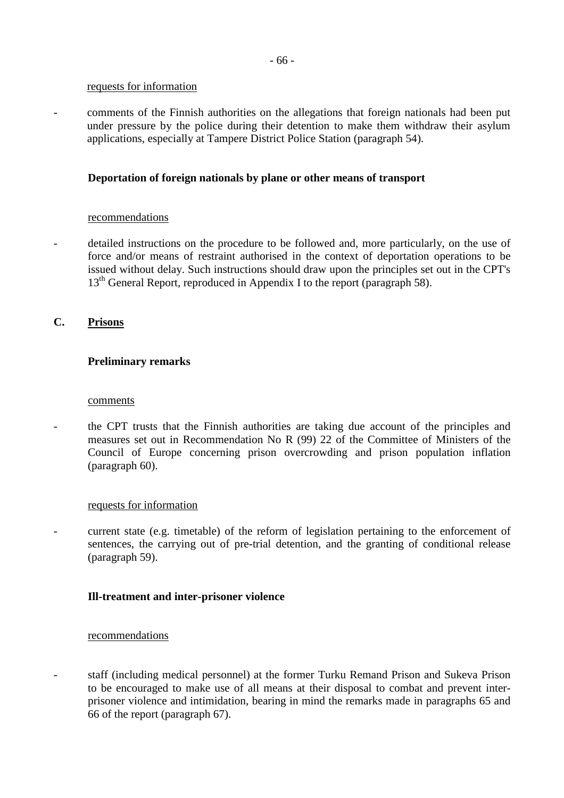### requests for information

- comments of the Finnish authorities on the allegations that foreign nationals had been put under pressure by the police during their detention to make them withdraw their asylum applications, especially at Tampere District Police Station (paragraph 54).

# **Deportation of foreign nationals by plane or other means of transport**

# recommendations

detailed instructions on the procedure to be followed and, more particularly, on the use of force and/or means of restraint authorised in the context of deportation operations to be issued without delay. Such instructions should draw upon the principles set out in the CPT's  $13<sup>th</sup>$  General Report, reproduced in Appendix I to the report (paragraph 58).

# **C. Prisons**

# **Preliminary remarks**

### comments

- the CPT trusts that the Finnish authorities are taking due account of the principles and measures set out in Recommendation No R (99) 22 of the Committee of Ministers of the Council of Europe concerning prison overcrowding and prison population inflation (paragraph 60).

# requests for information

- current state (e.g. timetable) of the reform of legislation pertaining to the enforcement of sentences, the carrying out of pre-trial detention, and the granting of conditional release (paragraph 59).

# **Ill-treatment and inter-prisoner violence**

### recommendations

- staff (including medical personnel) at the former Turku Remand Prison and Sukeva Prison to be encouraged to make use of all means at their disposal to combat and prevent interprisoner violence and intimidation, bearing in mind the remarks made in paragraphs 65 and 66 of the report (paragraph 67).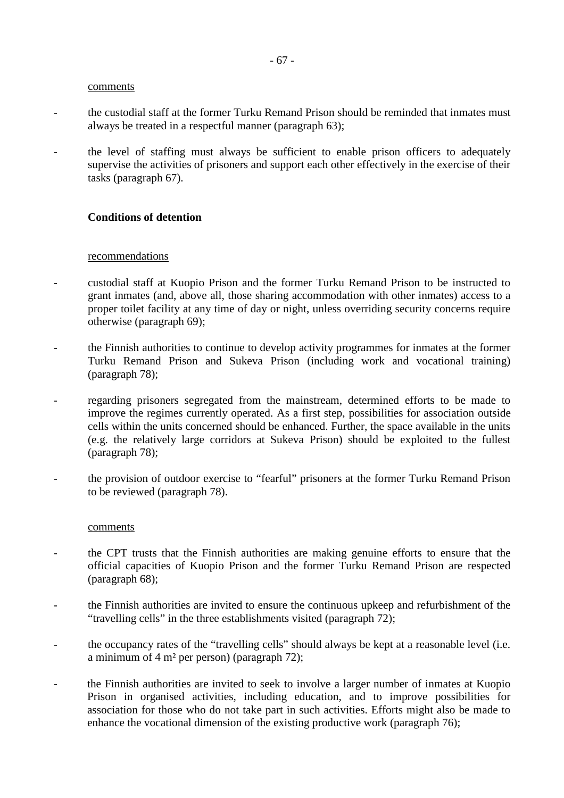#### comments

- the custodial staff at the former Turku Remand Prison should be reminded that inmates must always be treated in a respectful manner (paragraph 63);
- the level of staffing must always be sufficient to enable prison officers to adequately supervise the activities of prisoners and support each other effectively in the exercise of their tasks (paragraph 67).

### **Conditions of detention**

### recommendations

- custodial staff at Kuopio Prison and the former Turku Remand Prison to be instructed to grant inmates (and, above all, those sharing accommodation with other inmates) access to a proper toilet facility at any time of day or night, unless overriding security concerns require otherwise (paragraph 69);
- the Finnish authorities to continue to develop activity programmes for inmates at the former Turku Remand Prison and Sukeva Prison (including work and vocational training) (paragraph 78);
- regarding prisoners segregated from the mainstream, determined efforts to be made to improve the regimes currently operated. As a first step, possibilities for association outside cells within the units concerned should be enhanced. Further, the space available in the units (e.g. the relatively large corridors at Sukeva Prison) should be exploited to the fullest (paragraph 78);
- the provision of outdoor exercise to "fearful" prisoners at the former Turku Remand Prison to be reviewed (paragraph 78).

#### comments

- the CPT trusts that the Finnish authorities are making genuine efforts to ensure that the official capacities of Kuopio Prison and the former Turku Remand Prison are respected (paragraph 68);
- the Finnish authorities are invited to ensure the continuous upkeep and refurbishment of the "travelling cells" in the three establishments visited (paragraph 72);
- the occupancy rates of the "travelling cells" should always be kept at a reasonable level (i.e. a minimum of 4 m² per person) (paragraph 72);
- the Finnish authorities are invited to seek to involve a larger number of inmates at Kuopio Prison in organised activities, including education, and to improve possibilities for association for those who do not take part in such activities. Efforts might also be made to enhance the vocational dimension of the existing productive work (paragraph 76);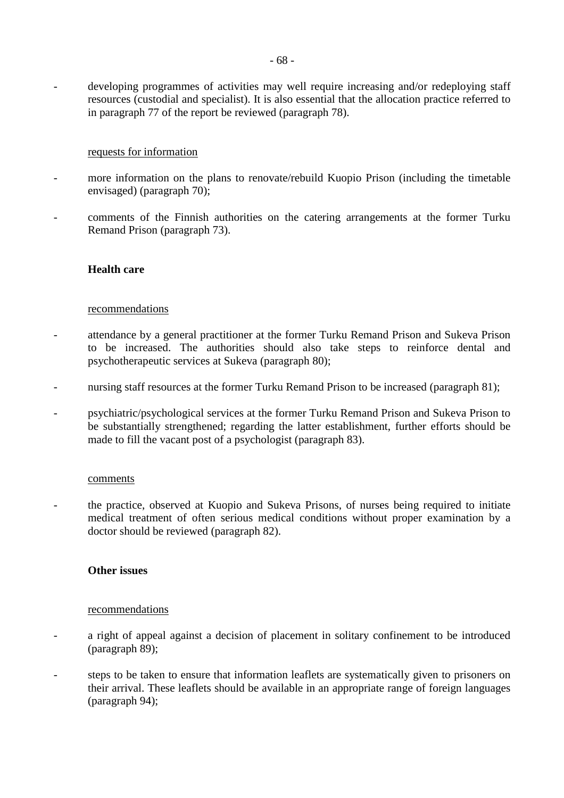### requests for information

- more information on the plans to renovate/rebuild Kuopio Prison (including the timetable envisaged) (paragraph 70);
- comments of the Finnish authorities on the catering arrangements at the former Turku Remand Prison (paragraph 73).

### **Health care**

#### recommendations

- attendance by a general practitioner at the former Turku Remand Prison and Sukeva Prison to be increased. The authorities should also take steps to reinforce dental and psychotherapeutic services at Sukeva (paragraph 80);
- nursing staff resources at the former Turku Remand Prison to be increased (paragraph 81);
- psychiatric/psychological services at the former Turku Remand Prison and Sukeva Prison to be substantially strengthened; regarding the latter establishment, further efforts should be made to fill the vacant post of a psychologist (paragraph 83).

### comments

- the practice, observed at Kuopio and Sukeva Prisons, of nurses being required to initiate medical treatment of often serious medical conditions without proper examination by a doctor should be reviewed (paragraph 82).

### **Other issues**

#### recommendations

- a right of appeal against a decision of placement in solitary confinement to be introduced (paragraph 89);
- steps to be taken to ensure that information leaflets are systematically given to prisoners on their arrival. These leaflets should be available in an appropriate range of foreign languages (paragraph 94);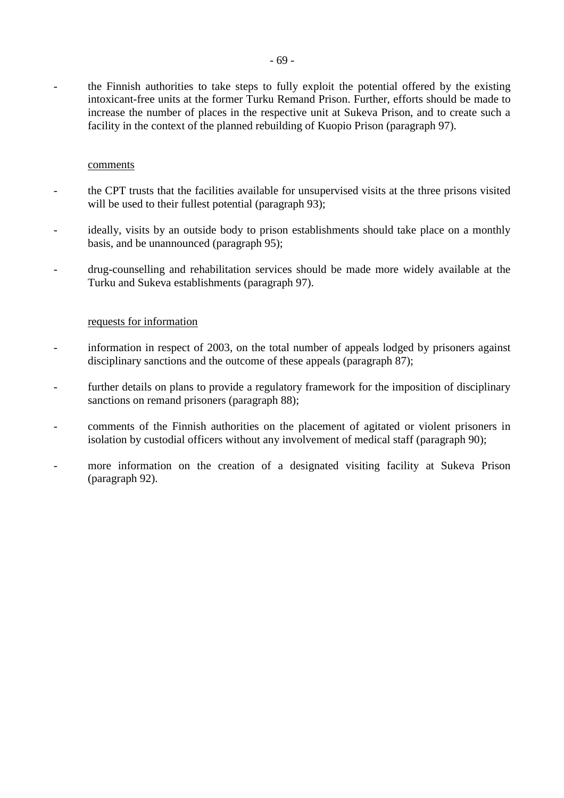- the Finnish authorities to take steps to fully exploit the potential offered by the existing intoxicant-free units at the former Turku Remand Prison. Further, efforts should be made to increase the number of places in the respective unit at Sukeva Prison, and to create such a facility in the context of the planned rebuilding of Kuopio Prison (paragraph 97).

### comments

- the CPT trusts that the facilities available for unsupervised visits at the three prisons visited will be used to their fullest potential (paragraph 93);
- ideally, visits by an outside body to prison establishments should take place on a monthly basis, and be unannounced (paragraph 95);
- drug-counselling and rehabilitation services should be made more widely available at the Turku and Sukeva establishments (paragraph 97).

### requests for information

- information in respect of 2003, on the total number of appeals lodged by prisoners against disciplinary sanctions and the outcome of these appeals (paragraph 87);
- further details on plans to provide a regulatory framework for the imposition of disciplinary sanctions on remand prisoners (paragraph 88);
- comments of the Finnish authorities on the placement of agitated or violent prisoners in isolation by custodial officers without any involvement of medical staff (paragraph 90);
- more information on the creation of a designated visiting facility at Sukeva Prison (paragraph 92).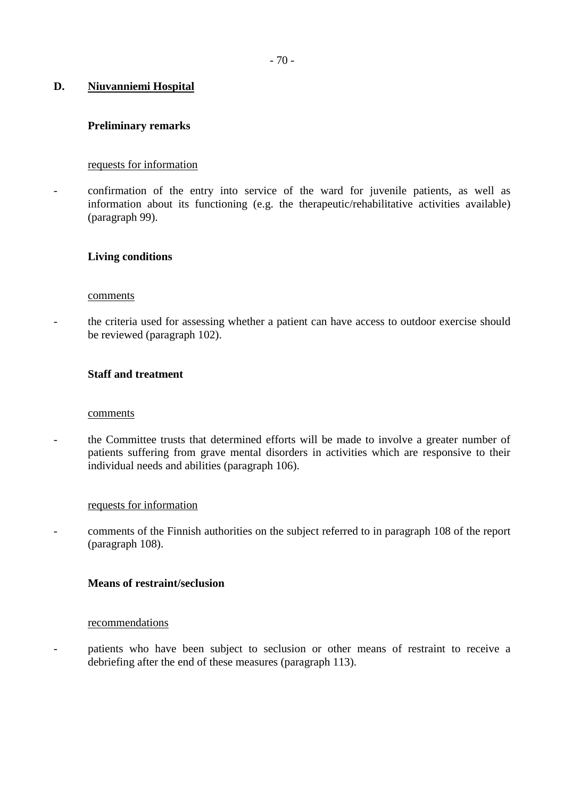# **D. Niuvanniemi Hospital**

# **Preliminary remarks**

# requests for information

- confirmation of the entry into service of the ward for juvenile patients, as well as information about its functioning (e.g. the therapeutic/rehabilitative activities available) (paragraph 99).

### **Living conditions**

### comments

the criteria used for assessing whether a patient can have access to outdoor exercise should be reviewed (paragraph 102).

### **Staff and treatment**

### comments

- the Committee trusts that determined efforts will be made to involve a greater number of patients suffering from grave mental disorders in activities which are responsive to their individual needs and abilities (paragraph 106).

### requests for information

comments of the Finnish authorities on the subject referred to in paragraph 108 of the report (paragraph 108).

# **Means of restraint/seclusion**

### recommendations

patients who have been subject to seclusion or other means of restraint to receive a debriefing after the end of these measures (paragraph 113).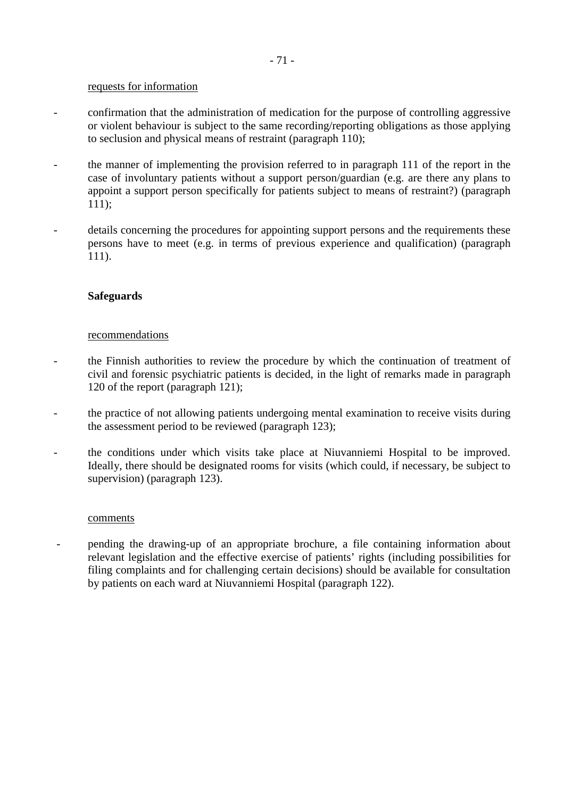#### requests for information

- confirmation that the administration of medication for the purpose of controlling aggressive or violent behaviour is subject to the same recording/reporting obligations as those applying to seclusion and physical means of restraint (paragraph 110);
- the manner of implementing the provision referred to in paragraph 111 of the report in the case of involuntary patients without a support person/guardian (e.g. are there any plans to appoint a support person specifically for patients subject to means of restraint?) (paragraph 111);
- details concerning the procedures for appointing support persons and the requirements these persons have to meet (e.g. in terms of previous experience and qualification) (paragraph 111).

## **Safeguards**

#### recommendations

- the Finnish authorities to review the procedure by which the continuation of treatment of civil and forensic psychiatric patients is decided, in the light of remarks made in paragraph 120 of the report (paragraph 121);
- the practice of not allowing patients undergoing mental examination to receive visits during the assessment period to be reviewed (paragraph 123);
- the conditions under which visits take place at Niuvanniemi Hospital to be improved. Ideally, there should be designated rooms for visits (which could, if necessary, be subject to supervision) (paragraph 123).

#### comments

- pending the drawing-up of an appropriate brochure, a file containing information about relevant legislation and the effective exercise of patients' rights (including possibilities for filing complaints and for challenging certain decisions) should be available for consultation by patients on each ward at Niuvanniemi Hospital (paragraph 122).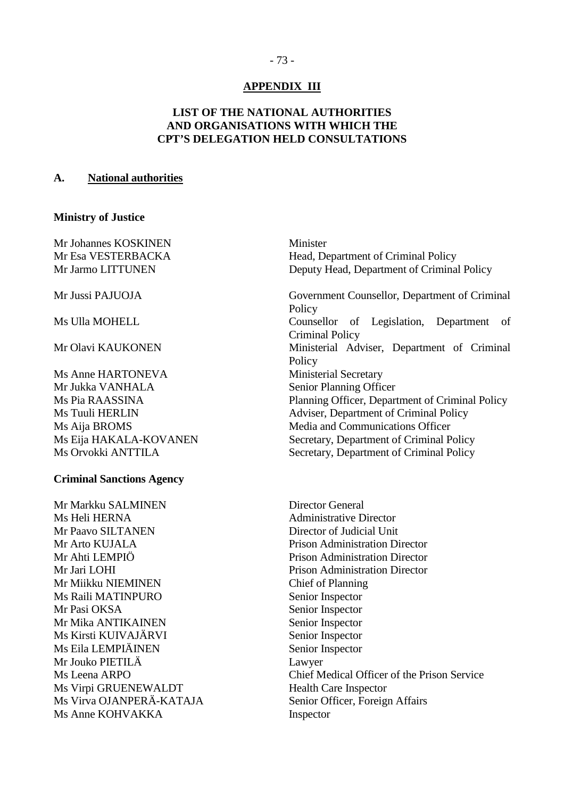## - 73 -

### **APPENDIX III**

## **LIST OF THE NATIONAL AUTHORITIES AND ORGANISATIONS WITH WHICH THE CPT'S DELEGATION HELD CONSULTATIONS**

#### **A. National authorities**

#### **Ministry of Justice**

Mr Johannes KOSKINEN Minister

Ms Anne HARTONEVA Ministerial Secretary Mr Jukka VANHALA Senior Planning Officer Ms Orvokki ANTTILA Secretary, Department of Criminal Policy

#### **Criminal Sanctions Agency**

Mr Markku SALMINEN Director General Ms Heli HERNA Administrative Director Mr Paavo SILTANEN Director of Judicial Unit Mr Arto KUJALA Prison Administration Director Mr Ahti LEMPIÖ Prison Administration Director Mr Jari LOHI Prison Administration Director Mr Miikku NIEMINEN Chief of Planning Ms Raili MATINPURO Senior Inspector Mr Pasi OKSA Senior Inspector Mr Mika ANTIKAINEN Senior Inspector Ms Kirsti KUIVAJÄRVI Senior Inspector Ms Eila LEMPIÄINEN Senior Inspector Mr Jouko PIETILÄ Lawyer Ms Virpi GRUENEWALDT Health Care Inspector Ms Virva OJANPERÄ-KATAJA Senior Officer, Foreign Affairs Ms Anne KOHVAKKA Inspector

Mr Esa VESTERBACKA Head, Department of Criminal Policy Mr Jarmo LITTUNEN Deputy Head, Department of Criminal Policy

Mr Jussi PAJUOJA Government Counsellor, Department of Criminal Policy Ms Ulla MOHELL Counsellor of Legislation, Department of Criminal Policy Mr Olavi KAUKONEN Ministerial Adviser, Department of Criminal Policy Ms Pia RAASSINA Planning Officer, Department of Criminal Policy Ms Tuuli HERLIN Adviser, Department of Criminal Policy Ms Aija BROMS Media and Communications Officer Ms Eija HAKALA-KOVANEN Secretary, Department of Criminal Policy

Ms Leena ARPO Chief Medical Officer of the Prison Service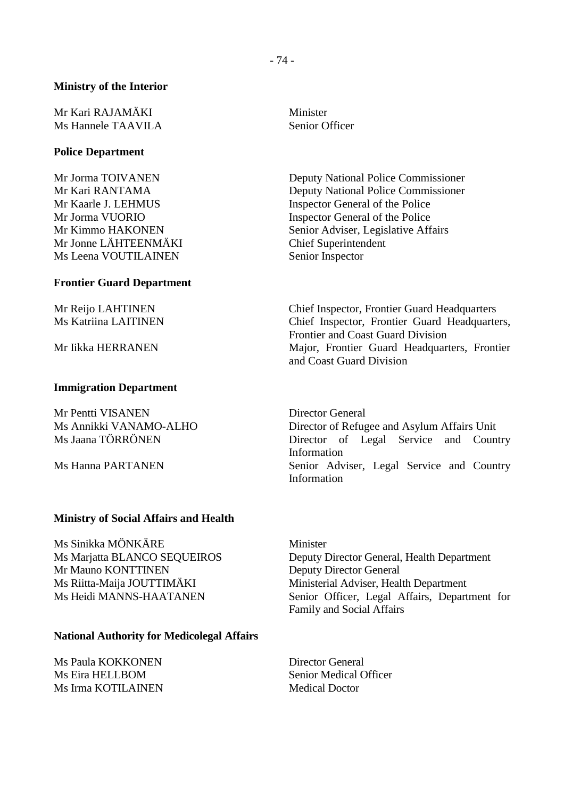### **Ministry of the Interior**

Mr Kari RAJAMÄKI Minister Ms Hannele TAAVILA Senior Officer

### **Police Department**

Mr Jonne LÄHTEENMÄKI Chief Superintendent Ms Leena VOUTILAINEN Senior Inspector

#### **Frontier Guard Department**

#### **Immigration Department**

Mr Pentti VISANEN Director General

## **Ministry of Social Affairs and Health**

Ms Sinikka MÖNKÄRE Minister Mr Mauno KONTTINEN Deputy Director General

## **National Authority for Medicolegal Affairs**

Ms Paula KOKKONEN Director General Ms Eira HELLBOM Senior Medical Officer Ms Irma KOTILAINEN Medical Doctor

Mr Jorma TOIVANEN Deputy National Police Commissioner Mr Kari RANTAMA Deputy National Police Commissioner Mr Kaarle J. LEHMUS Inspector General of the Police Mr Jorma VUORIO Inspector General of the Police Mr Kimmo HAKONEN Senior Adviser, Legislative Affairs

Mr Reijo LAHTINEN Chief Inspector, Frontier Guard Headquarters<br>
Ms Katriina LAITINEN Chief Inspector, Frontier Guard Headquarte Chief Inspector, Frontier Guard Headquarters, Frontier and Coast Guard Division Mr Iikka HERRANEN Major, Frontier Guard Headquarters, Frontier and Coast Guard Division

Ms Annikki VANAMO-ALHO Director of Refugee and Asylum Affairs Unit Ms Jaana TÖRRÖNEN Director of Legal Service and Country Information Ms Hanna PARTANEN Senior Adviser, Legal Service and Country Information

Ms Marjatta BLANCO SEQUEIROS Deputy Director General, Health Department Ms Riitta-Maija JOUTTIMÄKI Ministerial Adviser, Health Department Ms Heidi MANNS-HAATANEN Senior Officer, Legal Affairs, Department for Family and Social Affairs